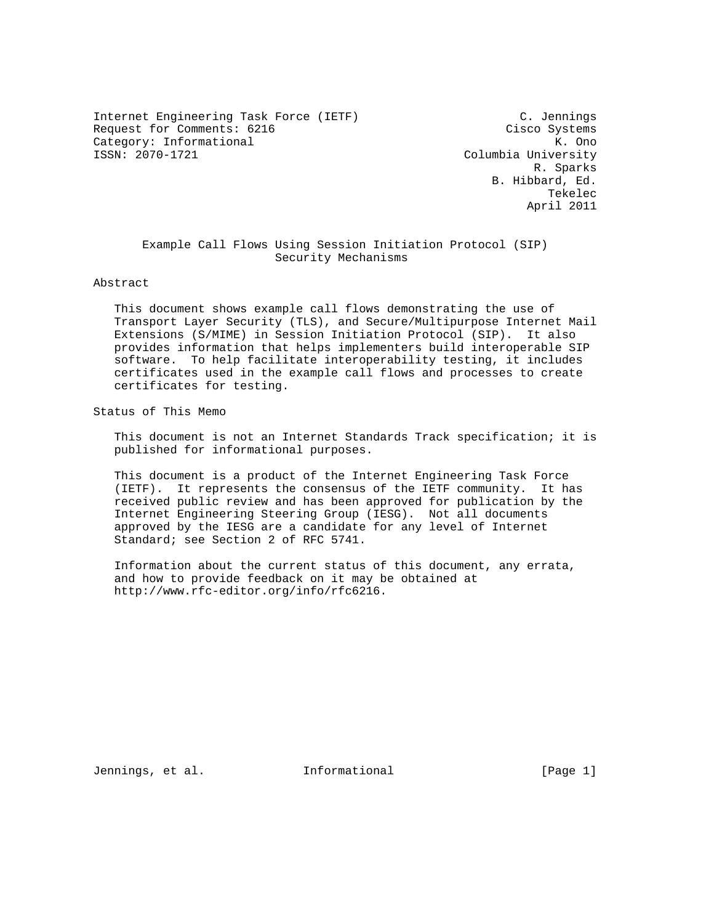Internet Engineering Task Force (IETF) C. Jennings Request for Comments: 6216 Cisco Systems Category: Informational  $\overline{K}$ . Ono<br>
ISSN: 2070-1721 Columbia University

Columbia University R. Sparks B. Hibbard, Ed. the contract of the contract of the contract of the contract of the contract of the contract of the contract of the contract of the contract of the contract of the contract of the contract of the contract of the contract o April 2011

 Example Call Flows Using Session Initiation Protocol (SIP) Security Mechanisms

Abstract

 This document shows example call flows demonstrating the use of Transport Layer Security (TLS), and Secure/Multipurpose Internet Mail Extensions (S/MIME) in Session Initiation Protocol (SIP). It also provides information that helps implementers build interoperable SIP software. To help facilitate interoperability testing, it includes certificates used in the example call flows and processes to create certificates for testing.

Status of This Memo

 This document is not an Internet Standards Track specification; it is published for informational purposes.

 This document is a product of the Internet Engineering Task Force (IETF). It represents the consensus of the IETF community. It has received public review and has been approved for publication by the Internet Engineering Steering Group (IESG). Not all documents approved by the IESG are a candidate for any level of Internet Standard; see Section 2 of RFC 5741.

 Information about the current status of this document, any errata, and how to provide feedback on it may be obtained at http://www.rfc-editor.org/info/rfc6216.

Jennings, et al. Informational [Page 1]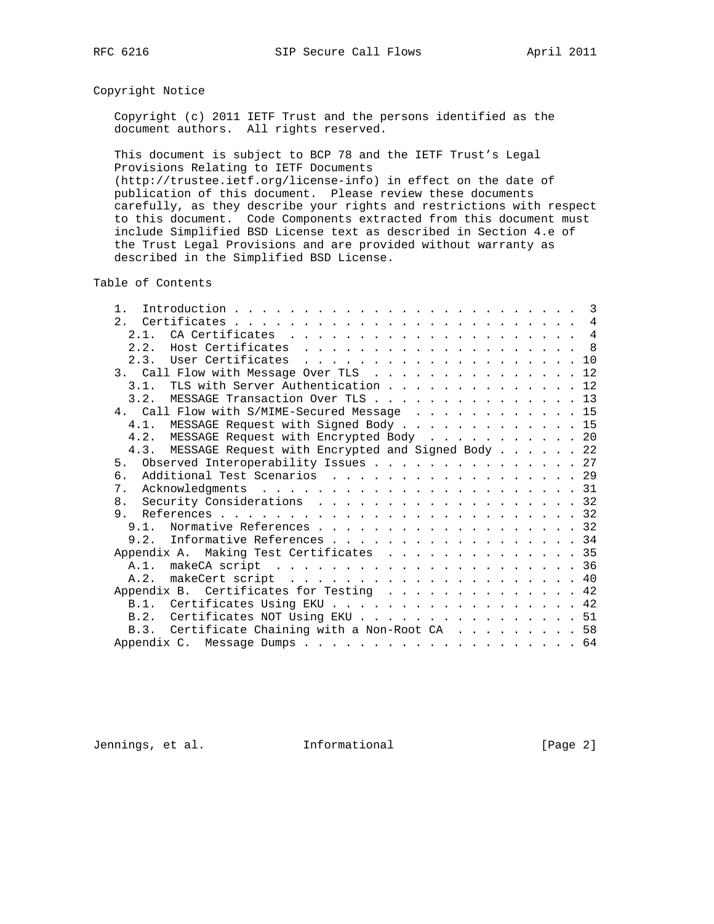# Copyright Notice

 Copyright (c) 2011 IETF Trust and the persons identified as the document authors. All rights reserved.

 This document is subject to BCP 78 and the IETF Trust's Legal Provisions Relating to IETF Documents (http://trustee.ietf.org/license-info) in effect on the date of publication of this document. Please review these documents carefully, as they describe your rights and restrictions with respect

 to this document. Code Components extracted from this document must include Simplified BSD License text as described in Section 4.e of the Trust Legal Provisions and are provided without warranty as described in the Simplified BSD License.

Table of Contents

| $1$ .                                                  |  |
|--------------------------------------------------------|--|
|                                                        |  |
| 2.1.                                                   |  |
| Host Certificates 8<br>2.2.                            |  |
| User Certificates 10<br>2.3.                           |  |
| 3. Call Flow with Message Over TLS 12                  |  |
| 3.1. TLS with Server Authentication 12                 |  |
| 3.2. MESSAGE Transaction Over TLS 13                   |  |
| 4. Call Flow with S/MIME-Secured Message 15            |  |
| 4.1. MESSAGE Request with Signed Body 15               |  |
| 4.2. MESSAGE Request with Encrypted Body 20            |  |
| 4.3. MESSAGE Request with Encrypted and Signed Body 22 |  |
| 5. Observed Interoperability Issues 27                 |  |
| Additional Test Scenarios 29<br>б.                     |  |
| 7 <sub>1</sub>                                         |  |
| 8. Security Considerations 32                          |  |
|                                                        |  |
| Normative References 32<br>9 1                         |  |
| 9.2. Informative References 34                         |  |
| Appendix A. Making Test Certificates 35                |  |
|                                                        |  |
|                                                        |  |
|                                                        |  |
| Appendix B. Certificates for Testing 42                |  |
| B.1. Certificates Using EKU 42                         |  |
| B.2. Certificates NOT Using EKU 51                     |  |
| B.3. Certificate Chaining with a Non-Root CA 58        |  |
|                                                        |  |

Jennings, et al. 1nformational 1999 [Page 2]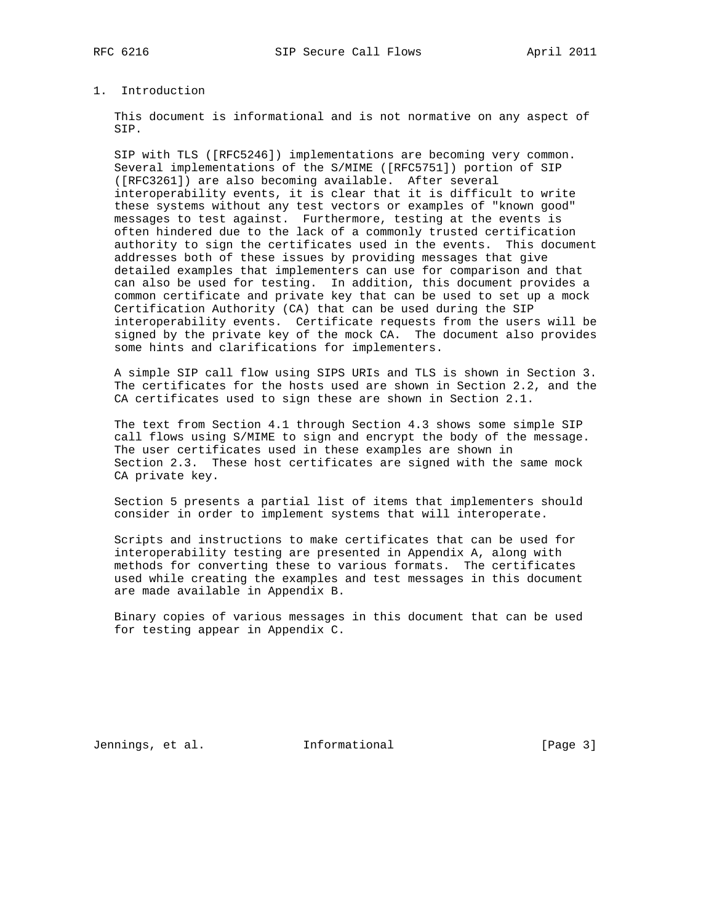## 1. Introduction

 This document is informational and is not normative on any aspect of SIP.

 SIP with TLS ([RFC5246]) implementations are becoming very common. Several implementations of the S/MIME ([RFC5751]) portion of SIP ([RFC3261]) are also becoming available. After several interoperability events, it is clear that it is difficult to write these systems without any test vectors or examples of "known good" messages to test against. Furthermore, testing at the events is often hindered due to the lack of a commonly trusted certification authority to sign the certificates used in the events. This document addresses both of these issues by providing messages that give detailed examples that implementers can use for comparison and that can also be used for testing. In addition, this document provides a common certificate and private key that can be used to set up a mock Certification Authority (CA) that can be used during the SIP interoperability events. Certificate requests from the users will be signed by the private key of the mock CA. The document also provides some hints and clarifications for implementers.

 A simple SIP call flow using SIPS URIs and TLS is shown in Section 3. The certificates for the hosts used are shown in Section 2.2, and the CA certificates used to sign these are shown in Section 2.1.

 The text from Section 4.1 through Section 4.3 shows some simple SIP call flows using S/MIME to sign and encrypt the body of the message. The user certificates used in these examples are shown in Section 2.3. These host certificates are signed with the same mock CA private key.

 Section 5 presents a partial list of items that implementers should consider in order to implement systems that will interoperate.

 Scripts and instructions to make certificates that can be used for interoperability testing are presented in Appendix A, along with methods for converting these to various formats. The certificates used while creating the examples and test messages in this document are made available in Appendix B.

 Binary copies of various messages in this document that can be used for testing appear in Appendix C.

Jennings, et al. 1nformational 1999 [Page 3]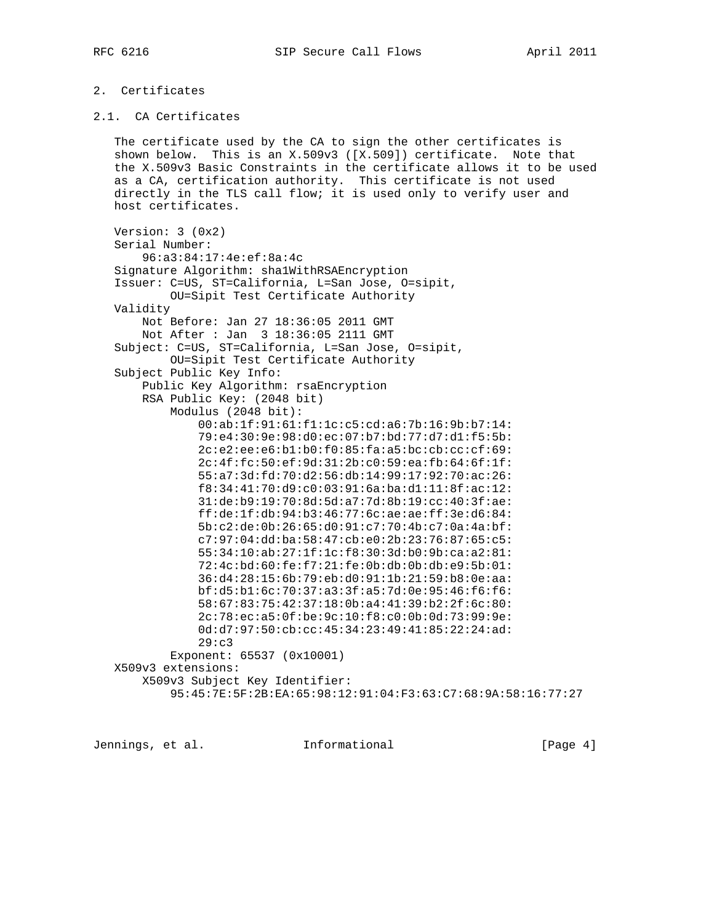# 2. Certificates

# 2.1. CA Certificates

 The certificate used by the CA to sign the other certificates is shown below. This is an X.509v3 ([X.509]) certificate. Note that the X.509v3 Basic Constraints in the certificate allows it to be used as a CA, certification authority. This certificate is not used directly in the TLS call flow; it is used only to verify user and host certificates.

```
 Version: 3 (0x2)
 Serial Number:
     96:a3:84:17:4e:ef:8a:4c
 Signature Algorithm: sha1WithRSAEncryption
 Issuer: C=US, ST=California, L=San Jose, O=sipit,
         OU=Sipit Test Certificate Authority
 Validity
     Not Before: Jan 27 18:36:05 2011 GMT
     Not After : Jan 3 18:36:05 2111 GMT
 Subject: C=US, ST=California, L=San Jose, O=sipit,
         OU=Sipit Test Certificate Authority
 Subject Public Key Info:
     Public Key Algorithm: rsaEncryption
     RSA Public Key: (2048 bit)
         Modulus (2048 bit):
             00:ab:1f:91:61:f1:1c:c5:cd:a6:7b:16:9b:b7:14:
             79:e4:30:9e:98:d0:ec:07:b7:bd:77:d7:d1:f5:5b:
             2c:e2:ee:e6:b1:b0:f0:85:fa:a5:bc:cb:cc:cf:69:
             2c:4f:fc:50:ef:9d:31:2b:c0:59:ea:fb:64:6f:1f:
             55:a7:3d:fd:70:d2:56:db:14:99:17:92:70:ac:26:
             f8:34:41:70:d9:c0:03:91:6a:ba:d1:11:8f:ac:12:
             31:de:b9:19:70:8d:5d:a7:7d:8b:19:cc:40:3f:ae:
             ff:de:1f:db:94:b3:46:77:6c:ae:ae:ff:3e:d6:84:
             5b:c2:de:0b:26:65:d0:91:c7:70:4b:c7:0a:4a:bf:
             c7:97:04:dd:ba:58:47:cb:e0:2b:23:76:87:65:c5:
             55:34:10:ab:27:1f:1c:f8:30:3d:b0:9b:ca:a2:81:
             72:4c:bd:60:fe:f7:21:fe:0b:db:0b:db:e9:5b:01:
             36:d4:28:15:6b:79:eb:d0:91:1b:21:59:b8:0e:aa:
             bf:d5:b1:6c:70:37:a3:3f:a5:7d:0e:95:46:f6:f6:
             58:67:83:75:42:37:18:0b:a4:41:39:b2:2f:6c:80:
             2c:78:ec:a5:0f:be:9c:10:f8:c0:0b:0d:73:99:9e:
             0d:d7:97:50:cb:cc:45:34:23:49:41:85:22:24:ad:
             29:c3
         Exponent: 65537 (0x10001)
 X509v3 extensions:
     X509v3 Subject Key Identifier:
         95:45:7E:5F:2B:EA:65:98:12:91:04:F3:63:C7:68:9A:58:16:77:27
```
Jennings, et al. Informational [Page 4]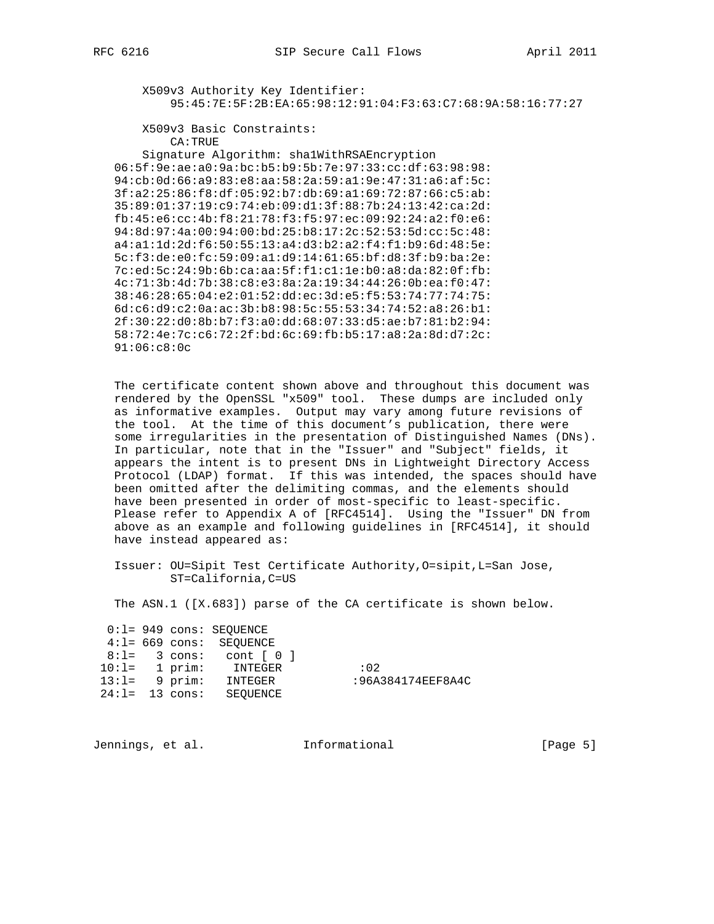X509v3 Authority Key Identifier: 95:45:7E:5F:2B:EA:65:98:12:91:04:F3:63:C7:68:9A:58:16:77:27 X509v3 Basic Constraints: CA: TRUE Signature Algorithm: shalWithRSAEncryption 06:5f:9e:ae:a0:9a:bc:b5:b9:5b:7e:97:33:cc:df:63:98:98: 94:cb:0d:66:a9:83:e8:aa:58:2a:59:a1:9e:47:31:a6:af:5c: 3f:a2:25:86:f8:df:05:92:b7:db:69:a1:69:72:87:66:c5:ab: 35:89:01:37:19:c9:74:eb:09:d1:3f:88:7b:24:13:42:ca:2d: fb:45:e6:cc:4b:f8:21:78:f3:f5:97:ec:09:92:24:a2:f0:e6: 94:8d:97:4a:00:94:00:bd:25:b8:17:2c:52:53:5d:cc:5c:48: a4:a1:1d:2d:f6:50:55:13:a4:d3:b2:a2:f4:f1:b9:6d:48:5e: 5c:f3:de:e0:fc:59:09:a1:d9:14:61:65:bf:d8:3f:b9:ba:2e: 7c:ed:5c:24:9b:6b:ca:aa:5f:f1:c1:1e:b0:a8:da:82:0f:fb: 4c:71:3b:4d:7b:38:c8:e3:8a:2a:19:34:44:26:0b:ea:f0:47: 38:46:28:65:04:e2:01:52:dd:ec:3d:e5:f5:53:74:77:74:75:  $6d: c6: d9: c2: 0a: ac: 3b: b8: 98: 5c: 55: 53: 34: 74: 52: a8: 26: b1:$ 2f:30:22:d0:8b:b7:f3:a0:dd:68:07:33:d5:ae:b7:81:b2:94: 58:72:4e:7c:c6:72:2f:bd:6c:69:fb:b5:17:a8:2a:8d:d7:2c:  $91:06:CB:0c$ 

The certificate content shown above and throughout this document was rendered by the OpenSSL "x509" tool. These dumps are included only as informative examples. Output may vary among future revisions of the tool. At the time of this document's publication, there were some irregularities in the presentation of Distinguished Names (DNs). In particular, note that in the "Issuer" and "Subject" fields, it appears the intent is to present DNs in Lightweight Directory Access Protocol (LDAP) format. If this was intended, the spaces should have been omitted after the delimiting commas, and the elements should have been presented in order of most-specific to least-specific. Please refer to Appendix A of [RFC4514]. Using the "Issuer" DN from above as an example and following guidelines in [RFC4514], it should have instead appeared as:

Issuer: OU=Sipit Test Certificate Authority, O=sipit, L=San Jose, ST=California, C=US

The ASN.1  $([X.683])$  parse of the CA certificate is shown below.

 $0:1=949$  cons: SEQUENCE 4:1= 669 cons: SEQUENCE  $8:1=$  3 cons: cont  $[0]$  $8:1 = 3$  CONS. CONSTRUEGER<br>10:1= 1 prim: INTEGER  $: 02$ 13:1= 9 prim: INTEGER :96A384174EEF8A4C 24:1= 13 cons: SEQUENCE

Jennings, et al. [Informational

 $[Page 5]$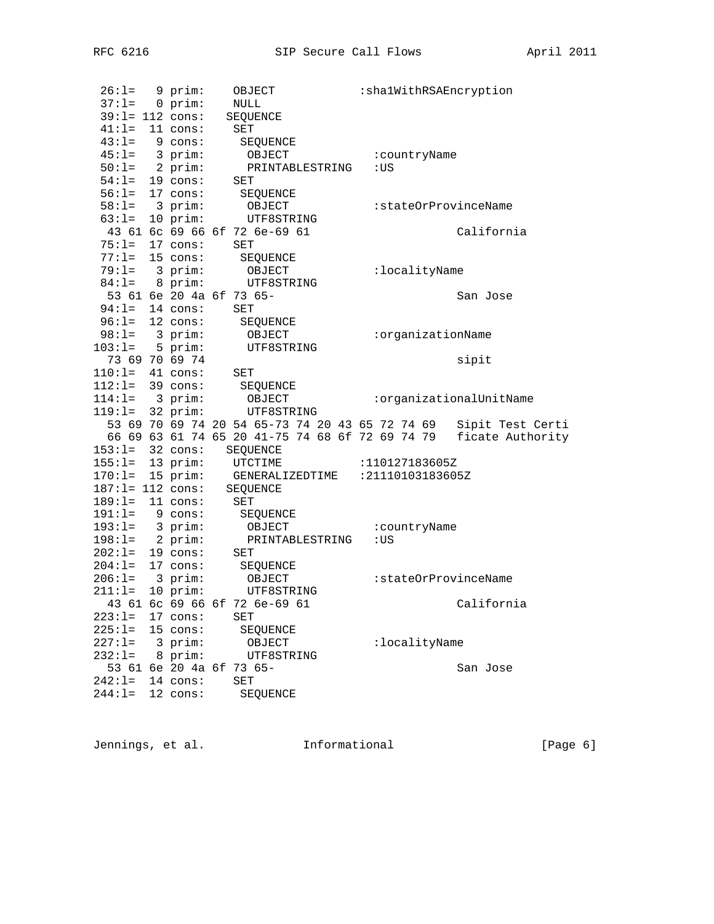| $26:1=$                         | 9 prim:                  |                                |                             | OBJECT                                          |          |  |  |  |     |  |                  | :sha1WithRSAEncryption  |                  |  |  |  |  |
|---------------------------------|--------------------------|--------------------------------|-----------------------------|-------------------------------------------------|----------|--|--|--|-----|--|------------------|-------------------------|------------------|--|--|--|--|
| $37:1=$ 0 prim:                 |                          |                                | NULL                        |                                                 |          |  |  |  |     |  |                  |                         |                  |  |  |  |  |
| $39:1 = 112 \text{ cons}:$      |                          |                                |                             | SEQUENCE                                        |          |  |  |  |     |  |                  |                         |                  |  |  |  |  |
| $41:1=$ 11 cons:                |                          |                                | SET                         |                                                 |          |  |  |  |     |  |                  |                         |                  |  |  |  |  |
| $43:1= 9 \text{ cons}:$         |                          |                                |                             | SEQUENCE                                        |          |  |  |  |     |  |                  |                         |                  |  |  |  |  |
| $45:1=$ 3 prim:                 |                          |                                |                             | OBJECT                                          |          |  |  |  |     |  | :countryName     |                         |                  |  |  |  |  |
| $50:1=$ 2 prim:                 |                          |                                |                             | PRINTABLESTRING                                 |          |  |  |  | :US |  |                  |                         |                  |  |  |  |  |
| $54:1= 19 \text{ cons}:$        |                          |                                | SET                         |                                                 |          |  |  |  |     |  |                  |                         |                  |  |  |  |  |
| $56:1= 17 \text{ cons}:$        |                          |                                |                             | SEQUENCE                                        |          |  |  |  |     |  |                  |                         |                  |  |  |  |  |
| $58:1=$ 3 prim:                 |                          |                                |                             | OBJECT                                          |          |  |  |  |     |  |                  | :stateOrProvinceName    |                  |  |  |  |  |
| $63:1=$                         | 10 prim:                 |                                |                             | UTF8STRING                                      |          |  |  |  |     |  |                  |                         |                  |  |  |  |  |
|                                 |                          |                                |                             | 43 61 6c 69 66 6f 72 6e-69 61                   |          |  |  |  |     |  |                  | California              |                  |  |  |  |  |
| $75:1= 17 \text{ cons}:$        |                          |                                | SET                         |                                                 |          |  |  |  |     |  |                  |                         |                  |  |  |  |  |
| $77:1=$ 15 cons:                |                          |                                |                             | SEQUENCE                                        |          |  |  |  |     |  |                  |                         |                  |  |  |  |  |
| $79:1=$ 3 prim:                 |                          |                                | :localityName<br>OBJECT     |                                                 |          |  |  |  |     |  |                  |                         |                  |  |  |  |  |
| $84:1=$ 8 prim:                 |                          |                                |                             | UTF8STRING                                      |          |  |  |  |     |  |                  |                         |                  |  |  |  |  |
| 53 61 6e 20 4a 6f 73 65-        |                          |                                |                             |                                                 | San Jose |  |  |  |     |  |                  |                         |                  |  |  |  |  |
| $94:1= 14 \text{ cons}:$        |                          |                                | SET                         |                                                 |          |  |  |  |     |  |                  |                         |                  |  |  |  |  |
| $96:1= 12 \text{ cons}:$        |                          |                                | SEQUENCE                    |                                                 |          |  |  |  |     |  |                  |                         |                  |  |  |  |  |
| $98:1=$ 3 prim:                 |                          |                                | :organizationName<br>OBJECT |                                                 |          |  |  |  |     |  |                  |                         |                  |  |  |  |  |
| $103:1= 5 print:$               |                          |                                | UTF8STRING                  |                                                 |          |  |  |  |     |  |                  |                         |                  |  |  |  |  |
|                                 | 73 69 70 69 74           |                                | sipit                       |                                                 |          |  |  |  |     |  |                  |                         |                  |  |  |  |  |
| $110:1= 41 \text{ cons}:$       |                          |                                | SET                         |                                                 |          |  |  |  |     |  |                  |                         |                  |  |  |  |  |
| $112:1= 39 \text{ cons}:$       |                          |                                |                             | SEQUENCE                                        |          |  |  |  |     |  |                  |                         |                  |  |  |  |  |
|                                 |                          |                                |                             | OBJECT                                          |          |  |  |  |     |  |                  |                         |                  |  |  |  |  |
| $114:1=$ 3 prim:                |                          |                                |                             |                                                 |          |  |  |  |     |  |                  | :organizationalUnitName |                  |  |  |  |  |
| $119:1= 32 \text{ prim}:$       |                          |                                |                             | UTF8STRING                                      |          |  |  |  |     |  |                  |                         |                  |  |  |  |  |
|                                 |                          |                                |                             | 53 69 70 69 74 20 54 65-73 74 20 43 65 72 74 69 |          |  |  |  |     |  |                  |                         | Sipit Test Certi |  |  |  |  |
|                                 |                          |                                |                             | 66 69 63 61 74 65 20 41-75 74 68 6f 72 69 74 79 |          |  |  |  |     |  |                  |                         | ficate Authority |  |  |  |  |
| $153:1= 32 \text{ cons}:$       |                          |                                |                             | SEQUENCE                                        |          |  |  |  |     |  |                  |                         |                  |  |  |  |  |
| 155:1= 13 prim: UTCTIME         |                          |                                |                             |                                                 |          |  |  |  |     |  | :110127183605Z   |                         |                  |  |  |  |  |
| 170:1= 15 prim: GENERALIZEDTIME |                          |                                |                             |                                                 |          |  |  |  |     |  | :21110103183605Z |                         |                  |  |  |  |  |
| $187:1= 112 \text{ cons}:$      |                          |                                |                             | SEQUENCE                                        |          |  |  |  |     |  |                  |                         |                  |  |  |  |  |
| $189:1= 11 \text{ cons}:$       |                          |                                | SET                         |                                                 |          |  |  |  |     |  |                  |                         |                  |  |  |  |  |
| $191:1= 9 \text{ cons}:$        |                          |                                |                             | SEQUENCE                                        |          |  |  |  |     |  |                  |                         |                  |  |  |  |  |
| $193:1=$ 3 prim:                |                          |                                |                             | OBJECT                                          |          |  |  |  |     |  | :countryName     |                         |                  |  |  |  |  |
| 198:1=                          | 2 prim:                  |                                |                             | PRINTABLESTRING                                 |          |  |  |  | :US |  |                  |                         |                  |  |  |  |  |
| $202:1= 19 \text{ cons}:$       |                          |                                | SET                         |                                                 |          |  |  |  |     |  |                  |                         |                  |  |  |  |  |
| $204:1=$                        | 17 cons:                 |                                |                             | SEQUENCE                                        |          |  |  |  |     |  |                  |                         |                  |  |  |  |  |
| $206:1=$ 3 prim:                |                          | :stateOrProvinceName<br>OBJECT |                             |                                                 |          |  |  |  |     |  |                  |                         |                  |  |  |  |  |
| $211:1=$                        | 10 prim:                 |                                |                             | UTF8STRING                                      |          |  |  |  |     |  |                  |                         |                  |  |  |  |  |
|                                 |                          |                                |                             | 43 61 6c 69 66 6f 72 6e-69 61                   |          |  |  |  |     |  |                  | California              |                  |  |  |  |  |
| $223:1=$                        | 17 cons:                 |                                | SET                         |                                                 |          |  |  |  |     |  |                  |                         |                  |  |  |  |  |
| $225:1=$ 15 cons: SEQUENCE      |                          |                                |                             |                                                 |          |  |  |  |     |  |                  |                         |                  |  |  |  |  |
| $227:1=$                        | 3 prim:                  |                                |                             | OBJECT                                          |          |  |  |  |     |  | : localityName   |                         |                  |  |  |  |  |
| $232:1 = 8$ prim: $UTF8STRING$  |                          |                                |                             |                                                 |          |  |  |  |     |  |                  |                         |                  |  |  |  |  |
|                                 | 53 61 6e 20 4a 6f 73 65- |                                |                             |                                                 |          |  |  |  |     |  |                  | San Jose                |                  |  |  |  |  |
| $242:1= 14 \text{ cons}:$       |                          |                                | SET                         |                                                 |          |  |  |  |     |  |                  |                         |                  |  |  |  |  |
|                                 |                          | 244:1= 12 cons: SEQUENCE       |                             |                                                 |          |  |  |  |     |  |                  |                         |                  |  |  |  |  |
|                                 |                          |                                |                             |                                                 |          |  |  |  |     |  |                  |                         |                  |  |  |  |  |

Jennings, et al. 1nformational 1999 [Page 6]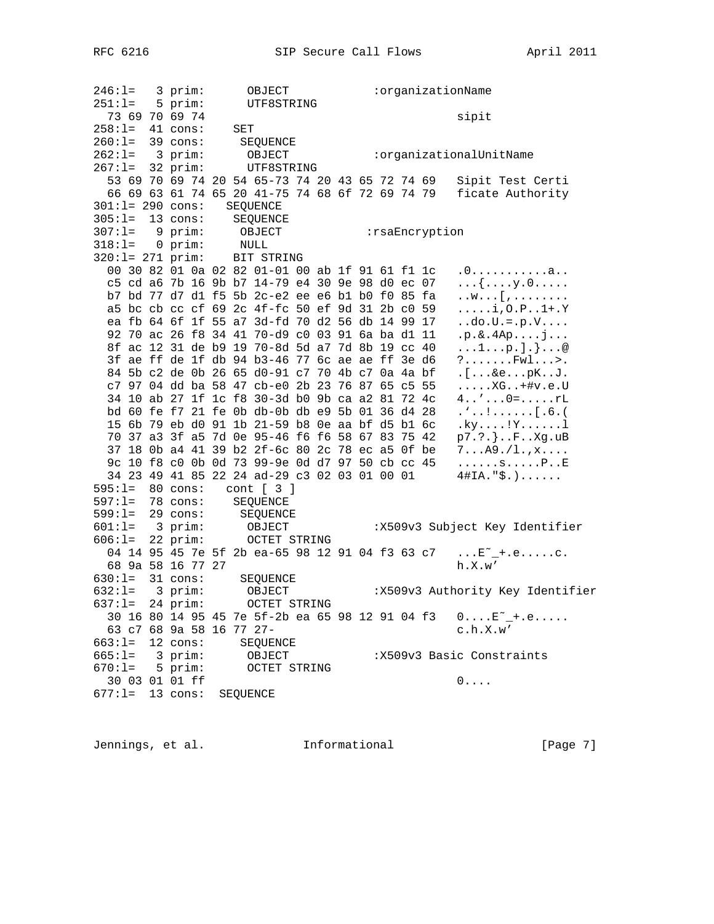| $246:1=$                  | 3 prim:             | OBJECT                                          | :organizationName |  |  |  |                |                                                                       |  |  |  |  |
|---------------------------|---------------------|-------------------------------------------------|-------------------|--|--|--|----------------|-----------------------------------------------------------------------|--|--|--|--|
| $251:1=$                  | 5 prim:             | UTF8STRING                                      |                   |  |  |  |                |                                                                       |  |  |  |  |
| 73 69 70 69 74            |                     |                                                 |                   |  |  |  |                | sipit                                                                 |  |  |  |  |
| $258:1= 41 \text{ cons}:$ |                     | SET                                             |                   |  |  |  |                |                                                                       |  |  |  |  |
| $260:1= 39 \text{ cons}:$ |                     | SEQUENCE                                        |                   |  |  |  |                |                                                                       |  |  |  |  |
| $262:1=$ 3 prim:          |                     | OBJECT                                          |                   |  |  |  |                | :organizationalUnitName                                               |  |  |  |  |
| 267:1=                    | 32 prim:            | UTF8STRING                                      |                   |  |  |  |                |                                                                       |  |  |  |  |
|                           |                     | 53 69 70 69 74 20 54 65-73 74 20 43 65 72 74 69 |                   |  |  |  |                | Sipit Test Certi                                                      |  |  |  |  |
|                           |                     | 66 69 63 61 74 65 20 41-75 74 68 6f 72 69 74 79 |                   |  |  |  |                | ficate Authority                                                      |  |  |  |  |
| $301:1=290 \text{ cons}:$ |                     | SEQUENCE                                        |                   |  |  |  |                |                                                                       |  |  |  |  |
| $305:1=$                  | 13 cons:            | SEQUENCE                                        |                   |  |  |  |                |                                                                       |  |  |  |  |
| $307:1=$                  | 9 prim:             |                                                 |                   |  |  |  | :rsaEncryption |                                                                       |  |  |  |  |
| $318:1= 0 \text{ prim}:$  |                     | OBJECT<br>NULL                                  |                   |  |  |  |                |                                                                       |  |  |  |  |
|                           |                     | $320:1 = 271$ prim: BIT STRING                  |                   |  |  |  |                |                                                                       |  |  |  |  |
|                           |                     | 00 30 82 01 0a 02 82 01-01 00 ab 1f 91 61 f1 1c |                   |  |  |  |                |                                                                       |  |  |  |  |
|                           |                     | c5 cd a6 7b 16 9b b7 14-79 e4 30 9e 98 d0 ec 07 |                   |  |  |  |                | $\ldots\{\ldots y.0 \ldots\}$                                         |  |  |  |  |
|                           |                     | b7 bd 77 d7 d1 f5 5b 2c-e2 ee e6 b1 b0 f0 85 fa |                   |  |  |  |                | . . w [ <i>,</i>                                                      |  |  |  |  |
|                           |                     | a5 bc cb cc cf 69 2c 4f-fc 50 ef 9d 31 2b c0 59 |                   |  |  |  |                | $\ldots$ . $i, 0. P \ldots 1 + . Y$                                   |  |  |  |  |
|                           |                     | ea fb 64 6f 1f 55 a7 3d-fd 70 d2 56 db 14 99 17 |                   |  |  |  |                | $.do.U.=.p.V$                                                         |  |  |  |  |
|                           |                     | 92 70 ac 26 f8 34 41 70-d9 c0 03 91 6a ba d1 11 |                   |  |  |  |                | $\cdot p \cdot \& \cdot 4Ap \cdot \ldots j \ldots$                    |  |  |  |  |
|                           |                     | 8f ac 12 31 de b9 19 70-8d 5d a7 7d 8b 19 cc 40 |                   |  |  |  |                | $\dots 1 \dots p.$ ].} $\dots @$                                      |  |  |  |  |
|                           |                     |                                                 |                   |  |  |  |                |                                                                       |  |  |  |  |
|                           |                     | 3f ae ff de 1f db 94 b3-46 77 6c ae ae ff 3e d6 |                   |  |  |  |                | $? \ldots \ldots$ . Fwl $>$ .                                         |  |  |  |  |
|                           |                     | 84 5b c2 de 0b 26 65 d0-91 c7 70 4b c7 0a 4a bf |                   |  |  |  |                | $.$ [&ep $K$ J.                                                       |  |  |  |  |
|                           |                     | c7 97 04 dd ba 58 47 cb-e0 2b 23 76 87 65 c5 55 |                   |  |  |  |                | $\ldots$ . XG. $.$ + $\#$ v. e. U                                     |  |  |  |  |
|                           |                     | 34 10 ab 27 1f 1c f8 30-3d b0 9b ca a2 81 72 4c |                   |  |  |  |                | $4 \ldots \ldots 0 = \ldots \ldots rL$                                |  |  |  |  |
|                           |                     | bd 60 fe f7 21 fe 0b db-0b db e9 5b 01 36 d4 28 |                   |  |  |  |                | $\ldots$ 6 . (                                                        |  |  |  |  |
|                           |                     | 15 6b 79 eb d0 91 1b 21-59 b8 0e aa bf d5 b1 6c |                   |  |  |  |                | $\ldots$ : $\ldots$ . $\ldots$ . $\ldots$                             |  |  |  |  |
|                           |                     | 70 37 a3 3f a5 7d 0e 95-46 f6 f6 58 67 83 75 42 |                   |  |  |  |                | $p7. ?. \}$ $F. . Xg. uB$                                             |  |  |  |  |
|                           |                     | 37 18 0b a4 41 39 b2 2f-6c 80 2c 78 ec a5 0f be |                   |  |  |  |                | 7A9./1., x                                                            |  |  |  |  |
|                           |                     | 9c 10 f8 c0 0b 0d 73 99-9e 0d d7 97 50 cb cc 45 |                   |  |  |  |                | $\ldots \ldots$ s $P \ldots E$                                        |  |  |  |  |
|                           |                     | 34 23 49 41 85 22 24 ad-29 c3 02 03 01 00 01    |                   |  |  |  |                | $4#IA.$ " $$.$ )                                                      |  |  |  |  |
| $595:1= 80 \text{ cons}:$ |                     | cont [ 3 ]                                      |                   |  |  |  |                |                                                                       |  |  |  |  |
| 597:1=                    | 78 cons:            | SEQUENCE                                        |                   |  |  |  |                |                                                                       |  |  |  |  |
| 599:1=                    | 29 cons:            | SEQUENCE                                        |                   |  |  |  |                |                                                                       |  |  |  |  |
| $601:1=$ 3 prim:          |                     | OBJECT                                          |                   |  |  |  |                | :X509v3 Subject Key Identifier                                        |  |  |  |  |
| $606:1= 22 \text{ prim}:$ |                     | OCTET STRING                                    |                   |  |  |  |                |                                                                       |  |  |  |  |
|                           |                     |                                                 |                   |  |  |  |                | 04 14 95 45 7e 5f 2b ea-65 98 12 91 04 f3 63 c7 E <sup>~</sup> _+.ec. |  |  |  |  |
| 68 9a 58 16 77 27         |                     |                                                 |                   |  |  |  |                | h.X.w'                                                                |  |  |  |  |
| $630:1=$                  | 31 cons:            | SEQUENCE                                        |                   |  |  |  |                |                                                                       |  |  |  |  |
| 632:1=                    | 3 prim:             | OBJECT                                          |                   |  |  |  |                | :X509v3 Authority Key Identifier                                      |  |  |  |  |
| $637:1=$                  | 24 prim:            | OCTET STRING                                    |                   |  |  |  |                |                                                                       |  |  |  |  |
|                           |                     | 30 16 80 14 95 45 7e 5f-2b ea 65 98 12 91 04 f3 |                   |  |  |  |                | $0 \ldots$ . $E^{\sim}$ + . e                                         |  |  |  |  |
|                           |                     | 63 c7 68 9a 58 16 77 27-                        |                   |  |  |  |                | $c.h.X.w'$                                                            |  |  |  |  |
| 663:1=                    | $12 \text{ cons}$ : | SEQUENCE                                        |                   |  |  |  |                |                                                                       |  |  |  |  |
| 665:1=                    | 3 prim:             | OBJECT                                          |                   |  |  |  |                | :X509v3 Basic Constraints                                             |  |  |  |  |
| 670:1=                    | 5 prim:             | OCTET STRING                                    |                   |  |  |  |                |                                                                       |  |  |  |  |
| 30 03 01 01 ff            |                     |                                                 |                   |  |  |  |                | $0 \ldots$                                                            |  |  |  |  |
| $677:1= 13 \text{ cons}:$ |                     | SEQUENCE                                        |                   |  |  |  |                |                                                                       |  |  |  |  |
|                           |                     |                                                 |                   |  |  |  |                |                                                                       |  |  |  |  |

Jennings, et al. 1nformational

[Page 7]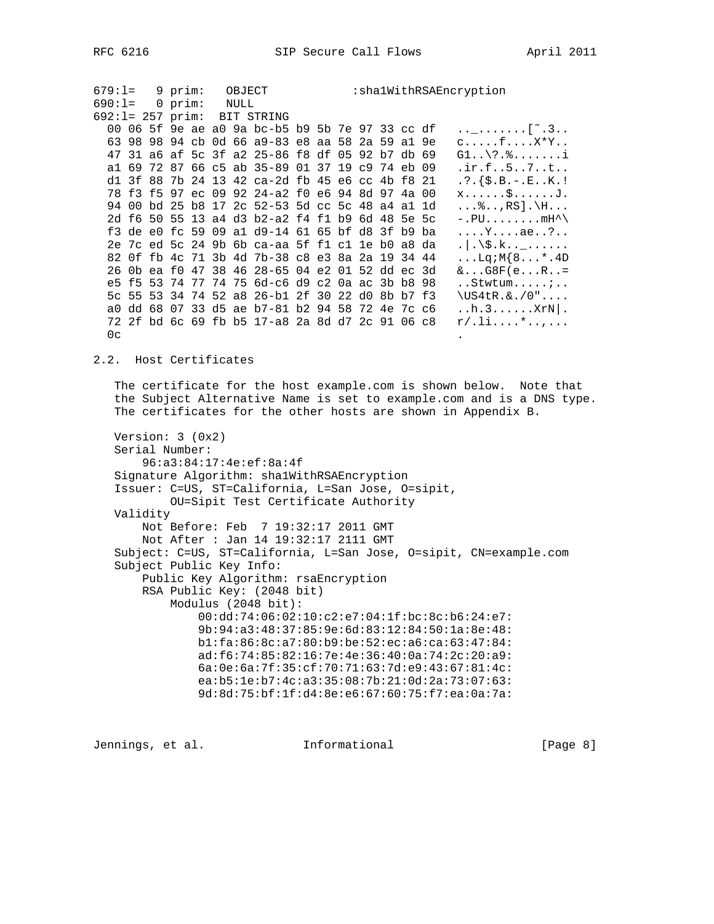April 2011

RFC 6216

|                |                          |  | $679:1=$ 9 prim: OBJECT |      |                                                 | :sha1WithRSAEncryption |                                                                       |  |  |  |  |  |                                                                    |  |  |  |
|----------------|--------------------------|--|-------------------------|------|-------------------------------------------------|------------------------|-----------------------------------------------------------------------|--|--|--|--|--|--------------------------------------------------------------------|--|--|--|
|                | $690:1= 0 \text{ prim}:$ |  |                         | NULL |                                                 |                        |                                                                       |  |  |  |  |  |                                                                    |  |  |  |
|                |                          |  |                         |      | 692:1= 257 prim: BIT STRING                     |                        |                                                                       |  |  |  |  |  |                                                                    |  |  |  |
|                |                          |  |                         |      | 00 06 5f 9e ae a0 9a bc-b5 b9 5b 7e 97 33 cc df |                        |                                                                       |  |  |  |  |  | $\dots$ _ $\dots$ $[^{\sim}$ .3                                    |  |  |  |
|                |                          |  |                         |      | 63 98 98 94 cb 0d 66 a9-83 e8 aa 58 2a 59 a1 9e |                        |                                                                       |  |  |  |  |  | $c \ldots f \ldots X^*Y \ldots$                                    |  |  |  |
|                |                          |  |                         |      | 47 31 a6 af 5c 3f a2 25-86 f8 df 05 92 b7 db 69 |                        |                                                                       |  |  |  |  |  | $GL. \backslash ?.$ i                                              |  |  |  |
|                |                          |  |                         |      | al 69 72 87 66 c5 ab 35-89 01 37 19 c9 74 eb 09 |                        |                                                                       |  |  |  |  |  | .ir.f. .5. .7. .t.                                                 |  |  |  |
|                |                          |  |                         |      | d1 3f 88 7b 24 13 42 ca-2d fb 45 e6 cc 4b f8 21 |                        |                                                                       |  |  |  |  |  | $. ?. { $.B. - .E. .K. }$                                          |  |  |  |
|                |                          |  |                         |      | 78 f3 f5 97 ec 09 92 24-a2 f0 e6 94 8d 97 4a 00 |                        |                                                                       |  |  |  |  |  | $x \ldots$ . $\ddot{s} \ldots \ldots$ J.                           |  |  |  |
|                |                          |  |                         |      | 94 00 bd 25 b8 17 2c 52-53 5d cc 5c 48 a4 a1 1d |                        |                                                                       |  |  |  |  |  | $\ldots$ $\ldots$ RS $\ldots$                                      |  |  |  |
|                |                          |  |                         |      | 2d f6 50 55 13 a4 d3 b2-a2 f4 f1 b9 6d 48 5e 5c |                        |                                                                       |  |  |  |  |  | $- PU \ldots \ldots$ mH <sup><math>\wedge</math></sup>             |  |  |  |
|                |                          |  |                         |      | f3 de e0 fc 59 09 a1 d9-14 61 65 bf d8 3f b9 ba |                        |                                                                       |  |  |  |  |  | , Yaae?                                                            |  |  |  |
|                |                          |  |                         |      | 2e 7c ed 5c 24 9b 6b ca-aa 5f f1 c1 1e b0 a8 da |                        |                                                                       |  |  |  |  |  | $.   . \$ , k.                                                     |  |  |  |
|                |                          |  |                         |      | 82 Of fb 4c 71 3b 4d 7b-38 c8 e3 8a 2a 19 34 44 |                        |                                                                       |  |  |  |  |  | $\ldots$ Lq;M $\{8 \ldots$ *.4D                                    |  |  |  |
|                |                          |  |                         |      | 26 Ob ea f0 47 38 46 28-65 04 e2 01 52 dd ec 3d |                        |                                                                       |  |  |  |  |  |                                                                    |  |  |  |
|                |                          |  |                         |      |                                                 |                        |                                                                       |  |  |  |  |  | $&GBF(eR.)=$                                                       |  |  |  |
|                |                          |  |                         |      | e5 f5 53 74 77 74 75 6d-c6 d9 c2 0a ac 3b b8 98 |                        |                                                                       |  |  |  |  |  | $$ Stwtum $$                                                       |  |  |  |
|                |                          |  |                         |      | 5c 55 53 34 74 52 a8 26-b1 2f 30 22 d0 8b b7 f3 |                        |                                                                       |  |  |  |  |  | $\text{US4tr.}\&. /0"$                                             |  |  |  |
|                |                          |  |                         |      | a0 dd 68 07 33 d5 ae b7-81 b2 94 58 72 4e 7c c6 |                        |                                                                       |  |  |  |  |  | $\ldots$ h. 3. $\ldots$ $\ldots$ XrN $\vert$ .                     |  |  |  |
|                |                          |  |                         |      | 72 2f bd 6c 69 fb b5 17-a8 2a 8d d7 2c 91 06 c8 |                        |                                                                       |  |  |  |  |  | $r/.1i*$                                                           |  |  |  |
| 0 <sup>c</sup> |                          |  |                         |      |                                                 |                        |                                                                       |  |  |  |  |  |                                                                    |  |  |  |
|                |                          |  |                         |      |                                                 |                        |                                                                       |  |  |  |  |  |                                                                    |  |  |  |
|                |                          |  | 2.2. Host Certificates  |      |                                                 |                        |                                                                       |  |  |  |  |  |                                                                    |  |  |  |
|                |                          |  |                         |      |                                                 |                        |                                                                       |  |  |  |  |  |                                                                    |  |  |  |
|                |                          |  |                         |      |                                                 |                        |                                                                       |  |  |  |  |  | The certificate for the host example.com is shown below. Note that |  |  |  |
|                |                          |  |                         |      |                                                 |                        | the Subject Alternative Name is set to example.com and is a DNS type. |  |  |  |  |  |                                                                    |  |  |  |

The certificates for the other hosts are shown in Appendix B. Version:  $3(0x2)$ Serial Number: 96:a3:84:17:4e:ef:8a:4f Signature Algorithm: shalWithRSAEncryption Issuer: C=US, ST=California, L=San Jose, O=sipit, OU=Sipit Test Certificate Authority Validity Not Before: Feb 7 19:32:17 2011 GMT Not After : Jan 14 19:32:17 2111 GMT Subject: C=US, ST=California, L=San Jose, O=sipit, CN=example.com Subject Public Key Info: Public Key Algorithm: rsaEncryption RSA Public Key: (2048 bit) Modulus (2048 bit): 00:dd:74:06:02:10:c2:e7:04:1f:bc:8c:b6:24:e7: 9b:94:a3:48:37:85:9e:6d:83:12:84:50:1a:8e:48: bl:fa:86:8c:a7:80:b9:be:52:ec:a6:ca:63:47:84: ad:f6:74:85:82:16:7e:4e:36:40:0a:74:2c:20:a9: 6a:0e:6a:7f:35:cf:70:71:63:7d:e9:43:67:81:4c: ea:b5:1e:b7:4c:a3:35:08:7b:21:0d:2a:73:07:63: 9d:8d:75:bf:1f:d4:8e:e6:67:60:75:f7:ea:0a:7a:

Jennings, et al. 1nformational

[Page 8]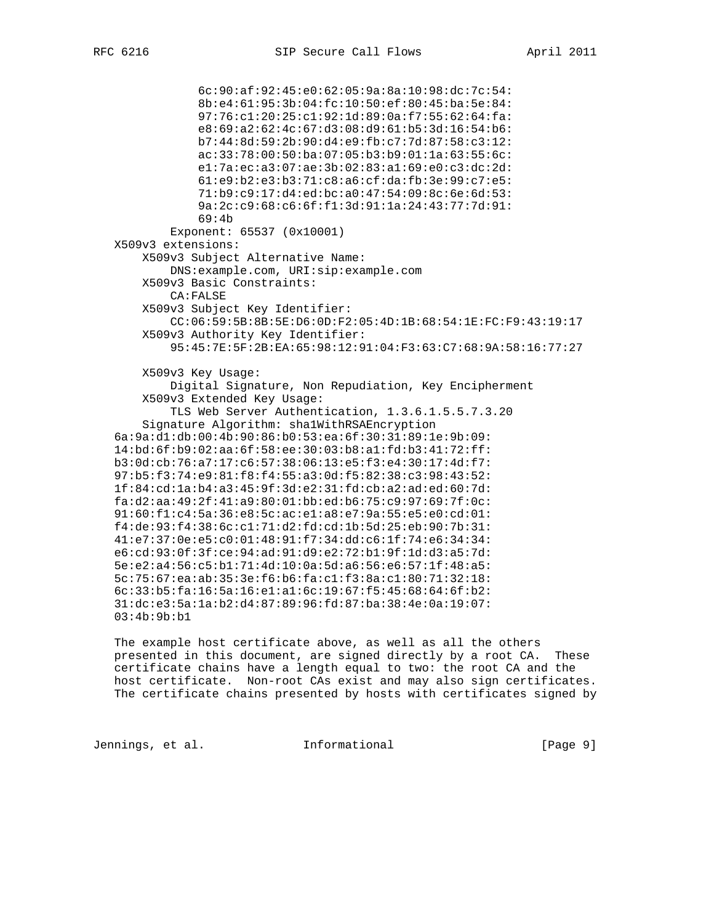```
6c:90:af:92:45:e0:62:05:9a:8a:10:98:dc:7c:54:
            8b:e4:61:95:3b:04:fc:10:50:ef:80:45:ba:5e:84:
            97:76:cl:20:25:cl:92:1d:89:0a:f7:55:62:64:fa:
            e8:69:a2:62:4c:67:d3:08:d9:61:b5:3d:16:54:b6:
            b7:44:8d:59:2b:90:d4:e9:fb:c7:7d:87:58:c3:12:
            ac:33:78:00:50:ba:07:05:b3:b9:01:1a:63:55:6c:
            e1:7a:ec: a3:07:ae:3b:02:83: a1:69: e0: c3:dc:2d:61: e9:b2:e3:b3:71:c8:a6:cf:da:fb:3e:99:c7:e5:71:b9:c9:17:d4:ed:bc:a0:47:54:09:8c:6e:6d:53:9a:2c:c9:68:c6:6f:f1:3d:91:1a:24:43:77:7d:91:
            69:4bExponent: 65537 (0x10001)
X509v3 extensions:
    X509v3 Subject Alternative Name:
        DNS: example.com, URI: sip: example.com
    X509v3 Basic Constraints:
        CA:FALSEX509v3 Subject Key Identifier:
       CC:06:59:5B:8B:5E:D6:0D:F2:05:4D:1B:68:54:1E:FC:F9:43:19:17
    X509v3 Authority Key Identifier:
        95:45:7E:5F:2B:EA:65:98:12:91:04:F3:63:C7:68:9A:58:16:77:27
   X509v3 Key Usage:
        Digital Signature, Non Repudiation, Key Encipherment
    X509v3 Extended Key Usage:
        TLS Web Server Authentication, 1.3.6.1.5.5.7.3.20
    Signature Algorithm: shalWithRSAEncryption
6a:9a:dl:db:00:4b:90:86:b0:53:ea:6f:30:31:89:1e:9b:09:
14:bd:6f:b9:02:aa:6f:58:ee:30:03:b8:al:fd:b3:41:72:ff:
b3:0d:cb:76:a7:17:c6:57:38:06:13:e5:f3:e4:30:17:4d:f7:
97:b5:f3:74:e9:81:f8:f4:55:a3:0d:f5:82:38:c3:98:43:52:
1f:84:cd:1a:b4:a3:45:9f:3d:e2:31:fd:cb:a2:ad:ed:60:7d:fa:d2:aa:49:2f:41:a9:80:01:bb:ed:b6:75:c9:97:69:7f:0c:
91:60:f1:c4:5a:36:e8:5c:ac:e1:a8:e7:9a:55:e5:e0:cd:01:
f4:de:93:f4:38:6c:cl:71:d2:fd:cd:1b:5d:25:eb:90:7b:31:41:e7:37:0e:e5:c0:01:48:91:f7:34:dd:c6:1f:74:e6:34:34:
e6:cd:93:0f:3f:ce:94:ad:91:d9:e2:72:b1:9f:1d:d3:a5:7d:
5e:e2:a4:56:c5:b1:71:4d:10:0a:5d:a6:56:e6:57:1f:48:a5:
5c:75:67:ea:ab:35:3e:f6:b6:fa:c1:f3:8a:c1:80:71:32:18:
6c:33:b5:fa:16:5a:16:e1:a1:6c:19:67:f5:45:68:64:6f:b2:
31:dc:e3:5a:1a:b2:d4:87:89:96:fd:87:ba:38:4e:0a:19:07:
03:4b:9b:b1
```
The example host certificate above, as well as all the others presented in this document, are signed directly by a root CA. These certificate chains have a length equal to two: the root CA and the host certificate. Non-root CAs exist and may also sign certificates. The certificate chains presented by hosts with certificates signed by

Jennings, et al. [Informational

 $[Page 9]$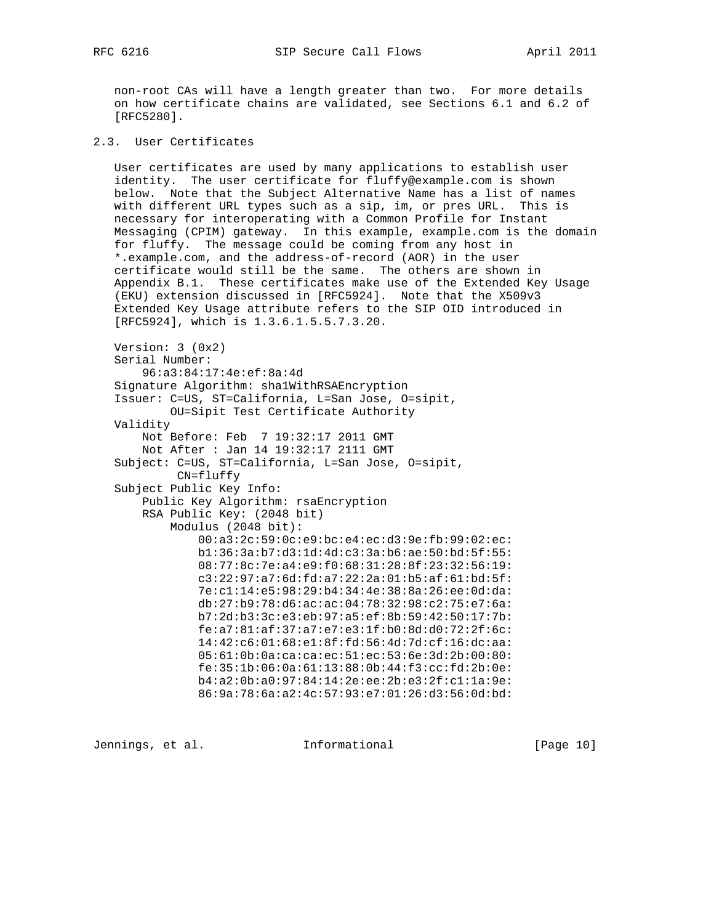non-root CAs will have a length greater than two. For more details on how certificate chains are validated, see Sections 6.1 and 6.2 of [RFC5280].

2.3. User Certificates

 User certificates are used by many applications to establish user identity. The user certificate for fluffy@example.com is shown below. Note that the Subject Alternative Name has a list of names with different URL types such as a sip, im, or pres URL. This is necessary for interoperating with a Common Profile for Instant Messaging (CPIM) gateway. In this example, example.com is the domain for fluffy. The message could be coming from any host in \*.example.com, and the address-of-record (AOR) in the user certificate would still be the same. The others are shown in Appendix B.1. These certificates make use of the Extended Key Usage (EKU) extension discussed in [RFC5924]. Note that the X509v3 Extended Key Usage attribute refers to the SIP OID introduced in [RFC5924], which is 1.3.6.1.5.5.7.3.20.

```
 Version: 3 (0x2)
 Serial Number:
     96:a3:84:17:4e:ef:8a:4d
 Signature Algorithm: sha1WithRSAEncryption
 Issuer: C=US, ST=California, L=San Jose, O=sipit,
         OU=Sipit Test Certificate Authority
 Validity
     Not Before: Feb 7 19:32:17 2011 GMT
     Not After : Jan 14 19:32:17 2111 GMT
 Subject: C=US, ST=California, L=San Jose, O=sipit,
          CN=fluffy
 Subject Public Key Info:
     Public Key Algorithm: rsaEncryption
     RSA Public Key: (2048 bit)
         Modulus (2048 bit):
             00:a3:2c:59:0c:e9:bc:e4:ec:d3:9e:fb:99:02:ec:
             b1:36:3a:b7:d3:1d:4d:c3:3a:b6:ae:50:bd:5f:55:
             08:77:8c:7e:a4:e9:f0:68:31:28:8f:23:32:56:19:
             c3:22:97:a7:6d:fd:a7:22:2a:01:b5:af:61:bd:5f:
             7e:c1:14:e5:98:29:b4:34:4e:38:8a:26:ee:0d:da:
             db:27:b9:78:d6:ac:ac:04:78:32:98:c2:75:e7:6a:
             b7:2d:b3:3c:e3:eb:97:a5:ef:8b:59:42:50:17:7b:
             fe:a7:81:af:37:a7:e7:e3:1f:b0:8d:d0:72:2f:6c:
             14:42:c6:01:68:e1:8f:fd:56:4d:7d:cf:16:dc:aa:
             05:61:0b:0a:ca:ca:ec:51:ec:53:6e:3d:2b:00:80:
             fe:35:1b:06:0a:61:13:88:0b:44:f3:cc:fd:2b:0e:
             b4:a2:0b:a0:97:84:14:2e:ee:2b:e3:2f:c1:1a:9e:
             86:9a:78:6a:a2:4c:57:93:e7:01:26:d3:56:0d:bd:
```
Jennings, et al. Informational [Page 10]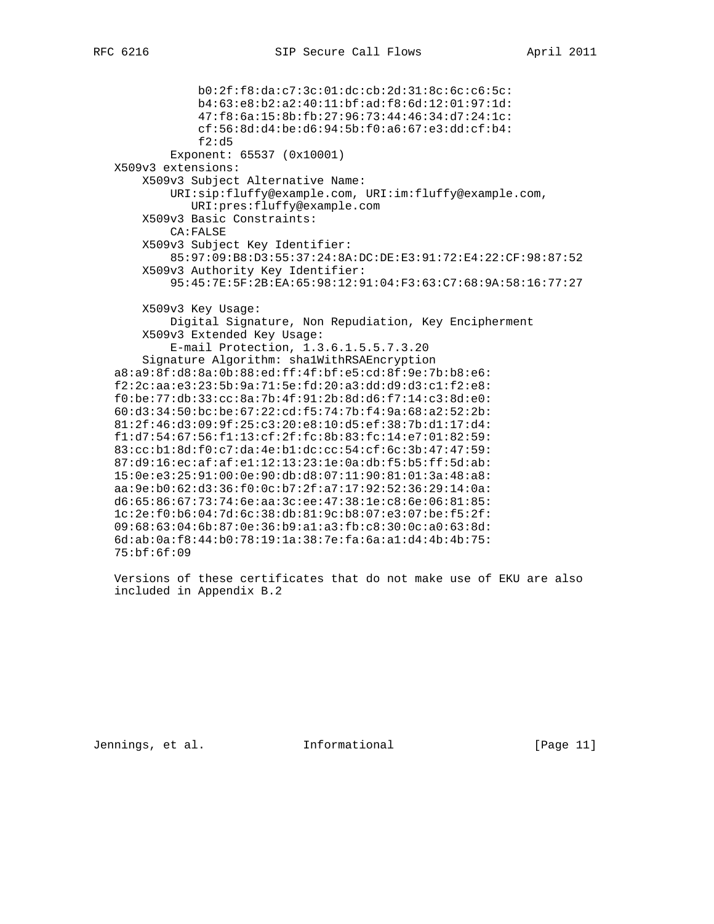```
 b0:2f:f8:da:c7:3c:01:dc:cb:2d:31:8c:6c:c6:5c:
             b4:63:e8:b2:a2:40:11:bf:ad:f8:6d:12:01:97:1d:
             47:f8:6a:15:8b:fb:27:96:73:44:46:34:d7:24:1c:
             cf:56:8d:d4:be:d6:94:5b:f0:a6:67:e3:dd:cf:b4:
             f2:d5
         Exponent: 65537 (0x10001)
 X509v3 extensions:
     X509v3 Subject Alternative Name:
         URI:sip:fluffy@example.com, URI:im:fluffy@example.com,
            URI:pres:fluffy@example.com
     X509v3 Basic Constraints:
         CA:FALSE
     X509v3 Subject Key Identifier:
         85:97:09:B8:D3:55:37:24:8A:DC:DE:E3:91:72:E4:22:CF:98:87:52
     X509v3 Authority Key Identifier:
         95:45:7E:5F:2B:EA:65:98:12:91:04:F3:63:C7:68:9A:58:16:77:27
     X509v3 Key Usage:
         Digital Signature, Non Repudiation, Key Encipherment
     X509v3 Extended Key Usage:
         E-mail Protection, 1.3.6.1.5.5.7.3.20
     Signature Algorithm: sha1WithRSAEncryption
 a8:a9:8f:d8:8a:0b:88:ed:ff:4f:bf:e5:cd:8f:9e:7b:b8:e6:
 f2:2c:aa:e3:23:5b:9a:71:5e:fd:20:a3:dd:d9:d3:c1:f2:e8:
 f0:be:77:db:33:cc:8a:7b:4f:91:2b:8d:d6:f7:14:c3:8d:e0:
 60:d3:34:50:bc:be:67:22:cd:f5:74:7b:f4:9a:68:a2:52:2b:
 81:2f:46:d3:09:9f:25:c3:20:e8:10:d5:ef:38:7b:d1:17:d4:
 f1:d7:54:67:56:f1:13:cf:2f:fc:8b:83:fc:14:e7:01:82:59:
 83:cc:b1:8d:f0:c7:da:4e:b1:dc:cc:54:cf:6c:3b:47:47:59:
 87:d9:16:ec:af:af:e1:12:13:23:1e:0a:db:f5:b5:ff:5d:ab:
 15:0e:e3:25:91:00:0e:90:db:d8:07:11:90:81:01:3a:48:a8:
 aa:9e:b0:62:d3:36:f0:0c:b7:2f:a7:17:92:52:36:29:14:0a:
 d6:65:86:67:73:74:6e:aa:3c:ee:47:38:1e:c8:6e:06:81:85:
 1c:2e:f0:b6:04:7d:6c:38:db:81:9c:b8:07:e3:07:be:f5:2f:
 09:68:63:04:6b:87:0e:36:b9:a1:a3:fb:c8:30:0c:a0:63:8d:
 6d:ab:0a:f8:44:b0:78:19:1a:38:7e:fa:6a:a1:d4:4b:4b:75:
 75:bf:6f:09
```
 Versions of these certificates that do not make use of EKU are also included in Appendix B.2

Jennings, et al. 1nformational 1999 [Page 11]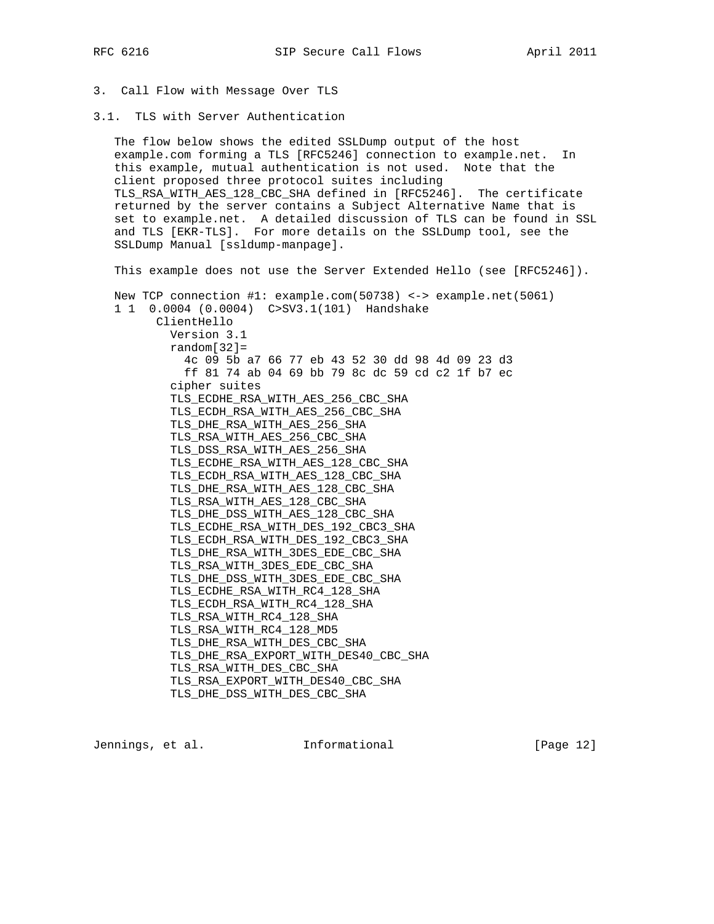# 3. Call Flow with Message Over TLS

# 3.1. TLS with Server Authentication

 The flow below shows the edited SSLDump output of the host example.com forming a TLS [RFC5246] connection to example.net. In this example, mutual authentication is not used. Note that the client proposed three protocol suites including TLS\_RSA\_WITH\_AES\_128\_CBC\_SHA defined in [RFC5246]. The certificate returned by the server contains a Subject Alternative Name that is set to example.net. A detailed discussion of TLS can be found in SSL and TLS [EKR-TLS]. For more details on the SSLDump tool, see the SSLDump Manual [ssldump-manpage].

This example does not use the Server Extended Hello (see [RFC5246]).

 New TCP connection #1: example.com(50738) <-> example.net(5061) 1 1 0.0004 (0.0004) C>SV3.1(101) Handshake ClientHello Version 3.1 random $[32]$  = 4c 09 5b a7 66 77 eb 43 52 30 dd 98 4d 09 23 d3 ff 81 74 ab 04 69 bb 79 8c dc 59 cd c2 1f b7 ec cipher suites TLS\_ECDHE\_RSA\_WITH\_AES\_256\_CBC\_SHA TLS\_ECDH\_RSA\_WITH\_AES\_256\_CBC\_SHA TLS\_DHE\_RSA\_WITH\_AES\_256\_SHA TLS\_RSA\_WITH\_AES\_256\_CBC\_SHA TLS\_DSS\_RSA\_WITH\_AES\_256\_SHA TLS\_ECDHE\_RSA\_WITH\_AES\_128\_CBC\_SHA TLS\_ECDH\_RSA\_WITH\_AES\_128\_CBC\_SHA TLS\_DHE\_RSA\_WITH\_AES\_128\_CBC\_SHA TLS\_RSA\_WITH\_AES\_128\_CBC\_SHA TLS\_DHE\_DSS\_WITH\_AES\_128\_CBC\_SHA TLS\_ECDHE\_RSA\_WITH\_DES\_192\_CBC3\_SHA TLS\_ECDH\_RSA\_WITH\_DES\_192\_CBC3\_SHA TLS\_DHE\_RSA\_WITH\_3DES\_EDE\_CBC\_SHA TLS\_RSA\_WITH\_3DES\_EDE\_CBC\_SHA TLS\_DHE\_DSS\_WITH\_3DES\_EDE\_CBC\_SHA TLS\_ECDHE\_RSA\_WITH\_RC4\_128\_SHA TLS\_ECDH\_RSA\_WITH\_RC4\_128\_SHA TLS\_RSA\_WITH\_RC4\_128\_SHA TLS\_RSA\_WITH\_RC4\_128\_MD5 TLS\_DHE\_RSA\_WITH\_DES\_CBC\_SHA TLS\_DHE\_RSA\_EXPORT\_WITH\_DES40\_CBC\_SHA TLS\_RSA\_WITH\_DES\_CBC\_SHA TLS\_RSA\_EXPORT\_WITH\_DES40\_CBC\_SHA TLS\_DHE\_DSS\_WITH\_DES\_CBC\_SHA

Jennings, et al. 1nformational 1999 [Page 12]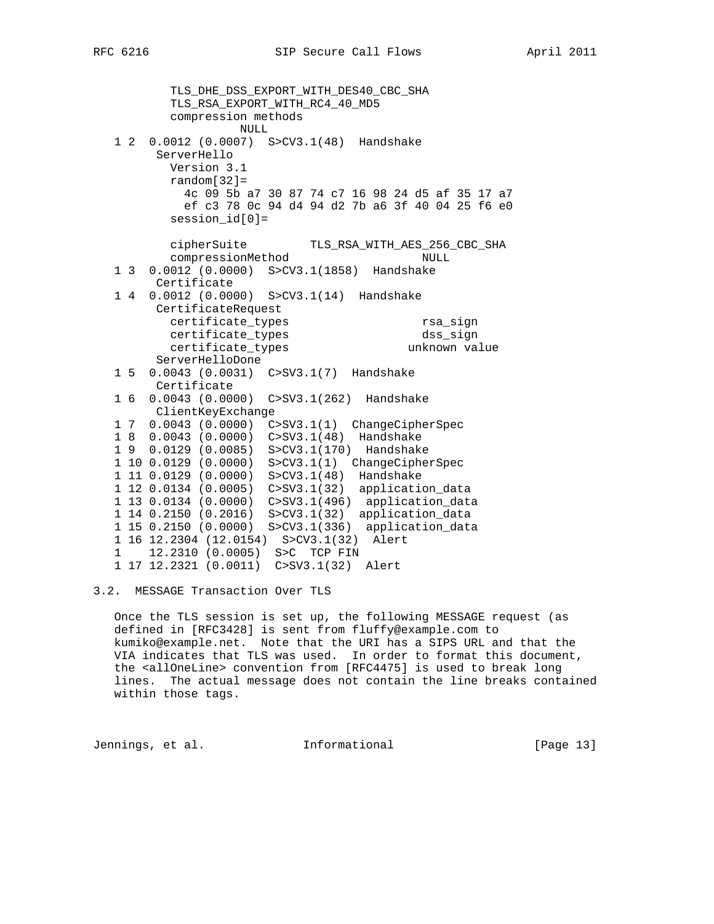TLS\_DHE\_DSS\_EXPORT\_WITH\_DES40\_CBC\_SHA TLS\_RSA\_EXPORT\_WITH\_RC4\_40\_MD5 compression methods NULL 1 2 0.0012 (0.0007) S>CV3.1(48) Handshake ServerHello Version 3.1 random[32]= 4c 09 5b a7 30 87 74 c7 16 98 24 d5 af 35 17 a7 ef c3 78 0c 94 d4 94 d2 7b a6 3f 40 04 25 f6 e0 session\_id[0]= cipherSuite TLS\_RSA\_WITH\_AES\_256\_CBC\_SHA compressionMethod NULL 1 3 0.0012 (0.0000) S>CV3.1(1858) Handshake Certificate 1 4 0.0012 (0.0000) S>CV3.1(14) Handshake CertificateRequest certificate\_types rsa\_sign certificate\_types dss\_sign certificate\_types unknown value ServerHelloDone 1 5 0.0043 (0.0031) C>SV3.1(7) Handshake Certificate 1 6 0.0043 (0.0000) C>SV3.1(262) Handshake ClientKeyExchange 1 7 0.0043 (0.0000) C>SV3.1(1) ChangeCipherSpec 1 8 0.0043 (0.0000) C>SV3.1(48) Handshake 1 9 0.0129 (0.0085) S>CV3.1(170) Handshake 1 10 0.0129 (0.0000) S>CV3.1(1) ChangeCipherSpec 1 11 0.0129 (0.0000) S>CV3.1(48) Handshake 1 12 0.0134 (0.0005) C>SV3.1(32) application\_data 1 13 0.0134 (0.0000) C>SV3.1(496) application\_data 1 14 0.2150 (0.2016) S>CV3.1(32) application\_data 1 15 0.2150 (0.0000) S>CV3.1(336) application\_data 1 16 12.2304 (12.0154) S>CV3.1(32) Alert 1 12.2310 (0.0005) S>C TCP FIN 1 17 12.2321 (0.0011) C>SV3.1(32) Alert

# 3.2. MESSAGE Transaction Over TLS

 Once the TLS session is set up, the following MESSAGE request (as defined in [RFC3428] is sent from fluffy@example.com to kumiko@example.net. Note that the URI has a SIPS URL and that the VIA indicates that TLS was used. In order to format this document, the <allOneLine> convention from [RFC4475] is used to break long lines. The actual message does not contain the line breaks contained within those tags.

Jennings, et al. 1nformational 1999 [Page 13]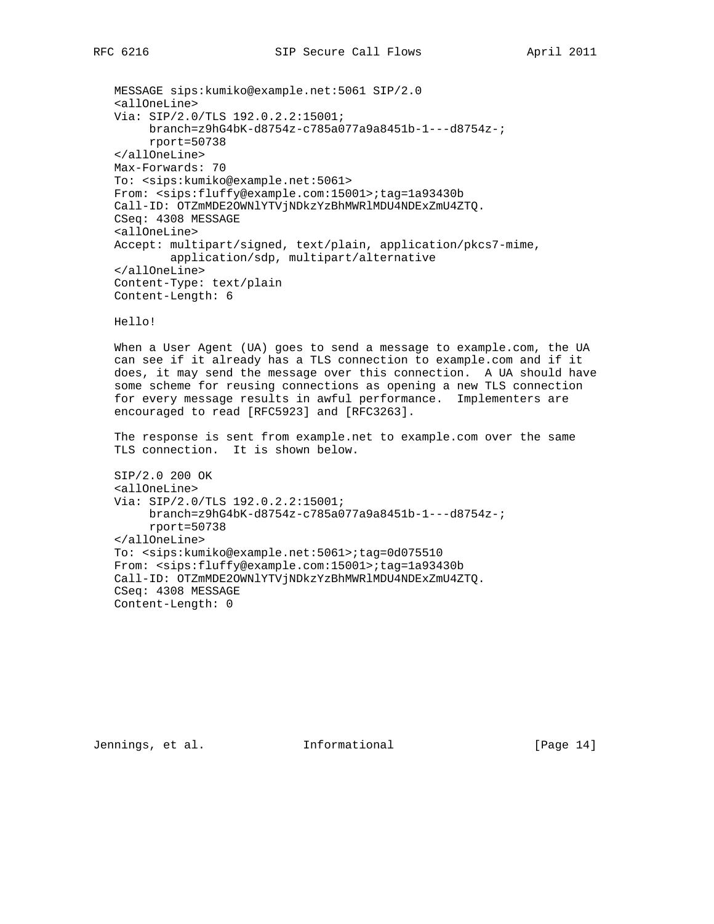```
 MESSAGE sips:kumiko@example.net:5061 SIP/2.0
 <allOneLine>
 Via: SIP/2.0/TLS 192.0.2.2:15001;
      branch=z9hG4bK-d8754z-c785a077a9a8451b-1---d8754z-;
      rport=50738
 </allOneLine>
 Max-Forwards: 70
 To: <sips:kumiko@example.net:5061>
 From: <sips:fluffy@example.com:15001>;tag=1a93430b
 Call-ID: OTZmMDE2OWNlYTVjNDkzYzBhMWRlMDU4NDExZmU4ZTQ.
 CSeq: 4308 MESSAGE
 <allOneLine>
 Accept: multipart/signed, text/plain, application/pkcs7-mime,
         application/sdp, multipart/alternative
 </allOneLine>
 Content-Type: text/plain
 Content-Length: 6
```
Hello!

 When a User Agent (UA) goes to send a message to example.com, the UA can see if it already has a TLS connection to example.com and if it does, it may send the message over this connection. A UA should have some scheme for reusing connections as opening a new TLS connection for every message results in awful performance. Implementers are encouraged to read [RFC5923] and [RFC3263].

 The response is sent from example.net to example.com over the same TLS connection. It is shown below.

```
 SIP/2.0 200 OK
 <allOneLine>
 Via: SIP/2.0/TLS 192.0.2.2:15001;
      branch=z9hG4bK-d8754z-c785a077a9a8451b-1---d8754z-;
      rport=50738
 </allOneLine>
 To: <sips:kumiko@example.net:5061>;tag=0d075510
 From: <sips:fluffy@example.com:15001>;tag=1a93430b
 Call-ID: OTZmMDE2OWNlYTVjNDkzYzBhMWRlMDU4NDExZmU4ZTQ.
 CSeq: 4308 MESSAGE
 Content-Length: 0
```
Jennings, et al. 1nformational 1999 [Page 14]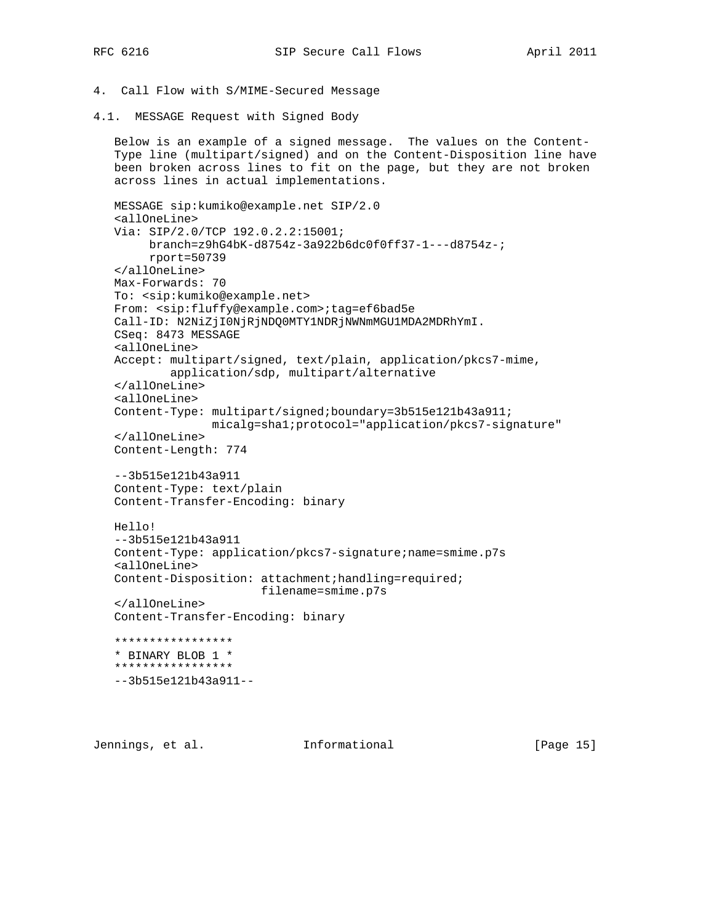# 4. Call Flow with S/MIME-Secured Message

4.1. MESSAGE Request with Signed Body

 Below is an example of a signed message. The values on the Content- Type line (multipart/signed) and on the Content-Disposition line have been broken across lines to fit on the page, but they are not broken across lines in actual implementations.

```
 MESSAGE sip:kumiko@example.net SIP/2.0
 <allOneLine>
 Via: SIP/2.0/TCP 192.0.2.2:15001;
      branch=z9hG4bK-d8754z-3a922b6dc0f0ff37-1---d8754z-;
      rport=50739
 </allOneLine>
 Max-Forwards: 70
 To: <sip:kumiko@example.net>
 From: <sip:fluffy@example.com>;tag=ef6bad5e
 Call-ID: N2NiZjI0NjRjNDQ0MTY1NDRjNWNmMGU1MDA2MDRhYmI.
 CSeq: 8473 MESSAGE
 <allOneLine>
 Accept: multipart/signed, text/plain, application/pkcs7-mime,
         application/sdp, multipart/alternative
 </allOneLine>
 <allOneLine>
 Content-Type: multipart/signed;boundary=3b515e121b43a911;
               micalg=sha1;protocol="application/pkcs7-signature"
 </allOneLine>
 Content-Length: 774
 --3b515e121b43a911
 Content-Type: text/plain
 Content-Transfer-Encoding: binary
 Hello!
 --3b515e121b43a911
 Content-Type: application/pkcs7-signature;name=smime.p7s
 <allOneLine>
 Content-Disposition: attachment;handling=required;
                      filename=smime.p7s
 </allOneLine>
 Content-Transfer-Encoding: binary
 *****************
 * BINARY BLOB 1 *
 *****************
 --3b515e121b43a911--
```
Jennings, et al. Informational [Page 15]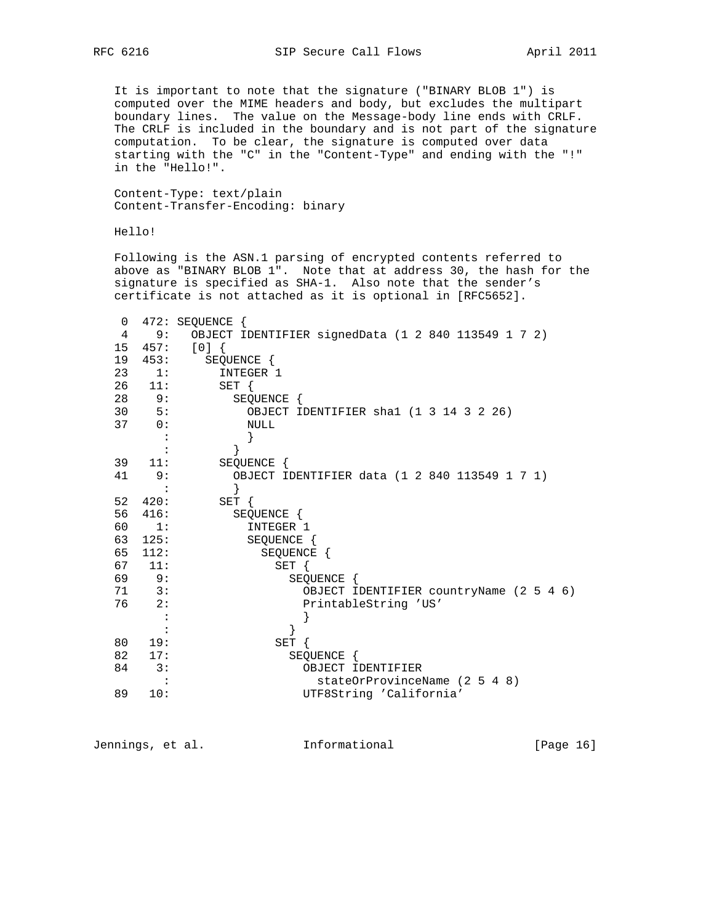It is important to note that the signature ("BINARY BLOB 1") is computed over the MIME headers and body, but excludes the multipart boundary lines. The value on the Message-body line ends with CRLF. The CRLF is included in the boundary and is not part of the signature computation. To be clear, the signature is computed over data starting with the "C" in the "Content-Type" and ending with the "!" in the "Hello!".

 Content-Type: text/plain Content-Transfer-Encoding: binary

Hello!

 Following is the ASN.1 parsing of encrypted contents referred to above as "BINARY BLOB 1". Note that at address 30, the hash for the signature is specified as SHA-1. Also note that the sender's certificate is not attached as it is optional in [RFC5652].

| 0  |                 | 472: SEQUENCE                                       |
|----|-----------------|-----------------------------------------------------|
| 4  | 9:              | OBJECT IDENTIFIER signedData (1 2 840 113549 1 7 2) |
| 15 | 457:            | [0]                                                 |
| 19 | 453:            | SEQUENCE {                                          |
| 23 | 1:              | INTEGER 1                                           |
|    | $26 \t 11$ :    | SET {                                               |
|    | 28 9:           | SEQUENCE {                                          |
|    | 30 5:           | OBJECT IDENTIFIER shal (1 3 14 3 2 26)              |
|    | 370:            | NULL                                                |
|    |                 |                                                     |
|    |                 |                                                     |
|    | 39 11:          | SEQUENCE {                                          |
| 41 | 9:              | OBJECT IDENTIFIER data (1 2 840 113549 1 7 1)       |
|    |                 |                                                     |
|    | $52 \quad 420:$ | $SET \{$                                            |
| 56 | 416:            | SEQUENCE {                                          |
| 60 | 1:              | INTEGER 1                                           |
|    | $63$ $125:$     | SEQUENCE {                                          |
|    | 65 112:         | SEQUENCE {                                          |
| 67 | 11:             | SET {                                               |
| 69 | 9:              | SEOUENCE {                                          |
|    | $71$ 3:         | OBJECT IDENTIFIER countryName (2 5 4 6)             |
| 76 | 2:              | PrintableString 'US'                                |
|    |                 |                                                     |
|    |                 |                                                     |
| 80 | 19:             | SET {                                               |
| 82 | 17:             | SEQUENCE {                                          |
| 84 | 3:              | OBJECT IDENTIFIER                                   |
|    |                 | stateOrProvinceName (2 5 4 8)                       |
| 89 | 10:             | UTF8String 'California'                             |

Jennings, et al. 1nformational 1999 [Page 16]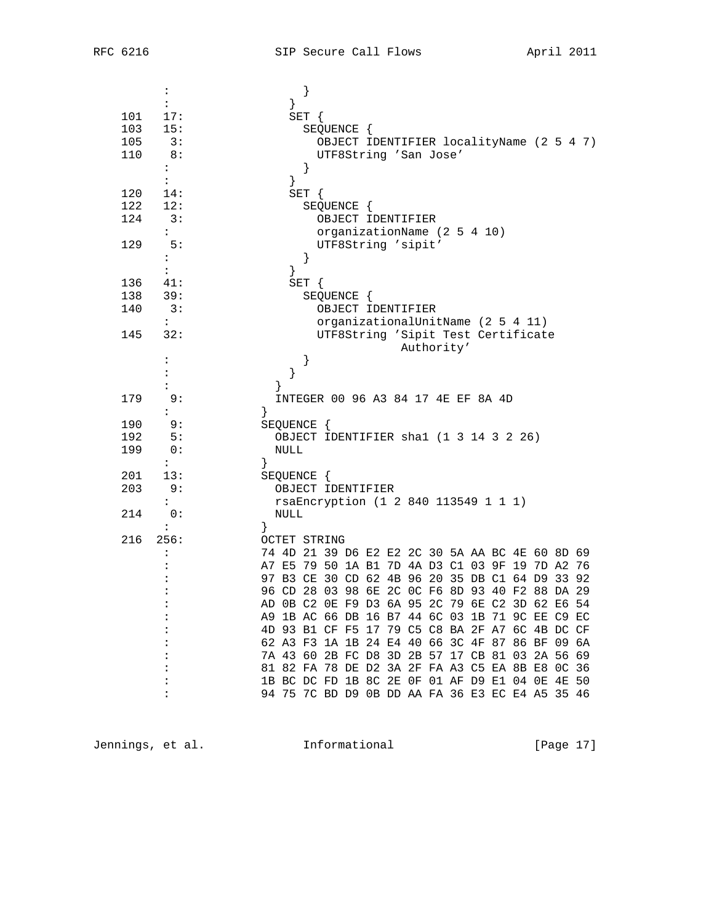|     | $\ddot{\cdot}$       | $\}$                                            |
|-----|----------------------|-------------------------------------------------|
|     | $\ddot{\cdot}$       | }                                               |
| 101 | 17:                  | $SET \{$                                        |
| 103 | 15:                  | SEQUENCE {                                      |
| 105 | 3:                   | OBJECT IDENTIFIER localityName (2 5 4 7)        |
| 110 | 8:                   | UTF8String 'San Jose'                           |
|     | $\ddot{\phantom{0}}$ | $\}$                                            |
|     | $\ddot{\phantom{a}}$ | $\}$                                            |
| 120 | 14:                  | $SET \{$                                        |
| 122 | 12:                  | SEQUENCE {                                      |
| 124 | 3:                   | OBJECT IDENTIFIER                               |
|     | $\mathbf{L}$         | organizationName (2 5 4 10)                     |
| 129 | 5:                   | UTF8String 'sipit'                              |
|     | $\ddot{\phantom{a}}$ | $\}$                                            |
|     | $\ddot{\phantom{a}}$ | }                                               |
| 136 | 41:                  | SET {                                           |
| 138 | 39:                  | SEQUENCE {                                      |
| 140 | 3:                   | OBJECT IDENTIFIER                               |
|     | $\mathbf{L}$         | organizationalUnitName (2 5 4 11)               |
| 145 | 32:                  | UTF8String 'Sipit Test Certificate              |
|     |                      | Authority'                                      |
|     | $\ddot{\cdot}$       | $\}$                                            |
|     |                      | $\}$                                            |
|     |                      | ł                                               |
| 179 | 9:                   | INTEGER 00 96 A3 84 17 4E EF 8A 4D              |
|     | $\mathbf{L}$         | ł                                               |
| 190 | 9:                   | SEQUENCE {                                      |
| 192 | 5:                   | OBJECT IDENTIFIER shal (1 3 14 3 2 26)          |
| 199 | 0:                   | NULL                                            |
|     | $\mathbf{L}$         | $\}$                                            |
| 201 | 13:                  | SEQUENCE {                                      |
| 203 | 9:                   | OBJECT IDENTIFIER                               |
|     | $\mathbf{L}$         | rsaEncryption (1 2 840 113549 1 1 1)            |
| 214 | 0:                   | NULL                                            |
|     | $\ddot{\phantom{a}}$ | $\}$                                            |
| 216 | 256:                 | OCTET STRING                                    |
|     |                      | 74 4D 21 39 D6 E2 E2 2C 30 5A AA BC 4E 60 8D 69 |
|     |                      | A7 E5 79 50 1A B1 7D 4A D3 C1 03 9F 19 7D A2 76 |
|     |                      | 97 B3 CE 30 CD 62 4B 96 20 35 DB C1 64 D9 33 92 |
|     |                      | 96 CD 28 03 98 6E 2C 0C F6 8D 93 40 F2 88 DA 29 |
|     |                      | AD 0B C2 0E F9 D3 6A 95 2C 79 6E C2 3D 62 E6 54 |
|     |                      | A9 1B AC 66 DB 16 B7 44 6C 03 1B 71 9C EE C9 EC |
|     |                      | 4D 93 B1 CF F5 17 79 C5 C8 BA 2F A7 6C 4B DC CF |
|     |                      | 62 A3 F3 1A 1B 24 E4 40 66 3C 4F 87 86 BF 09 6A |
|     |                      | 7A 43 60 2B FC D8 3D 2B 57 17 CB 81 03 2A 56 69 |
|     |                      | 81 82 FA 78 DE D2 3A 2F FA A3 C5 EA 8B E8 OC 36 |
|     |                      | 1B BC DC FD 1B 8C 2E 0F 01 AF D9 E1 04 0E 4E 50 |
|     | :                    | 94 75 7C BD D9 0B DD AA FA 36 E3 EC E4 A5 35 46 |
|     |                      |                                                 |

Jennings, et al. Informational [Page 17]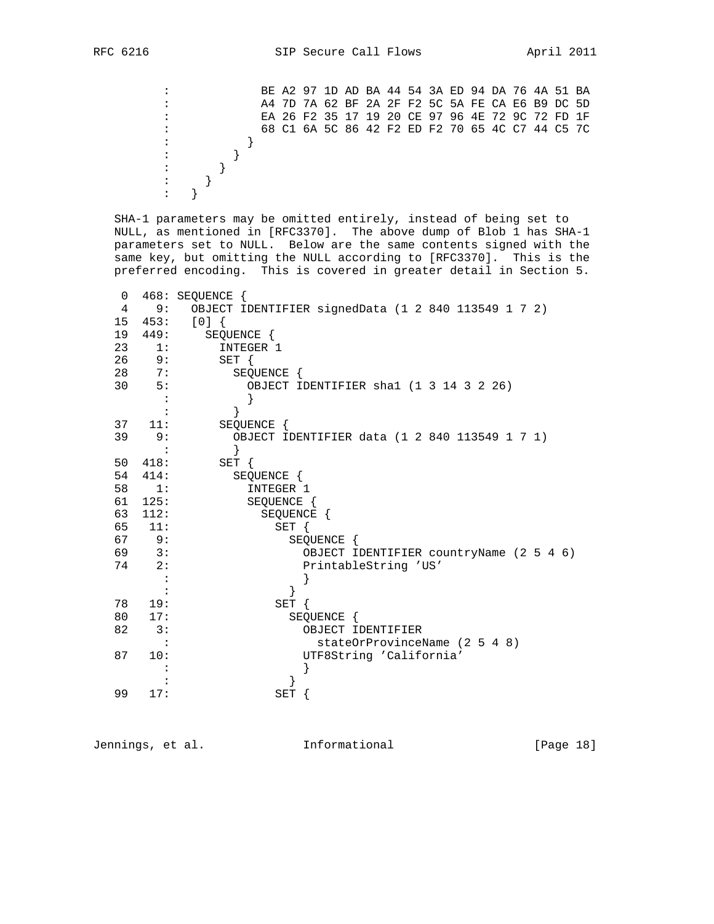: BE A2 97 1D AD BA 44 54 3A ED 94 DA 76 4A 51 BA : A4 7D 7A 62 BF 2A 2F F2 5C 5A FE CA E6 B9 DC 5D : EA 26 F2 35 17 19 20 CE 97 96 4E 72 9C 72 FD 1F : 68 C1 6A 5C 86 42 F2 ED F2 70 65 4C C7 44 C5 7C  $\begin{array}{ccc} & \cdot & \cdot & \cdot & \cdot \\ \hline \end{array}$ :  ${}_{\longrightarrow}$  } : <br> <br> <br> <br> <br> <br> <br> <br> <br> <br><br><br><br><br>  $\cdots$  }  $\cdots$  }

 SHA-1 parameters may be omitted entirely, instead of being set to NULL, as mentioned in [RFC3370]. The above dump of Blob 1 has SHA-1 parameters set to NULL. Below are the same contents signed with the same key, but omitting the NULL according to [RFC3370]. This is the preferred encoding. This is covered in greater detail in Section 5.

| 0  |                 | 468: SEQUENCE {                                     |
|----|-----------------|-----------------------------------------------------|
| 4  | 9:              | OBJECT IDENTIFIER signedData (1 2 840 113549 1 7 2) |
| 15 | 453:            | [0]                                                 |
| 19 | 449:            | SEQUENCE {                                          |
| 23 | 1:              | INTEGER 1                                           |
|    | 26<br>9:        | $SET \{$                                            |
| 28 | 7:              | SEQUENCE {                                          |
|    | 30<br>5:        | OBJECT IDENTIFIER shal (1 3 14 3 2 26)              |
|    |                 |                                                     |
|    |                 |                                                     |
|    | 37 11:          | SEQUENCE {                                          |
| 39 | 9:              | OBJECT IDENTIFIER data (1 2 840 113549 1 7 1)       |
|    |                 |                                                     |
|    | $50 \quad 418:$ | SET {                                               |
| 54 | 414:            | SEQUENCE {                                          |
| 58 | 1:              | INTEGER 1                                           |
|    | $61$ $125:$     | SEQUENCE {                                          |
| 63 | 112:            | SEQUENCE {                                          |
| 65 | 11:             | SET {                                               |
|    | 67 9:           | SEQUENCE {                                          |
|    | 69 3:           | OBJECT IDENTIFIER countryName (2 5 4 6)             |
| 74 | 2:              | PrintableString 'US'                                |
|    |                 |                                                     |
|    |                 |                                                     |
| 78 | 19:             | $SET \{$                                            |
| 80 | 17:             | SEQUENCE {                                          |
| 82 | 3:              | OBJECT IDENTIFIER                                   |
|    |                 | stateOrProvinceName (2 5 4 8)                       |
| 87 | 10:             | UTF8String 'California'                             |
|    |                 |                                                     |
|    |                 |                                                     |
| 99 | 17:             | SET                                                 |

Jennings, et al. 1nformational 1999 [Page 18]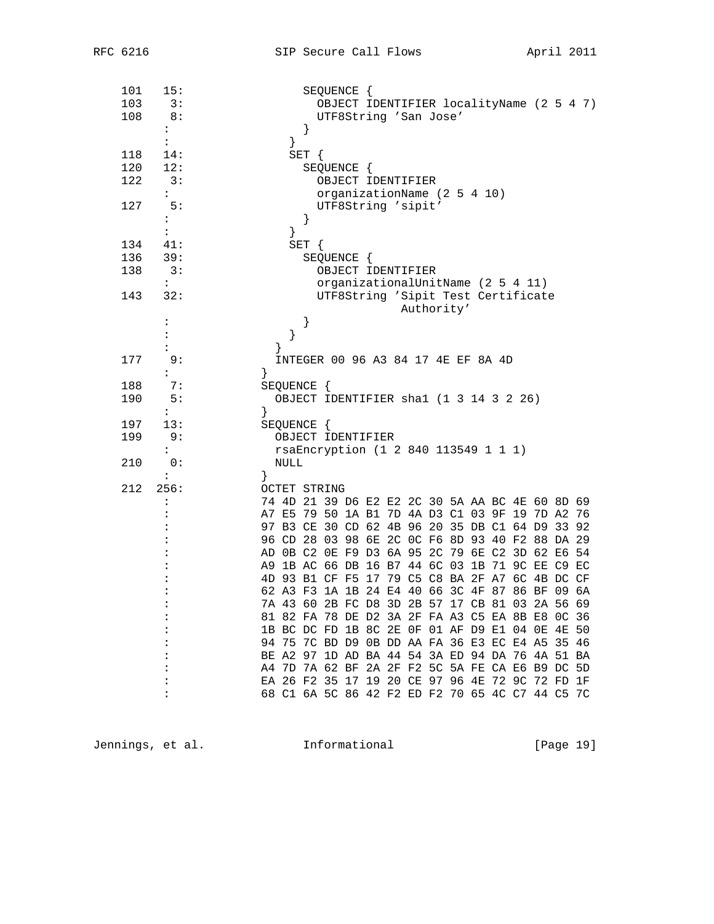| 101 | 15:                  | SEQUENCE {                                      |
|-----|----------------------|-------------------------------------------------|
| 103 | 3:                   | OBJECT IDENTIFIER localityName (2 5 4 7)        |
| 108 | 8:                   | UTF8String 'San Jose'                           |
|     | $\ddot{\phantom{a}}$ | }                                               |
|     | $\ddot{\phantom{a}}$ | $\}$                                            |
| 118 | 14:                  | SET {                                           |
| 120 | 12:                  | SEQUENCE {                                      |
| 122 | 3:                   | OBJECT IDENTIFIER                               |
|     |                      | organizationName (2 5 4 10)                     |
| 127 | 5:                   | UTF8String 'sipit'                              |
|     | $\ddot{\phantom{0}}$ | }                                               |
|     | $\ddot{\phantom{a}}$ |                                                 |
|     |                      | $\}$                                            |
| 134 | 41:                  | $SET \{$                                        |
| 136 | 39:                  | SEQUENCE {                                      |
| 138 | 3:                   | OBJECT IDENTIFIER                               |
|     | $\ddot{\phantom{0}}$ | organizationalUnitName (2 5 4 11)               |
| 143 | 32:                  | UTF8String 'Sipit Test Certificate              |
|     |                      | Authority'                                      |
|     | :                    | $\}$                                            |
|     | $\ddot{\cdot}$       | $\}$                                            |
|     |                      | $\left\{ \right\}$                              |
| 177 | 9 :                  | INTEGER 00 96 A3 84 17 4E EF 8A 4D              |
|     | $\mathbf{L}$         | $\}$                                            |
| 188 | 7:                   | SEOUENCE {                                      |
| 190 | 5:                   | OBJECT IDENTIFIER shal (1 3 14 3 2 26)          |
|     | $\ddot{\phantom{a}}$ | }                                               |
| 197 | 13:                  | SEQUENCE {                                      |
| 199 | 9 :                  | OBJECT IDENTIFIER                               |
|     | $\mathbf{L}$         | rsaEncryption (1 2 840 113549 1 1 1)            |
| 210 | 0:                   | <b>NULL</b>                                     |
|     | :                    | $\}$                                            |
| 212 | 256:                 | OCTET STRING                                    |
|     | :                    | 74 4D 21 39 D6 E2 E2 2C 30 5A AA BC 4E 60 8D 69 |
|     |                      | A7 E5 79 50 1A B1 7D 4A D3 C1 03 9F 19 7D A2 76 |
|     |                      | 97 B3 CE 30 CD 62 4B 96 20 35 DB C1 64 D9 33 92 |
|     |                      | 96 CD 28 03 98 6E 2C 0C F6 8D 93 40 F2 88 DA 29 |
|     |                      | AD 0B C2 0E F9 D3 6A 95 2C 79 6E C2 3D 62 E6 54 |
|     |                      | A9 1B AC 66 DB 16 B7 44 6C 03 1B 71 9C EE C9 EC |
|     |                      | 4D 93 B1 CF F5 17 79 C5 C8 BA 2F A7 6C 4B DC CF |
|     |                      | 62 A3 F3 1A 1B 24 E4 40 66 3C 4F 87 86 BF 09 6A |
|     | :                    | 7A 43 60 2B FC D8 3D 2B 57 17 CB 81 03 2A 56 69 |
|     |                      | 81 82 FA 78 DE D2 3A 2F FA A3 C5 EA 8B E8 OC 36 |
|     |                      | 1B BC DC FD 1B 8C 2E 0F 01 AF D9 E1 04 0E 4E 50 |
|     |                      | 94 75 7C BD D9 0B DD AA FA 36 E3 EC E4 A5 35 46 |
|     |                      | BE A2 97 1D AD BA 44 54 3A ED 94 DA 76 4A 51 BA |
|     |                      | A4 7D 7A 62 BF 2A 2F F2 5C 5A FE CA E6 B9 DC 5D |
|     |                      |                                                 |
|     |                      | EA 26 F2 35 17 19 20 CE 97 96 4E 72 9C 72 FD 1F |
|     | :                    | 68 C1 6A 5C 86 42 F2 ED F2 70 65 4C C7 44 C5 7C |

Jennings, et al. 1nformational 1917 [Page 19]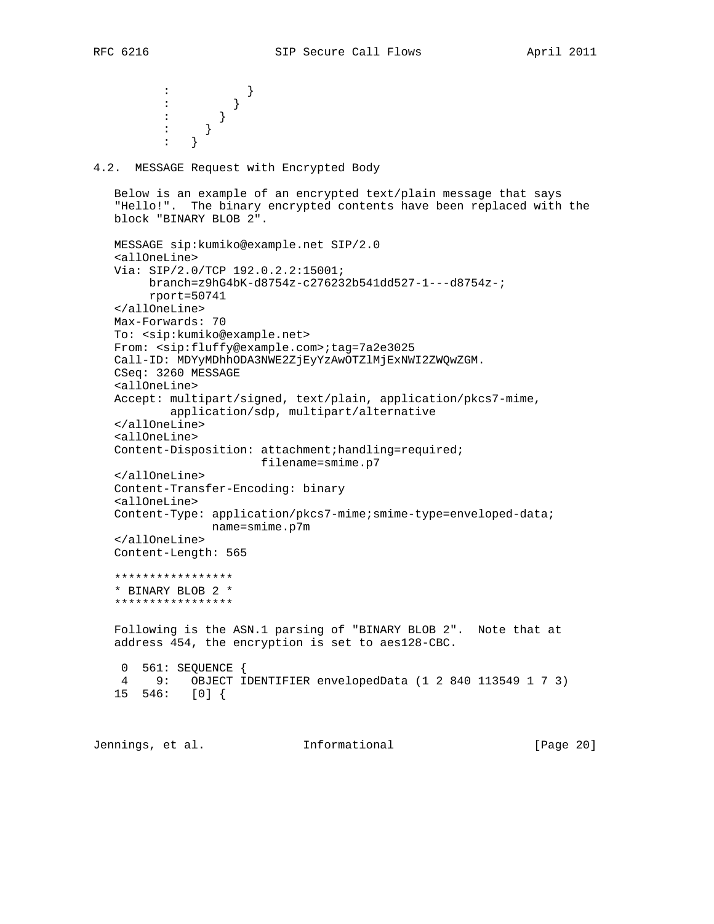$\begin{array}{ccc} & \cdot & \cdot & \cdot & \cdot \\ \hline \end{array}$  $\begin{array}{ccc} \cdot & \cdot & \cdot & \cdot \\ \cdot & \cdot & \cdot & \cdot \\ \cdot & \cdot & \cdot & \cdot \end{array}$ : the state  $\{x_i\}_{i=1}^N$  is the state  $\{x_i\}_{i=1}^N$  $\cdots$  }  $\begin{array}{ccc} \cdot & \cdot & \cdot \\ \cdot & \cdot & \cdot \end{array}$ 

4.2. MESSAGE Request with Encrypted Body

 Below is an example of an encrypted text/plain message that says "Hello!". The binary encrypted contents have been replaced with the block "BINARY BLOB 2".

```
 MESSAGE sip:kumiko@example.net SIP/2.0
 <allOneLine>
 Via: SIP/2.0/TCP 192.0.2.2:15001;
      branch=z9hG4bK-d8754z-c276232b541dd527-1---d8754z-;
      rport=50741
 </allOneLine>
 Max-Forwards: 70
 To: <sip:kumiko@example.net>
 From: <sip:fluffy@example.com>;tag=7a2e3025
 Call-ID: MDYyMDhhODA3NWE2ZjEyYzAwOTZlMjExNWI2ZWQwZGM.
 CSeq: 3260 MESSAGE
 <allOneLine>
 Accept: multipart/signed, text/plain, application/pkcs7-mime,
         application/sdp, multipart/alternative
 </allOneLine>
 <allOneLine>
 Content-Disposition: attachment;handling=required;
                      filename=smime.p7
 </allOneLine>
 Content-Transfer-Encoding: binary
 <allOneLine>
 Content-Type: application/pkcs7-mime;smime-type=enveloped-data;
             name=smime.p7m
 </allOneLine>
 Content-Length: 565
 *****************
 * BINARY BLOB 2 *
 *****************
 Following is the ASN.1 parsing of "BINARY BLOB 2". Note that at
 address 454, the encryption is set to aes128-CBC.
 0 561: SEQUENCE {
 4 9: OBJECT IDENTIFIER envelopedData (1 2 840 113549 1 7 3)
 15 546: [0] {
```
Jennings, et al. Informational [Page 20]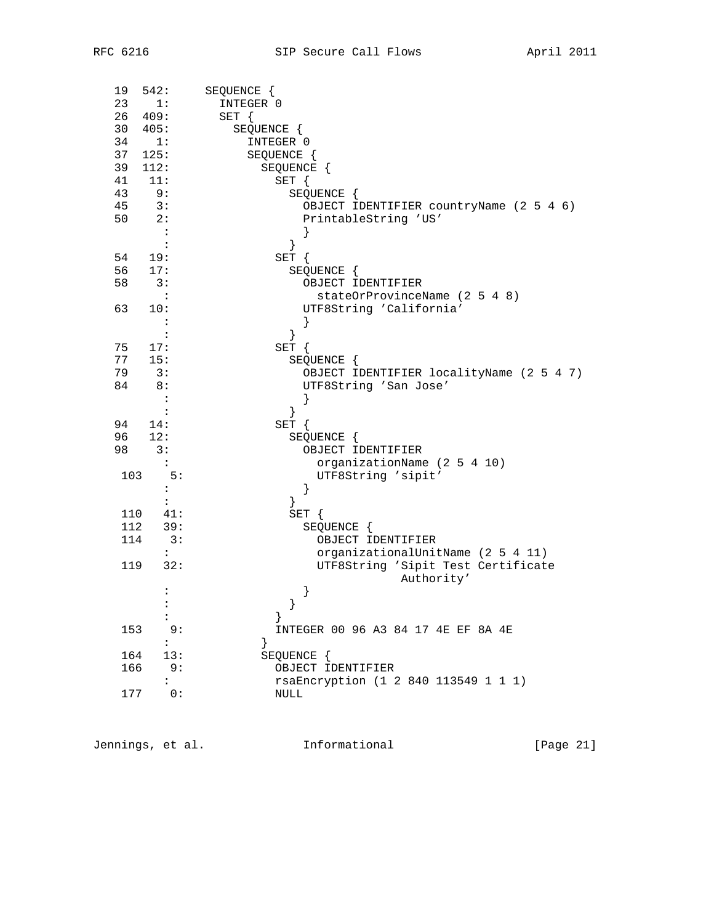| 19 | 542:                 | SEQUENCE {                               |
|----|----------------------|------------------------------------------|
| 23 | 1:                   | INTEGER 0                                |
|    | 26 409:              | $SET \{$                                 |
| 30 | 405:                 | SEQUENCE {                               |
| 34 | 1:                   | INTEGER 0                                |
|    | $37$ 125:            | SEQUENCE {                               |
|    | 39 112:              | SEQUENCE {                               |
|    | 41 11:               | $SET \{$                                 |
| 43 | 9:                   | SEQUENCE {                               |
|    | 45 3:                | OBJECT IDENTIFIER countryName (2 5 4 6)  |
| 50 | 2:                   | PrintableString 'US'                     |
|    | $\cdot$ :            |                                          |
|    | $\cdot$ :            | }                                        |
| 54 | 19:                  | SET {                                    |
|    | 56 17:               | SEQUENCE {                               |
| 58 | 3:                   | OBJECT IDENTIFIER                        |
|    | $\sim$ 1.            | stateOrProvinceName (2 5 4 8)            |
| 63 | 10:                  | UTF8String 'California'                  |
|    | $\cdot$ :            |                                          |
|    | :                    | }                                        |
| 75 | 17:                  | SET {                                    |
|    | $77 - 15:$           | SEQUENCE {                               |
| 79 | 3:                   | OBJECT IDENTIFIER localityName (2 5 4 7) |
| 84 | 8 :                  | UTF8String 'San Jose'                    |
|    | $\cdot$ :            |                                          |
|    |                      | }                                        |
| 94 | 14:                  | SET {                                    |
| 96 | 12:                  | SEQUENCE {                               |
| 98 | 3:                   | OBJECT IDENTIFIER                        |
|    | $\ddot{\phantom{a}}$ | organizationName (2 5 4 10)              |
|    | 103<br>5:            | UTF8String 'sipit'                       |
|    | $\ddot{\phantom{a}}$ | }                                        |
|    | $\ddot{\phantom{a}}$ | }                                        |
|    | 110 41:              | $SET \{$                                 |
|    | 112<br>39:           | SEQUENCE {                               |
|    | 114<br>3:            | OBJECT IDENTIFIER                        |
|    | $\mathbf{L}$         | organizationalUnitName (2 5 4 11)        |
|    | 119<br>32:           | UTF8String 'Sipit Test Certificate       |
|    |                      | Authority'                               |
|    | $\ddot{\phantom{a}}$ | }                                        |
|    |                      | ł                                        |
|    | $\ddot{\phantom{a}}$ |                                          |
|    | 9:<br>153            | INTEGER 00 96 A3 84 17 4E EF 8A 4E       |
|    | $\ddot{\phantom{a}}$ | }                                        |
|    | 164<br>13:           | SEQUENCE {                               |
|    | 166<br>9 :           | OBJECT IDENTIFIER                        |
|    |                      | rsaEncryption (1 2 840 113549 1 1 1)     |
|    | 177<br>0:            | $\texttt{NULL}$                          |

Jennings, et al. 1nformational 1999 [Page 21]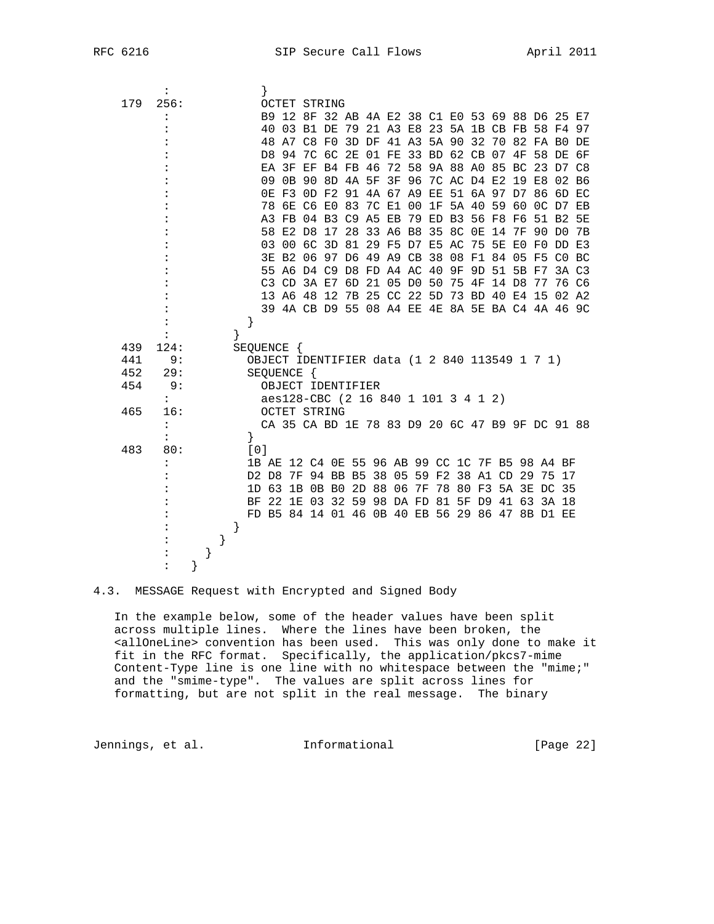|     | :                    |   |  |      |            |            |                     |                   |                                               |                |  |  |                                                 |  |
|-----|----------------------|---|--|------|------------|------------|---------------------|-------------------|-----------------------------------------------|----------------|--|--|-------------------------------------------------|--|
| 179 | 256:                 |   |  |      |            |            | <b>OCTET STRING</b> |                   |                                               |                |  |  |                                                 |  |
|     | :                    |   |  |      |            |            |                     |                   |                                               |                |  |  | B9 12 8F 32 AB 4A E2 38 C1 E0 53 69 88 D6 25 E7 |  |
|     |                      |   |  |      |            |            |                     |                   |                                               |                |  |  | 40 03 B1 DE 79 21 A3 E8 23 5A 1B CB FB 58 F4 97 |  |
|     |                      |   |  |      |            |            |                     |                   |                                               |                |  |  | 48 A7 C8 F0 3D DF 41 A3 5A 90 32 70 82 FA B0 DE |  |
|     |                      |   |  |      |            |            |                     |                   |                                               |                |  |  | D8 94 7C 6C 2E 01 FE 33 BD 62 CB 07 4F 58 DE 6F |  |
|     |                      |   |  |      |            |            |                     | EA 3F EF B4 FB 46 |                                               |                |  |  | 72 58 9A 88 A0 85 BC 23 D7 C8                   |  |
|     |                      |   |  |      |            |            |                     |                   |                                               |                |  |  | 09 0B 90 8D 4A 5F 3F 96 7C AC D4 E2 19 E8 02 B6 |  |
|     |                      |   |  |      |            |            |                     |                   | OE F3 OD F2 91 4A 67 A9                       |                |  |  | EE 51 6A 97 D7 86 6D EC                         |  |
|     |                      |   |  |      |            |            |                     |                   | 78 6E C6 E0 83 7C E1 00                       | 1F 5A 40 59 60 |  |  | OC D7 EB                                        |  |
|     |                      |   |  |      |            |            |                     |                   |                                               |                |  |  | A3 FB 04 B3 C9 A5 EB 79 ED B3 56 F8 F6 51 B2 5E |  |
|     |                      |   |  |      |            |            |                     |                   | 58 E2 D8 17 28 33 A6 B8 35 8C OE 14 7F        |                |  |  | 90 DO 7B                                        |  |
|     |                      |   |  |      |            |            |                     |                   |                                               |                |  |  | 03 00 6C 3D 81 29 F5 D7 E5 AC 75 5E E0 F0 DD E3 |  |
|     |                      |   |  |      |            |            |                     |                   |                                               |                |  |  | 3E B2 06 97 D6 49 A9 CB 38 08 F1 84 05 F5 C0 BC |  |
|     |                      |   |  |      |            |            |                     |                   | 55 A6 D4 C9 D8 FD A4 AC 40 9F 9D 51 5B F7     |                |  |  | 3A C3                                           |  |
|     |                      |   |  |      |            |            |                     |                   |                                               |                |  |  | C3 CD 3A E7 6D 21 05 D0 50 75 4F 14 D8 77 76 C6 |  |
|     |                      |   |  |      |            |            |                     |                   |                                               |                |  |  | 13 A6 48 12 7B 25 CC 22 5D 73 BD 40 E4 15 02 A2 |  |
|     |                      |   |  |      |            |            |                     |                   |                                               |                |  |  | 39 4A CB D9 55 08 A4 EE 4E 8A 5E BA C4 4A 46 9C |  |
|     |                      |   |  |      |            |            |                     |                   |                                               |                |  |  |                                                 |  |
|     |                      |   |  | $\}$ |            |            |                     |                   |                                               |                |  |  |                                                 |  |
| 439 | 124:                 |   |  |      | SEQUENCE { |            |                     |                   |                                               |                |  |  |                                                 |  |
| 441 | 9:                   |   |  |      |            |            |                     |                   | OBJECT IDENTIFIER data (1 2 840 113549 1 7 1) |                |  |  |                                                 |  |
| 452 | 29:                  |   |  |      |            | SEQUENCE { |                     |                   |                                               |                |  |  |                                                 |  |
| 454 | 9:                   |   |  |      |            |            |                     | OBJECT IDENTIFIER |                                               |                |  |  |                                                 |  |
|     | $\mathbf{L}$<br>16:  |   |  |      |            |            |                     |                   | aes128-CBC (2 16 840 1 101 3 4 1 2)           |                |  |  |                                                 |  |
| 465 | $\mathbf{L}$         |   |  |      |            |            | OCTET STRING        |                   |                                               |                |  |  |                                                 |  |
|     | $\ddot{\phantom{a}}$ |   |  |      | $\}$       |            |                     |                   |                                               |                |  |  | CA 35 CA BD 1E 78 83 D9 20 6C 47 B9 9F DC 91 88 |  |
| 483 | 80:                  |   |  |      | $[0]$      |            |                     |                   |                                               |                |  |  |                                                 |  |
|     | $\ddot{\phantom{a}}$ |   |  |      |            |            |                     |                   |                                               |                |  |  | 1B AE 12 C4 OE 55 96 AB 99 CC 1C 7F B5 98 A4 BF |  |
|     |                      |   |  |      |            |            |                     |                   | D2 D8 7F 94 BB B5 38 05 59 F2 38 A1 CD 29     |                |  |  | 75 17                                           |  |
|     |                      |   |  |      |            |            | 1D 63 1B 0B B0      |                   |                                               |                |  |  | 2D 88 06 7F 78 80 F3 5A 3E DC 35                |  |
|     |                      |   |  |      |            |            |                     |                   |                                               |                |  |  | BF 22 1E 03 32 59 98 DA FD 81 5F D9 41 63 3A 18 |  |
|     |                      |   |  |      |            |            |                     |                   |                                               |                |  |  | FD B5 84 14 01 46 0B 40 EB 56 29 86 47 8B D1 EE |  |
|     |                      |   |  |      |            |            |                     |                   |                                               |                |  |  |                                                 |  |
|     |                      |   |  |      |            |            |                     |                   |                                               |                |  |  |                                                 |  |
|     |                      |   |  |      |            |            |                     |                   |                                               |                |  |  |                                                 |  |
|     |                      | } |  |      |            |            |                     |                   |                                               |                |  |  |                                                 |  |
|     |                      |   |  |      |            |            |                     |                   |                                               |                |  |  |                                                 |  |

4.3. MESSAGE Request with Encrypted and Signed Body

 In the example below, some of the header values have been split across multiple lines. Where the lines have been broken, the <allOneLine> convention has been used. This was only done to make it fit in the RFC format. Specifically, the application/pkcs7-mime Content-Type line is one line with no whitespace between the "mime;" and the "smime-type". The values are split across lines for formatting, but are not split in the real message. The binary

Jennings, et al. 1nformational 1999 [Page 22]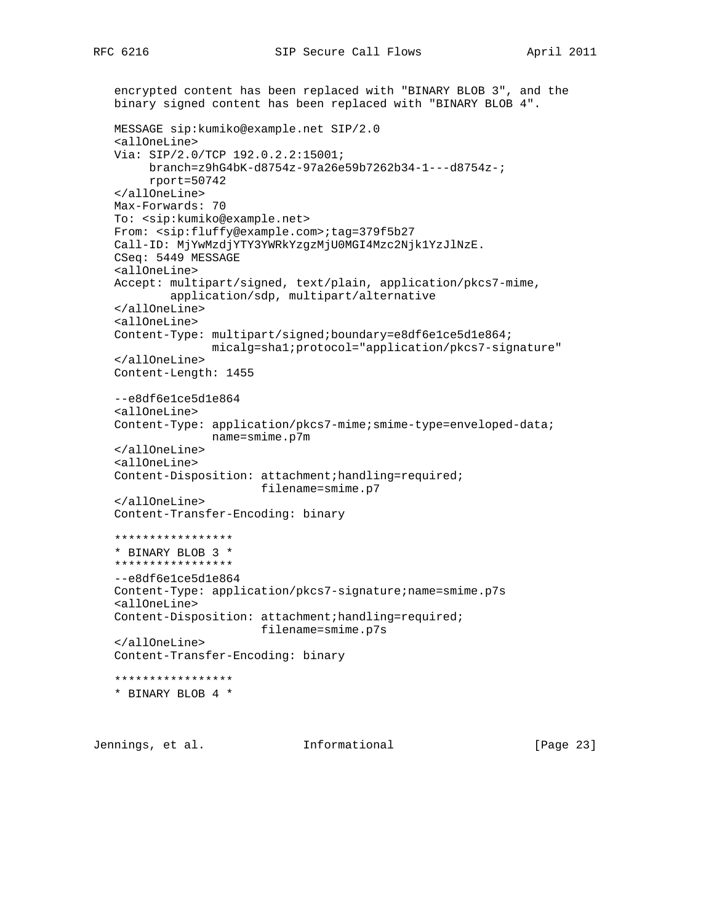```
 encrypted content has been replaced with "BINARY BLOB 3", and the
 binary signed content has been replaced with "BINARY BLOB 4".
 MESSAGE sip:kumiko@example.net SIP/2.0
 <allOneLine>
 Via: SIP/2.0/TCP 192.0.2.2:15001;
      branch=z9hG4bK-d8754z-97a26e59b7262b34-1---d8754z-;
      rport=50742
 </allOneLine>
 Max-Forwards: 70
 To: <sip:kumiko@example.net>
 From: <sip:fluffy@example.com>;tag=379f5b27
 Call-ID: MjYwMzdjYTY3YWRkYzgzMjU0MGI4Mzc2Njk1YzJlNzE.
 CSeq: 5449 MESSAGE
 <allOneLine>
 Accept: multipart/signed, text/plain, application/pkcs7-mime,
         application/sdp, multipart/alternative
 </allOneLine>
 <allOneLine>
 Content-Type: multipart/signed;boundary=e8df6e1ce5d1e864;
               micalg=sha1;protocol="application/pkcs7-signature"
 </allOneLine>
 Content-Length: 1455
 --e8df6e1ce5d1e864
 <allOneLine>
 Content-Type: application/pkcs7-mime;smime-type=enveloped-data;
               name=smime.p7m
 </allOneLine>
 <allOneLine>
 Content-Disposition: attachment;handling=required;
                      filename=smime.p7
 </allOneLine>
 Content-Transfer-Encoding: binary
 *****************
 * BINARY BLOB 3 *
 *****************
 --e8df6e1ce5d1e864
 Content-Type: application/pkcs7-signature;name=smime.p7s
 <allOneLine>
 Content-Disposition: attachment;handling=required;
                      filename=smime.p7s
 </allOneLine>
 Content-Transfer-Encoding: binary
 *****************
 * BINARY BLOB 4 *
```
Jennings, et al. 1nformational 1999 [Page 23]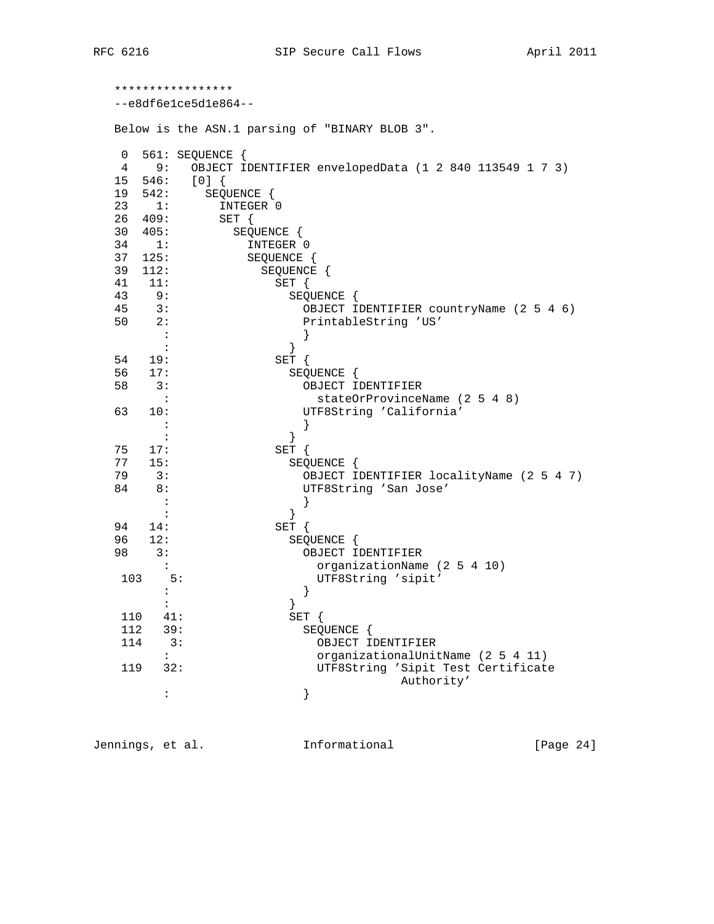\*\*\*\*\*\*\*\*\*\*\*\*\*\*\*\*\* --e8df6e1ce5d1e864-- Below is the ASN.1 parsing of "BINARY BLOB 3". 0 561: SEQUENCE { 4 9: OBJECT IDENTIFIER envelopedData (1 2 840 113549 1 7 3) 15 546: [0] { 19 542: SEQUENCE { 23 1: INTEGER 0 26 409: SET { 30 405: SEQUENCE { 34 1: INTEGER 0 37 125: SEQUENCE { 39 112: SEQUENCE { 41 11: SET { 43 9: SEQUENCE {<br>45 3: OBJECT T 45 3: OBJECT IDENTIFIER countryName (2 5 4 6)<br>50 2: PrintableString 'US' PrintableString 'US' : } : } 54 19: 56 17: SEQUENCE { 58 3: OBJECT IDENTIFIER<br>stateOrProvince :<br>
stateOrProvinceName (2 5 4 8)<br>
UTF8String 'California' UTF8String 'California'  $\vdots$  } :<br>
17: <br>
<u>SET</u> {  $75 \t 17:$ 77 15: SEQUENCE {<br>79 3: OBJECT I 79 3: OBJECT IDENTIFIER localityName (2 5 4 7) 84 8: UTF8String 'San Jose'  $\begin{array}{c} \begin{array}{c} \cdot \end{array} \\ \cdot \end{array}$  $\begin{array}{ccc} & \vdots & & \vdots & \ & & \mathbb{SET} \end{array}$ 94 14: 96 12: SEQUENCE {<br>98 3: OBJECT II OBJECT IDENTIFIER : organizationName (2 5 4 10) 103 5: UTF8String 'sipit'  $\vdots$  }  $\begin{array}{ccc} \cdot & \cdot & \cdot \\ \cdot & \cdot & \cdot \\ \end{array}$ 110 41: SET {<br>112 39: SEQU SEQUENCE { 114 3: OBJECT IDENTIFIER : organizationalUnitName (2 5 4 11) 119 32: UTF8String 'Sipit Test Certificate Authority'  $\vdots$  }

Jennings, et al. 1nformational 1999 [Page 24]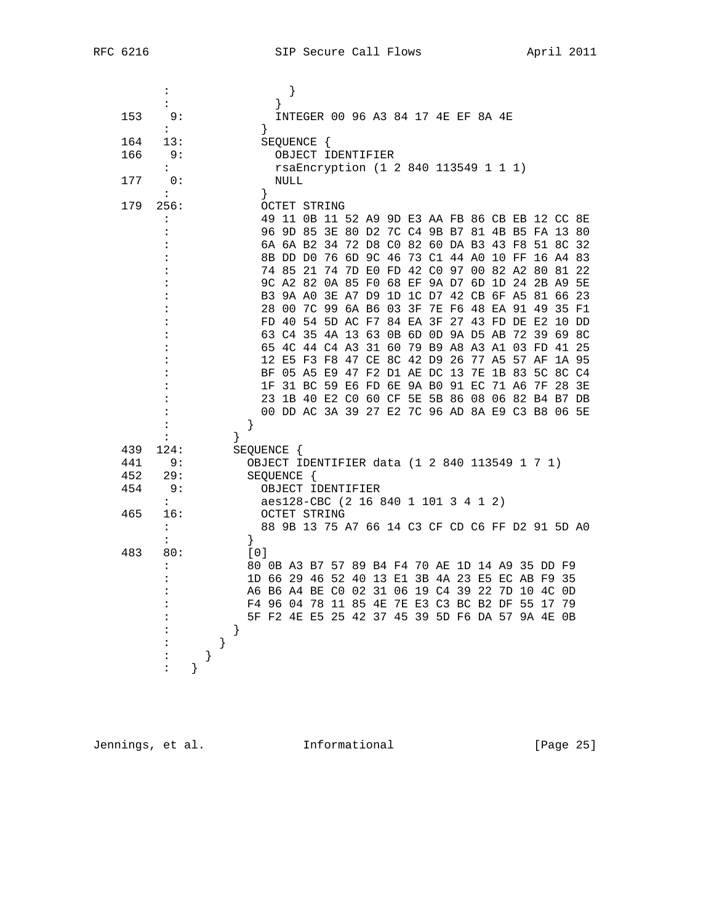|     | :                          |   |                    |                                                 | }           |            |                   |                                      |  |  |  |  |                                                                                                    |  |
|-----|----------------------------|---|--------------------|-------------------------------------------------|-------------|------------|-------------------|--------------------------------------|--|--|--|--|----------------------------------------------------------------------------------------------------|--|
|     | $\ddot{\cdot}$             |   |                    |                                                 |             |            |                   |                                      |  |  |  |  |                                                                                                    |  |
| 153 | 9:<br>$\ddot{\phantom{a}}$ |   |                    | ł                                               |             |            |                   | INTEGER 00 96 A3 84 17 4E EF 8A 4E   |  |  |  |  |                                                                                                    |  |
| 164 | 13:                        |   |                    |                                                 |             | SEQUENCE { |                   |                                      |  |  |  |  |                                                                                                    |  |
| 166 | 9:                         |   |                    |                                                 |             |            |                   | OBJECT IDENTIFIER                    |  |  |  |  |                                                                                                    |  |
|     | $\ddot{\phantom{a}}$       |   |                    |                                                 |             |            |                   | rsaEncryption (1 2 840 113549 1 1 1) |  |  |  |  |                                                                                                    |  |
| 177 | 0:                         |   |                    |                                                 | <b>NULL</b> |            |                   |                                      |  |  |  |  |                                                                                                    |  |
|     | $\ddot{\phantom{a}}$       |   |                    | $\}$                                            |             |            |                   |                                      |  |  |  |  |                                                                                                    |  |
| 179 | 256:                       |   |                    |                                                 |             |            | OCTET STRING      |                                      |  |  |  |  |                                                                                                    |  |
|     | :                          |   |                    |                                                 |             |            |                   |                                      |  |  |  |  | 49 11 0B 11 52 A9 9D E3 AA FB 86 CB EB 12 CC 8E                                                    |  |
|     | :                          |   |                    |                                                 |             |            |                   |                                      |  |  |  |  | 96 9D 85 3E 80 D2 7C C4 9B B7 81 4B B5 FA 13 80                                                    |  |
|     |                            |   |                    |                                                 |             |            |                   |                                      |  |  |  |  | 6A 6A B2 34 72 D8 C0 82 60 DA B3 43 F8 51 8C 32                                                    |  |
|     |                            |   |                    |                                                 |             |            |                   |                                      |  |  |  |  | 8B DD D0 76 6D 9C 46 73 C1 44 A0 10 FF 16 A4 83                                                    |  |
|     |                            |   |                    |                                                 |             |            |                   |                                      |  |  |  |  | 74 85 21 74 7D E0 FD 42 C0 97 00 82 A2 80 81 22                                                    |  |
|     |                            |   |                    |                                                 |             |            |                   |                                      |  |  |  |  | 9C A2 82 0A 85 F0 68 EF 9A D7 6D 1D 24 2B A9 5E                                                    |  |
|     |                            |   |                    |                                                 |             |            |                   |                                      |  |  |  |  | B3 9A A0 3E A7 D9 1D 1C D7 42 CB 6F A5 81 66 23<br>28 00 7C 99 6A B6 03 3F 7E F6 48 EA 91 49 35 F1 |  |
|     |                            |   |                    |                                                 |             |            |                   |                                      |  |  |  |  | FD 40 54 5D AC F7 84 EA 3F 27 43 FD DE E2 10 DD                                                    |  |
|     |                            |   |                    |                                                 |             |            |                   |                                      |  |  |  |  | 63 C4 35 4A 13 63 0B 6D 0D 9A D5 AB 72 39 69 8C                                                    |  |
|     |                            |   |                    |                                                 |             |            |                   |                                      |  |  |  |  | 65 4C 44 C4 A3 31 60 79 B9 A8 A3 A1 03 FD 41 25                                                    |  |
|     |                            |   |                    |                                                 |             |            |                   |                                      |  |  |  |  | 12 E5 F3 F8 47 CE 8C 42 D9 26 77 A5 57 AF 1A 95                                                    |  |
|     |                            |   |                    |                                                 |             |            |                   |                                      |  |  |  |  | BF 05 A5 E9 47 F2 D1 AE DC 13 7E 1B 83 5C 8C C4                                                    |  |
|     |                            |   |                    | 1F                                              |             |            |                   |                                      |  |  |  |  | 31 BC 59 E6 FD 6E 9A B0 91 EC 71 A6 7F 28 3E                                                       |  |
|     |                            |   |                    |                                                 |             |            |                   |                                      |  |  |  |  | 23 1B 40 E2 C0 60 CF 5E 5B 86 08 06 82 B4 B7 DB                                                    |  |
|     |                            |   |                    |                                                 |             |            |                   |                                      |  |  |  |  | 00 DD AC 3A 39 27 E2 7C 96 AD 8A E9 C3 B8 06 5E                                                    |  |
|     |                            |   |                    | ł                                               |             |            |                   |                                      |  |  |  |  |                                                                                                    |  |
|     | $\ddot{\cdot}$             |   | $\}$               |                                                 |             |            |                   |                                      |  |  |  |  |                                                                                                    |  |
| 439 | 124:                       |   |                    | SEQUENCE {                                      |             |            |                   |                                      |  |  |  |  |                                                                                                    |  |
| 441 | 9 :                        |   |                    | OBJECT IDENTIFIER data (1 2 840 113549 1 7 1)   |             |            |                   |                                      |  |  |  |  |                                                                                                    |  |
| 452 | 29:                        |   |                    | SEQUENCE {                                      |             |            |                   |                                      |  |  |  |  |                                                                                                    |  |
| 454 | 9:<br>$\ddot{\phantom{a}}$ |   |                    |                                                 |             |            | OBJECT IDENTIFIER | aes128-CBC (2 16 840 1 101 3 4 1 2)  |  |  |  |  |                                                                                                    |  |
| 465 | 16:                        |   |                    |                                                 |             |            | OCTET STRING      |                                      |  |  |  |  |                                                                                                    |  |
|     | $\ddot{\phantom{a}}$       |   |                    |                                                 |             |            |                   |                                      |  |  |  |  | 88 9B 13 75 A7 66 14 C3 CF CD C6 FF D2 91 5D A0                                                    |  |
|     | $\ddot{\cdot}$             |   |                    | $\}$                                            |             |            |                   |                                      |  |  |  |  |                                                                                                    |  |
| 483 | 80:                        |   |                    | [0]                                             |             |            |                   |                                      |  |  |  |  |                                                                                                    |  |
|     | $\ddot{\phantom{a}}$       |   |                    | 80 OB A3 B7 57 89 B4 F4 70 AE 1D 14 A9 35 DD F9 |             |            |                   |                                      |  |  |  |  |                                                                                                    |  |
|     |                            |   |                    | 1D 66 29 46 52 40 13 E1 3B 4A 23 E5 EC AB F9 35 |             |            |                   |                                      |  |  |  |  |                                                                                                    |  |
|     |                            |   |                    | A6 B6 A4 BE C0 02 31 06 19 C4 39 22 7D 10 4C OD |             |            |                   |                                      |  |  |  |  |                                                                                                    |  |
|     |                            |   |                    | F4 96 04 78 11 85 4E 7E E3 C3 BC B2 DF 55 17 79 |             |            |                   |                                      |  |  |  |  |                                                                                                    |  |
|     |                            |   |                    | 5F F2 4E E5 25 42 37 45 39 5D F6 DA 57 9A 4E OB |             |            |                   |                                      |  |  |  |  |                                                                                                    |  |
|     |                            |   | ł                  |                                                 |             |            |                   |                                      |  |  |  |  |                                                                                                    |  |
|     |                            |   | $\left\{ \right\}$ |                                                 |             |            |                   |                                      |  |  |  |  |                                                                                                    |  |
|     |                            |   |                    |                                                 |             |            |                   |                                      |  |  |  |  |                                                                                                    |  |
|     | $\ddot{\cdot}$             | } |                    |                                                 |             |            |                   |                                      |  |  |  |  |                                                                                                    |  |

Jennings, et al. 1nformational 1999 [Page 25]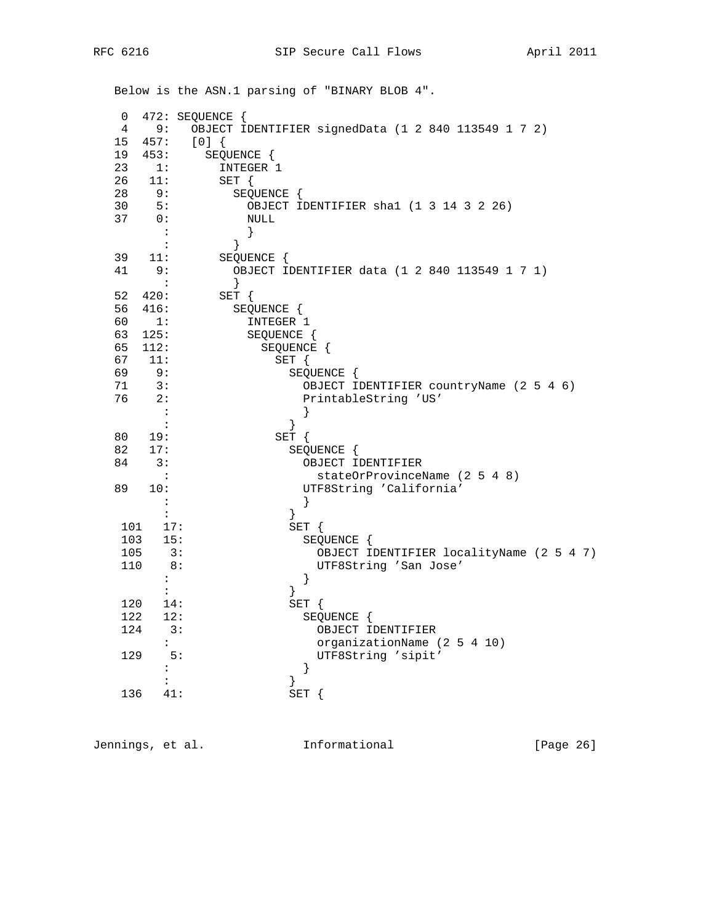Below is the ASN.1 parsing of "BINARY BLOB 4". 0 472: SEQUENCE {<br>4 9: OBJECT I 4 9: OBJECT IDENTIFIER signedData (1 2 840 113549 1 7 2) 15 457: [0] { 19 453: SEQUENCE {<br>23 1: INTEGER INTEGER<sup>1</sup> 26 11: SET {<br>28 9: SEQU 28 9: SEQUENCE { 30 5: OBJECT IDENTIFIER sha1 (1 3 14 3 2 26) 37 0: NULL  $\vdots$  }  $\begin{array}{ccc} \cdot & \cdot & \cdot & \cdot \\ \cdot & \cdot & \cdot & \cdot \\ \cdot & \cdot & \cdot & \cdot \end{array}$ 39 11: SEQUENCE {<br>41 9: OBJECT I OBJECT IDENTIFIER data (1 2 840 113549 1 7 1)  $\begin{array}{ccc} \cdot & \cdot & \cdot & \cdot \\ \cdot & \cdot & \cdot & \cdot \\ \cdot & \cdot & \cdot & \cdot \end{array}$  52 420: SET { 56 416: SEQUENCE { 60 1: INTEGER 1 63 125: SEQUENCE { 65 112: SEQUENCE { 67 11: SET { 69 9: SEQUENCE {<br>71 3: OBJECT I 71 3: OBJECT IDENTIFIER countryName (2 5 4 6)<br>76 2: PrintableString 'US' PrintableString 'US'  $\begin{array}{c} \begin{array}{c} \cdot \\ \cdot \end{array} \\ \begin{array}{c} \cdot \end{array} \\ \begin{array}{c} \cdot \end{array} \end{array}$  : } 80 19:<br>82 17: SEQUENCE { 84 3: OBJECT IDENTIFIER<br>stateOrProvince : stateOrProvinceName (2 5 4 8) 89 10: UTF8String 'California'  $\vdots$  }  $\begin{array}{ccc} \cdot & \cdot & \cdot \\ \cdot & \cdot & \cdot \\ \end{array}$  101 17: SET { 103 15: SEQUENCE {<br>105 3: OBJECT I 105 3: OBJECT IDENTIFIER localityName (2 5 4 7)<br>110 8: UTF8String 'San Jose' 110 8: UTF8String 'San Jose'  $\vdots$  }  $\begin{array}{ccc} \cdot & \cdot & \cdot \\ \cdot & \cdot & \cdot \\ \end{array}$  $120$   $14$ : SET {<br> $122$   $12$ : SEO 122 12: SEQUENCE {<br>124 3: OBJECT I 3: OBJECT IDENTIFIER : organizationName (2 5 4 10) 129 5: UTF8String 'sipit'<br>
:  $\vdots$  }  $\begin{array}{ccc} \cdot & \cdot & \cdot \\ \cdot & \cdot & \cdot \\ \end{array}$ 136 41: SET {

Jennings, et al. 1nformational 1999 [Page 26]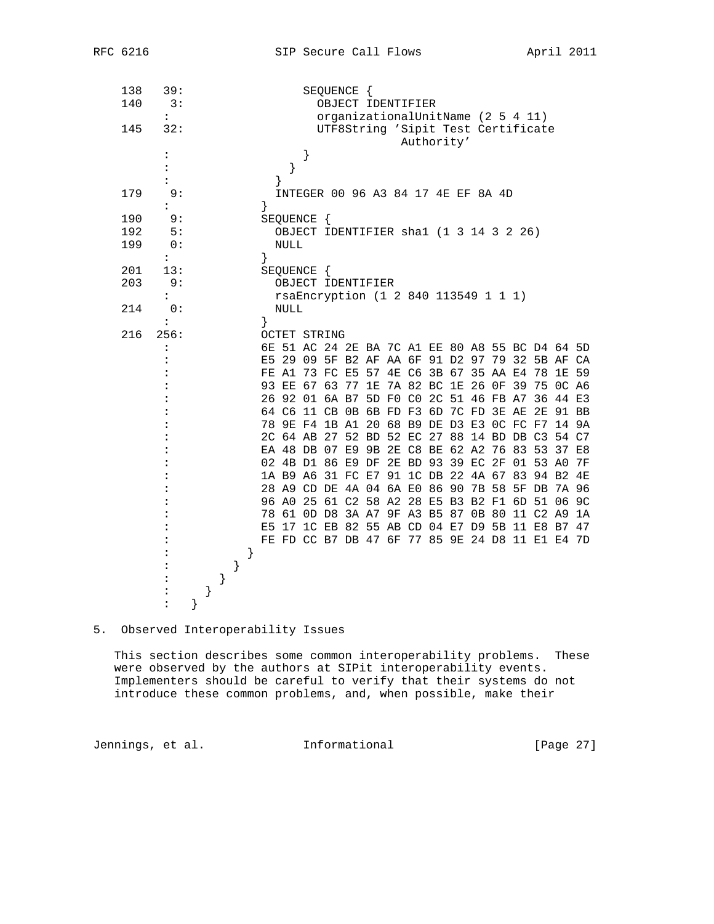| 138 | 39:                  |   |   |      |   |              |             |            |              | SEQUENCE { |                                        |  |            |  |                                    |                                                                                                    |  |
|-----|----------------------|---|---|------|---|--------------|-------------|------------|--------------|------------|----------------------------------------|--|------------|--|------------------------------------|----------------------------------------------------------------------------------------------------|--|
| 140 | 3:                   |   |   |      |   |              |             |            |              |            | OBJECT IDENTIFIER                      |  |            |  |                                    |                                                                                                    |  |
|     | $\ddot{\phantom{a}}$ |   |   |      |   |              |             |            |              |            | organizationalUnitName (2 5 4 11)      |  |            |  |                                    |                                                                                                    |  |
| 145 | 32:                  |   |   |      |   |              |             |            |              |            |                                        |  |            |  | UTF8String 'Sipit Test Certificate |                                                                                                    |  |
|     |                      |   |   |      |   |              |             |            |              |            |                                        |  | Authority' |  |                                    |                                                                                                    |  |
|     | $\ddot{\phantom{a}}$ |   |   |      |   |              |             | $\}$       |              |            |                                        |  |            |  |                                    |                                                                                                    |  |
|     | $\ddot{\phantom{a}}$ |   |   |      |   |              | ł           |            |              |            |                                        |  |            |  |                                    |                                                                                                    |  |
|     | $\ddot{\cdot}$       |   |   |      |   | ł            |             |            |              |            |                                        |  |            |  |                                    |                                                                                                    |  |
| 179 | 9:                   |   |   |      |   |              |             |            |              |            | INTEGER 00 96 A3 84 17 4E EF 8A 4D     |  |            |  |                                    |                                                                                                    |  |
|     | $\ddot{\phantom{a}}$ |   |   |      |   | $\}$         |             |            |              |            |                                        |  |            |  |                                    |                                                                                                    |  |
| 190 | 9:                   |   |   |      |   |              |             | SEQUENCE { |              |            |                                        |  |            |  |                                    |                                                                                                    |  |
| 192 | 5:                   |   |   |      |   |              |             |            |              |            | OBJECT IDENTIFIER shal (1 3 14 3 2 26) |  |            |  |                                    |                                                                                                    |  |
| 199 | 0:                   |   |   |      |   |              | NULL        |            |              |            |                                        |  |            |  |                                    |                                                                                                    |  |
|     | $\mathbf{L}$         |   |   |      |   | ł            |             |            |              |            |                                        |  |            |  |                                    |                                                                                                    |  |
| 201 | 13:                  |   |   |      |   |              |             | SEQUENCE { |              |            |                                        |  |            |  |                                    |                                                                                                    |  |
| 203 | 9:                   |   |   |      |   |              |             |            |              |            | OBJECT IDENTIFIER                      |  |            |  |                                    |                                                                                                    |  |
|     | $\ddot{\phantom{a}}$ |   |   |      |   |              |             |            |              |            | rsaEncryption (1 2 840 113549 1 1 1)   |  |            |  |                                    |                                                                                                    |  |
| 214 | 0:                   |   |   |      |   |              | <b>NULL</b> |            |              |            |                                        |  |            |  |                                    |                                                                                                    |  |
|     | $\ddot{\phantom{a}}$ |   |   |      |   | <sup>}</sup> |             |            |              |            |                                        |  |            |  |                                    |                                                                                                    |  |
| 216 | 256:                 |   |   |      |   |              |             |            | OCTET STRING |            |                                        |  |            |  |                                    |                                                                                                    |  |
|     | $\ddot{\phantom{a}}$ |   |   |      |   |              |             |            |              |            |                                        |  |            |  |                                    | 6E 51 AC 24 2E BA 7C A1 EE 80 A8 55 BC D4 64 5D                                                    |  |
|     | $\ddot{\cdot}$       |   |   |      |   |              |             |            |              |            |                                        |  |            |  |                                    | E5 29 09 5F B2 AF AA 6F 91 D2 97 79 32 5B AF CA                                                    |  |
|     |                      |   |   |      |   |              |             |            |              |            |                                        |  |            |  |                                    | FE A1 73 FC E5 57 4E C6 3B 67 35 AA E4 78 1E 59                                                    |  |
|     |                      |   |   |      |   |              |             |            |              |            |                                        |  |            |  |                                    | 93 EE 67 63 77 1E 7A 82 BC 1E 26 0F 39 75 OC A6                                                    |  |
|     |                      |   |   |      |   |              |             |            |              |            |                                        |  |            |  |                                    | 26 92 01 6A B7 5D F0 C0 2C 51 46 FB A7 36 44 E3                                                    |  |
|     |                      |   |   |      |   |              |             |            |              |            |                                        |  |            |  |                                    | 64 C6 11 CB 0B 6B FD F3 6D 7C FD 3E AE 2E 91 BB                                                    |  |
|     |                      |   |   |      |   |              |             |            |              |            |                                        |  |            |  |                                    | 78 9E F4 1B A1 20 68 B9 DE D3 E3 OC FC F7 14 9A                                                    |  |
|     |                      |   |   |      |   |              |             |            |              |            |                                        |  |            |  |                                    | 2C 64 AB 27 52 BD 52 EC 27 88 14 BD DB C3 54 C7                                                    |  |
|     |                      |   |   |      |   |              |             |            |              |            |                                        |  |            |  |                                    | EA 48 DB 07 E9 9B 2E C8 BE 62 A2 76 83 53 37 E8                                                    |  |
|     |                      |   |   |      |   |              |             |            |              |            |                                        |  |            |  |                                    | 02 4B D1 86 E9 DF 2E BD 93 39 EC 2F 01 53 A0 7F                                                    |  |
|     |                      |   |   |      |   |              |             |            |              |            |                                        |  |            |  |                                    | 1A B9 A6 31 FC E7 91 1C DB 22 4A 67 83 94 B2 4E                                                    |  |
|     |                      |   |   |      |   |              |             |            |              |            |                                        |  |            |  |                                    | 28 A9 CD DE 4A 04 6A E0 86 90 7B 58 5F DB 7A 96                                                    |  |
|     |                      |   |   |      |   |              |             |            |              |            |                                        |  |            |  |                                    | 96 A0 25 61 C2 58 A2 28 E5 B3 B2 F1 6D 51 06 9C<br>78 61 0D D8 3A A7 9F A3 B5 87 0B 80 11 C2 A9 1A |  |
|     |                      |   |   |      |   |              |             |            |              |            |                                        |  |            |  |                                    |                                                                                                    |  |
|     |                      |   |   |      |   |              |             |            |              |            |                                        |  |            |  |                                    | E5 17 1C EB 82 55 AB CD 04 E7 D9 5B 11 E8 B7 47                                                    |  |
|     |                      |   |   |      |   |              |             |            |              |            |                                        |  |            |  |                                    | FE FD CC B7 DB 47 6F 77 85 9E 24 D8 11 E1 E4 7D                                                    |  |
|     | $\ddot{\cdot}$       |   |   |      | } |              |             |            |              |            |                                        |  |            |  |                                    |                                                                                                    |  |
|     |                      |   |   | $\}$ |   |              |             |            |              |            |                                        |  |            |  |                                    |                                                                                                    |  |
|     |                      |   | } |      |   |              |             |            |              |            |                                        |  |            |  |                                    |                                                                                                    |  |
|     | $\ddot{\phantom{a}}$ | } |   |      |   |              |             |            |              |            |                                        |  |            |  |                                    |                                                                                                    |  |
|     |                      |   |   |      |   |              |             |            |              |            |                                        |  |            |  |                                    |                                                                                                    |  |

# 5. Observed Interoperability Issues

 This section describes some common interoperability problems. These were observed by the authors at SIPit interoperability events. Implementers should be careful to verify that their systems do not introduce these common problems, and, when possible, make their

Jennings, et al. 1nformational 1999 [Page 27]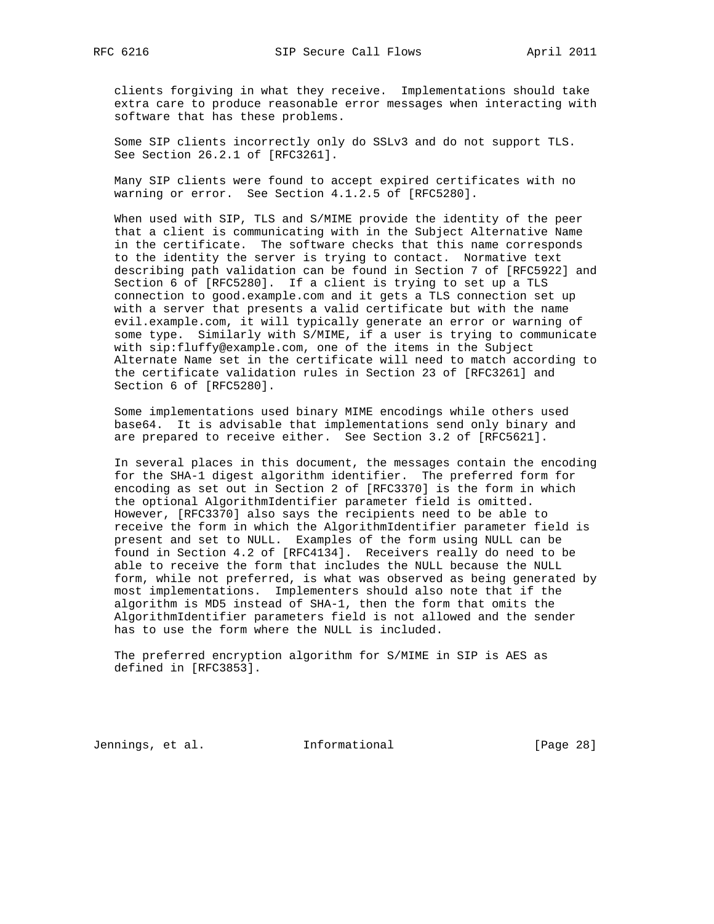clients forgiving in what they receive. Implementations should take extra care to produce reasonable error messages when interacting with software that has these problems.

 Some SIP clients incorrectly only do SSLv3 and do not support TLS. See Section 26.2.1 of [RFC3261].

 Many SIP clients were found to accept expired certificates with no warning or error. See Section 4.1.2.5 of [RFC5280].

 When used with SIP, TLS and S/MIME provide the identity of the peer that a client is communicating with in the Subject Alternative Name in the certificate. The software checks that this name corresponds to the identity the server is trying to contact. Normative text describing path validation can be found in Section 7 of [RFC5922] and Section 6 of [RFC5280]. If a client is trying to set up a TLS connection to good.example.com and it gets a TLS connection set up with a server that presents a valid certificate but with the name evil.example.com, it will typically generate an error or warning of some type. Similarly with S/MIME, if a user is trying to communicate with sip:fluffy@example.com, one of the items in the Subject Alternate Name set in the certificate will need to match according to the certificate validation rules in Section 23 of [RFC3261] and Section 6 of [RFC5280].

 Some implementations used binary MIME encodings while others used base64. It is advisable that implementations send only binary and are prepared to receive either. See Section 3.2 of [RFC5621].

 In several places in this document, the messages contain the encoding for the SHA-1 digest algorithm identifier. The preferred form for encoding as set out in Section 2 of [RFC3370] is the form in which the optional AlgorithmIdentifier parameter field is omitted. However, [RFC3370] also says the recipients need to be able to receive the form in which the AlgorithmIdentifier parameter field is present and set to NULL. Examples of the form using NULL can be found in Section 4.2 of [RFC4134]. Receivers really do need to be able to receive the form that includes the NULL because the NULL form, while not preferred, is what was observed as being generated by most implementations. Implementers should also note that if the algorithm is MD5 instead of SHA-1, then the form that omits the AlgorithmIdentifier parameters field is not allowed and the sender has to use the form where the NULL is included.

 The preferred encryption algorithm for S/MIME in SIP is AES as defined in [RFC3853].

Jennings, et al. 1nformational 1999 [Page 28]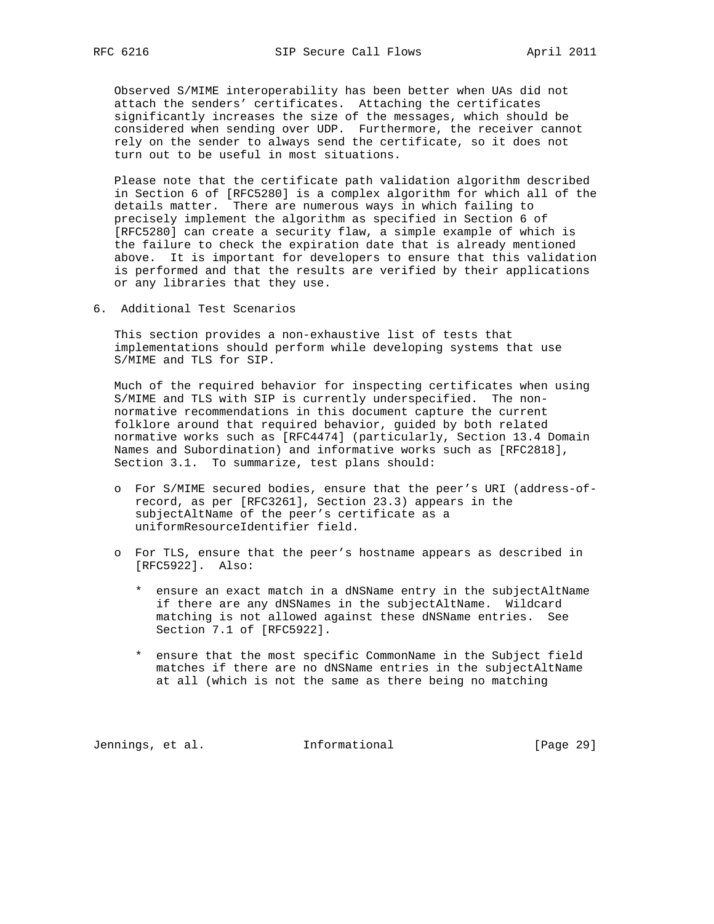Observed S/MIME interoperability has been better when UAs did not attach the senders' certificates. Attaching the certificates significantly increases the size of the messages, which should be considered when sending over UDP. Furthermore, the receiver cannot rely on the sender to always send the certificate, so it does not turn out to be useful in most situations.

 Please note that the certificate path validation algorithm described in Section 6 of [RFC5280] is a complex algorithm for which all of the details matter. There are numerous ways in which failing to precisely implement the algorithm as specified in Section 6 of [RFC5280] can create a security flaw, a simple example of which is the failure to check the expiration date that is already mentioned above. It is important for developers to ensure that this validation is performed and that the results are verified by their applications or any libraries that they use.

6. Additional Test Scenarios

 This section provides a non-exhaustive list of tests that implementations should perform while developing systems that use S/MIME and TLS for SIP.

 Much of the required behavior for inspecting certificates when using S/MIME and TLS with SIP is currently underspecified. The non normative recommendations in this document capture the current folklore around that required behavior, guided by both related normative works such as [RFC4474] (particularly, Section 13.4 Domain Names and Subordination) and informative works such as [RFC2818], Section 3.1. To summarize, test plans should:

- o For S/MIME secured bodies, ensure that the peer's URI (address-of record, as per [RFC3261], Section 23.3) appears in the subjectAltName of the peer's certificate as a uniformResourceIdentifier field.
- o For TLS, ensure that the peer's hostname appears as described in [RFC5922]. Also:
	- \* ensure an exact match in a dNSName entry in the subjectAltName if there are any dNSNames in the subjectAltName. Wildcard matching is not allowed against these dNSName entries. See Section 7.1 of [RFC5922].
	- \* ensure that the most specific CommonName in the Subject field matches if there are no dNSName entries in the subjectAltName at all (which is not the same as there being no matching

Jennings, et al. 1nformational 1999 [Page 29]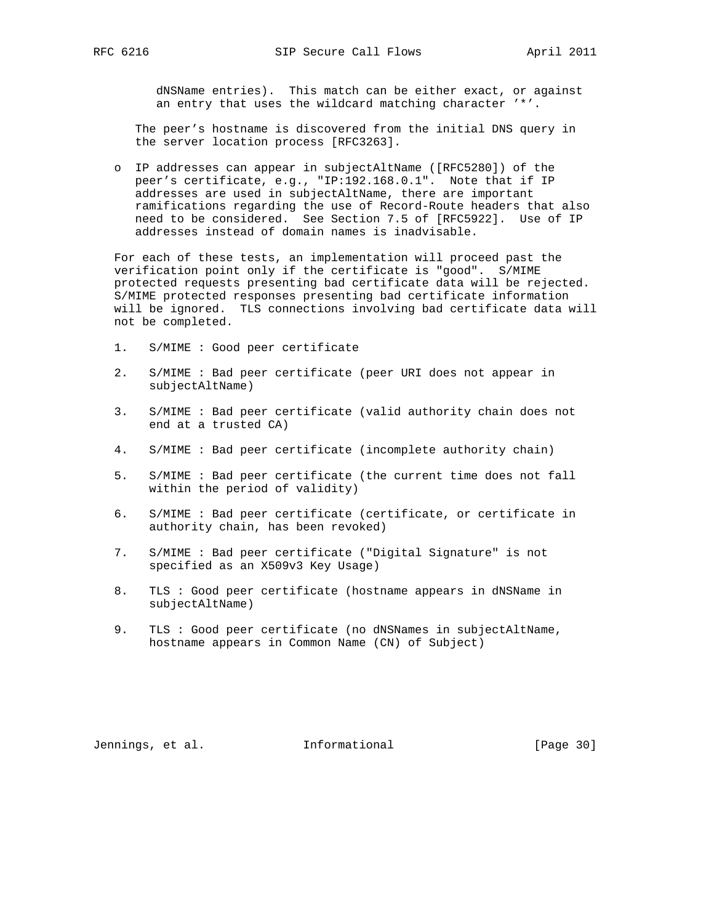dNSName entries). This match can be either exact, or against an entry that uses the wildcard matching character '\*'.

 The peer's hostname is discovered from the initial DNS query in the server location process [RFC3263].

 o IP addresses can appear in subjectAltName ([RFC5280]) of the peer's certificate, e.g., "IP:192.168.0.1". Note that if IP addresses are used in subjectAltName, there are important ramifications regarding the use of Record-Route headers that also need to be considered. See Section 7.5 of [RFC5922]. Use of IP addresses instead of domain names is inadvisable.

 For each of these tests, an implementation will proceed past the verification point only if the certificate is "good". S/MIME protected requests presenting bad certificate data will be rejected. S/MIME protected responses presenting bad certificate information will be ignored. TLS connections involving bad certificate data will not be completed.

- 1. S/MIME : Good peer certificate
- 2. S/MIME : Bad peer certificate (peer URI does not appear in subjectAltName)
- 3. S/MIME : Bad peer certificate (valid authority chain does not end at a trusted CA)
- 4. S/MIME : Bad peer certificate (incomplete authority chain)
- 5. S/MIME : Bad peer certificate (the current time does not fall within the period of validity)
- 6. S/MIME : Bad peer certificate (certificate, or certificate in authority chain, has been revoked)
- 7. S/MIME : Bad peer certificate ("Digital Signature" is not specified as an X509v3 Key Usage)
- 8. TLS : Good peer certificate (hostname appears in dNSName in subjectAltName)
- 9. TLS : Good peer certificate (no dNSNames in subjectAltName, hostname appears in Common Name (CN) of Subject)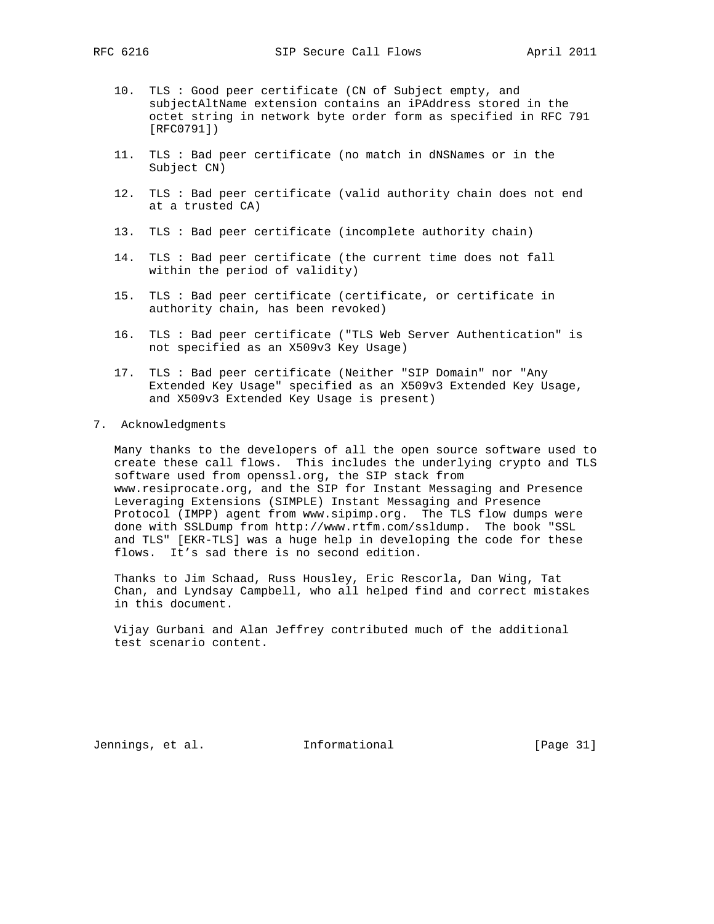- 10. TLS : Good peer certificate (CN of Subject empty, and subjectAltName extension contains an iPAddress stored in the octet string in network byte order form as specified in RFC 791 [RFC0791])
- 11. TLS : Bad peer certificate (no match in dNSNames or in the Subject CN)
- 12. TLS : Bad peer certificate (valid authority chain does not end at a trusted CA)
- 13. TLS : Bad peer certificate (incomplete authority chain)
- 14. TLS : Bad peer certificate (the current time does not fall within the period of validity)
- 15. TLS : Bad peer certificate (certificate, or certificate in authority chain, has been revoked)
- 16. TLS : Bad peer certificate ("TLS Web Server Authentication" is not specified as an X509v3 Key Usage)
- 17. TLS : Bad peer certificate (Neither "SIP Domain" nor "Any Extended Key Usage" specified as an X509v3 Extended Key Usage, and X509v3 Extended Key Usage is present)
- 7. Acknowledgments

 Many thanks to the developers of all the open source software used to create these call flows. This includes the underlying crypto and TLS software used from openssl.org, the SIP stack from www.resiprocate.org, and the SIP for Instant Messaging and Presence Leveraging Extensions (SIMPLE) Instant Messaging and Presence Protocol (IMPP) agent from www.sipimp.org. The TLS flow dumps were done with SSLDump from http://www.rtfm.com/ssldump. The book "SSL and TLS" [EKR-TLS] was a huge help in developing the code for these flows. It's sad there is no second edition.

 Thanks to Jim Schaad, Russ Housley, Eric Rescorla, Dan Wing, Tat Chan, and Lyndsay Campbell, who all helped find and correct mistakes in this document.

 Vijay Gurbani and Alan Jeffrey contributed much of the additional test scenario content.

Jennings, et al. 1nformational 1999 [Page 31]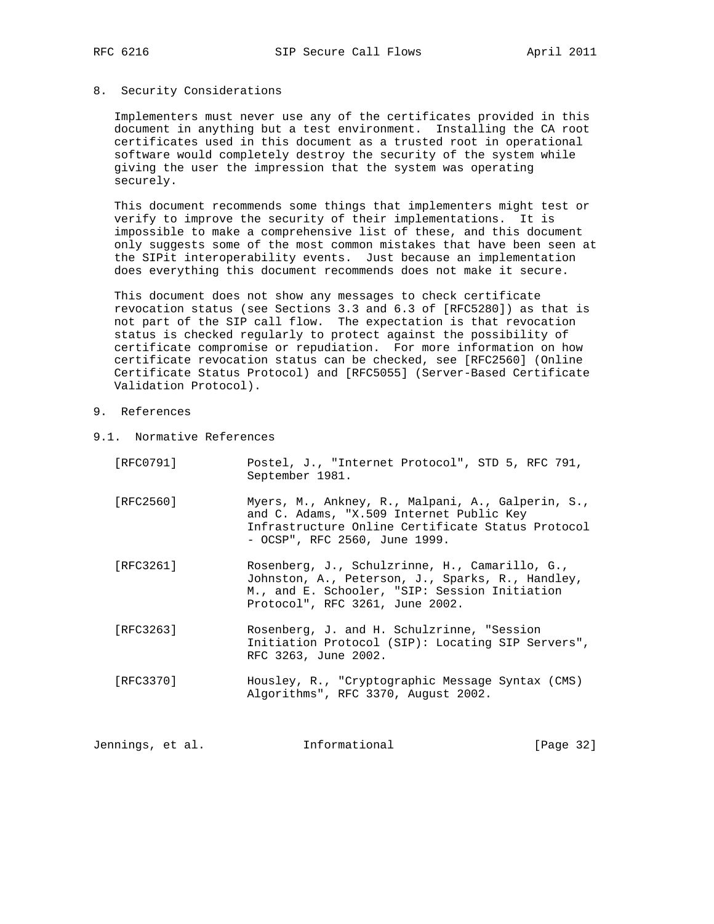## 8. Security Considerations

 Implementers must never use any of the certificates provided in this document in anything but a test environment. Installing the CA root certificates used in this document as a trusted root in operational software would completely destroy the security of the system while giving the user the impression that the system was operating securely.

 This document recommends some things that implementers might test or verify to improve the security of their implementations. It is impossible to make a comprehensive list of these, and this document only suggests some of the most common mistakes that have been seen at the SIPit interoperability events. Just because an implementation does everything this document recommends does not make it secure.

 This document does not show any messages to check certificate revocation status (see Sections 3.3 and 6.3 of [RFC5280]) as that is not part of the SIP call flow. The expectation is that revocation status is checked regularly to protect against the possibility of certificate compromise or repudiation. For more information on how certificate revocation status can be checked, see [RFC2560] (Online Certificate Status Protocol) and [RFC5055] (Server-Based Certificate Validation Protocol).

- 9. References
- 9.1. Normative References

| [RFC0791] | Postel, J., "Internet Protocol", STD 5, RFC 791,<br>September 1981.                                                                                                                    |
|-----------|----------------------------------------------------------------------------------------------------------------------------------------------------------------------------------------|
| [RFC2560] | Myers, M., Ankney, R., Malpani, A., Galperin, S.,<br>and C. Adams, "X.509 Internet Public Key<br>Infrastructure Online Certificate Status Protocol<br>- OCSP", RFC 2560, June 1999.    |
| [RFC3261] | Rosenberg, J., Schulzrinne, H., Camarillo, G.,<br>Johnston, A., Peterson, J., Sparks, R., Handley,<br>M., and E. Schooler, "SIP: Session Initiation<br>Protocol", RFC 3261, June 2002. |
| [RFC3263] | Rosenberg, J. and H. Schulzrinne, "Session<br>Initiation Protocol (SIP): Locating SIP Servers",<br>RFC 3263, June 2002.                                                                |
| [RFC3370] | Housley, R., "Cryptographic Message Syntax (CMS)<br>Algorithms", RFC 3370, August 2002.                                                                                                |

Jennings, et al. 1nformational 1999 [Page 32]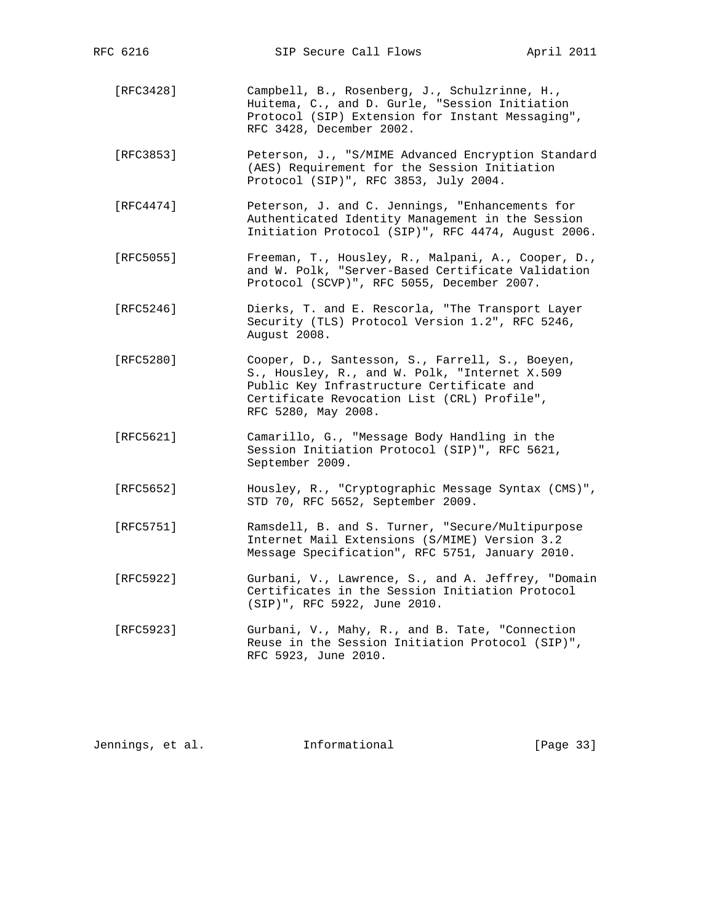- [RFC3428] Campbell, B., Rosenberg, J., Schulzrinne, H., Huitema, C., and D. Gurle, "Session Initiation Protocol (SIP) Extension for Instant Messaging", RFC 3428, December 2002.
- [RFC3853] Peterson, J., "S/MIME Advanced Encryption Standard (AES) Requirement for the Session Initiation Protocol (SIP)", RFC 3853, July 2004.
- [RFC4474] Peterson, J. and C. Jennings, "Enhancements for Authenticated Identity Management in the Session Initiation Protocol (SIP)", RFC 4474, August 2006.
- [RFC5055] Freeman, T., Housley, R., Malpani, A., Cooper, D., and W. Polk, "Server-Based Certificate Validation Protocol (SCVP)", RFC 5055, December 2007.
	- [RFC5246] Dierks, T. and E. Rescorla, "The Transport Layer Security (TLS) Protocol Version 1.2", RFC 5246, August 2008.
	- [RFC5280] Cooper, D., Santesson, S., Farrell, S., Boeyen, S., Housley, R., and W. Polk, "Internet X.509 Public Key Infrastructure Certificate and Certificate Revocation List (CRL) Profile", RFC 5280, May 2008.
	- [RFC5621] Camarillo, G., "Message Body Handling in the Session Initiation Protocol (SIP)", RFC 5621, September 2009.
	- [RFC5652] Housley, R., "Cryptographic Message Syntax (CMS)", STD 70, RFC 5652, September 2009.
	- [RFC5751] Ramsdell, B. and S. Turner, "Secure/Multipurpose Internet Mail Extensions (S/MIME) Version 3.2 Message Specification", RFC 5751, January 2010.
	- [RFC5922] Gurbani, V., Lawrence, S., and A. Jeffrey, "Domain Certificates in the Session Initiation Protocol (SIP)", RFC 5922, June 2010.
	- [RFC5923] Gurbani, V., Mahy, R., and B. Tate, "Connection Reuse in the Session Initiation Protocol (SIP)", RFC 5923, June 2010.

| Jennings, et al. | Informational | [Page 33] |
|------------------|---------------|-----------|
|                  |               |           |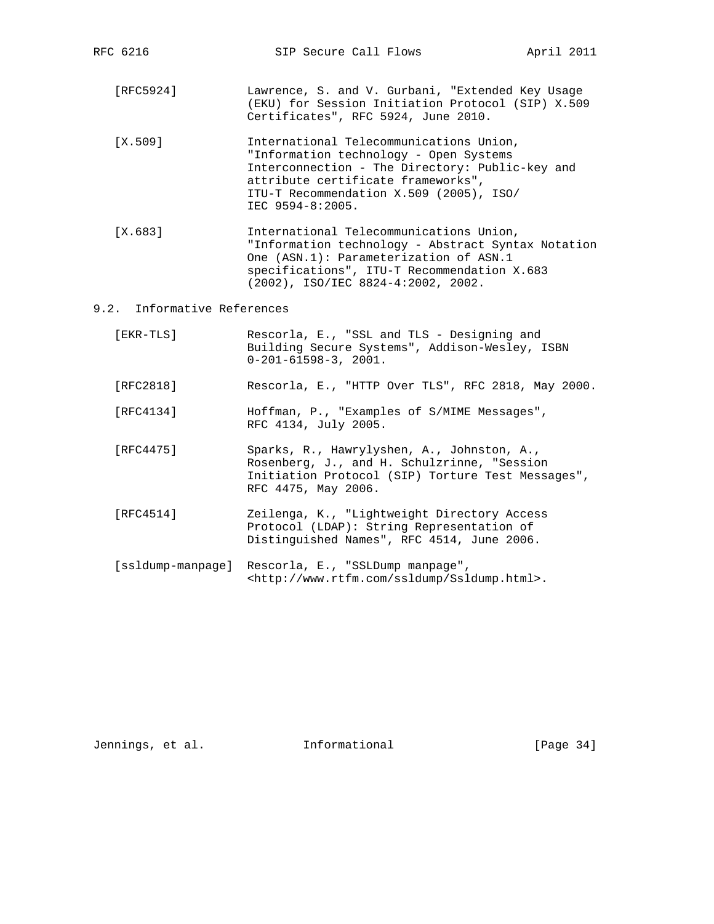- [RFC5924] Lawrence, S. and V. Gurbani, "Extended Key Usage (EKU) for Session Initiation Protocol (SIP) X.509 Certificates", RFC 5924, June 2010.
- [X.509] International Telecommunications Union, "Information technology - Open Systems Interconnection - The Directory: Public-key and attribute certificate frameworks", ITU-T Recommendation X.509 (2005), ISO/ IEC 9594-8:2005.
- [X.683] International Telecommunications Union, "Information technology - Abstract Syntax Notation One (ASN.1): Parameterization of ASN.1 specifications", ITU-T Recommendation X.683 (2002), ISO/IEC 8824-4:2002, 2002.

## 9.2. Informative References

- [EKR-TLS] Rescorla, E., "SSL and TLS Designing and Building Secure Systems", Addison-Wesley, ISBN 0-201-61598-3, 2001. [RFC2818] Rescorla, E., "HTTP Over TLS", RFC 2818, May 2000. [RFC4134] Hoffman, P., "Examples of S/MIME Messages", RFC 4134, July 2005. [RFC4475] Sparks, R., Hawrylyshen, A., Johnston, A., Rosenberg, J., and H. Schulzrinne, "Session Initiation Protocol (SIP) Torture Test Messages", RFC 4475, May 2006. [RFC4514] Zeilenga, K., "Lightweight Directory Access
- Protocol (LDAP): String Representation of Distinguished Names", RFC 4514, June 2006.
- [ssldump-manpage] Rescorla, E., "SSLDump manpage", <http://www.rtfm.com/ssldump/Ssldump.html>.

Jennings, et al. 1nformational 1999 [Page 34]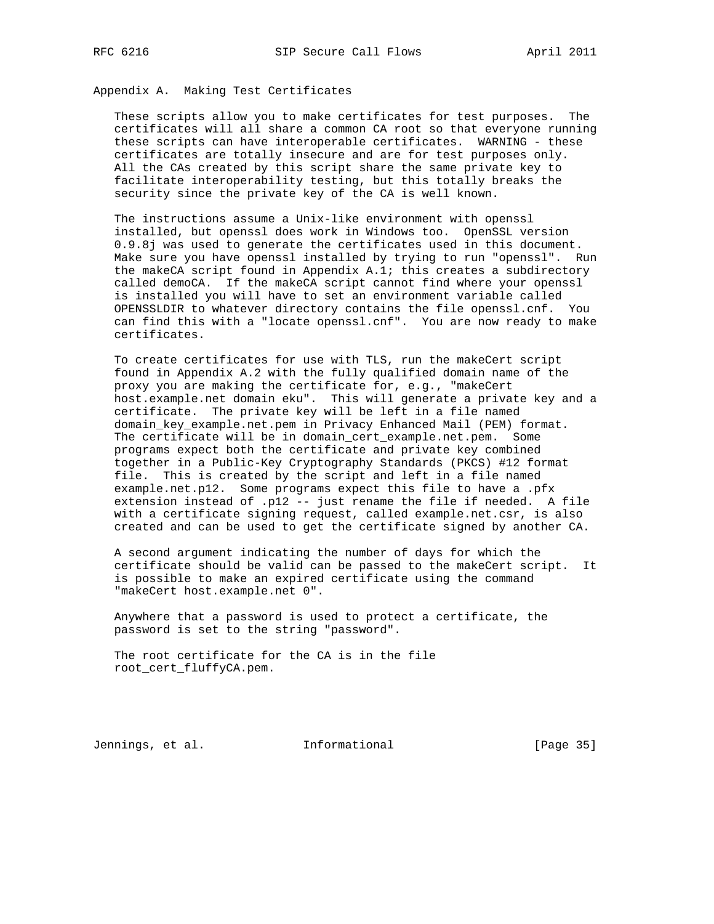# Appendix A. Making Test Certificates

 These scripts allow you to make certificates for test purposes. The certificates will all share a common CA root so that everyone running these scripts can have interoperable certificates. WARNING - these certificates are totally insecure and are for test purposes only. All the CAs created by this script share the same private key to facilitate interoperability testing, but this totally breaks the security since the private key of the CA is well known.

 The instructions assume a Unix-like environment with openssl installed, but openssl does work in Windows too. OpenSSL version 0.9.8j was used to generate the certificates used in this document. Make sure you have openssl installed by trying to run "openssl". Run the makeCA script found in Appendix A.1; this creates a subdirectory called demoCA. If the makeCA script cannot find where your openssl is installed you will have to set an environment variable called OPENSSLDIR to whatever directory contains the file openssl.cnf. You can find this with a "locate openssl.cnf". You are now ready to make certificates.

 To create certificates for use with TLS, run the makeCert script found in Appendix A.2 with the fully qualified domain name of the proxy you are making the certificate for, e.g., "makeCert host.example.net domain eku". This will generate a private key and a certificate. The private key will be left in a file named domain\_key\_example.net.pem in Privacy Enhanced Mail (PEM) format. The certificate will be in domain\_cert\_example.net.pem. Some programs expect both the certificate and private key combined together in a Public-Key Cryptography Standards (PKCS) #12 format file. This is created by the script and left in a file named example.net.p12. Some programs expect this file to have a .pfx extension instead of .p12 -- just rename the file if needed. A file with a certificate signing request, called example.net.csr, is also created and can be used to get the certificate signed by another CA.

 A second argument indicating the number of days for which the certificate should be valid can be passed to the makeCert script. It is possible to make an expired certificate using the command "makeCert host.example.net 0".

 Anywhere that a password is used to protect a certificate, the password is set to the string "password".

 The root certificate for the CA is in the file root\_cert\_fluffyCA.pem.

Jennings, et al. 1nformational 1999 [Page 35]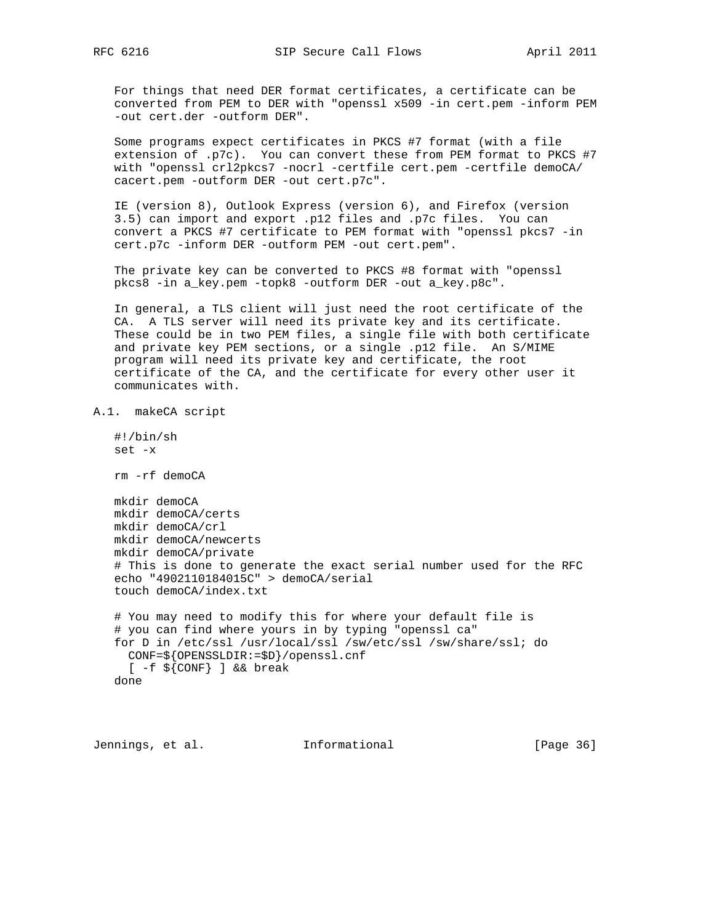For things that need DER format certificates, a certificate can be converted from PEM to DER with "openssl x509 -in cert.pem -inform PEM -out cert.der -outform DER".

 Some programs expect certificates in PKCS #7 format (with a file extension of .p7c). You can convert these from PEM format to PKCS #7 with "openssl crl2pkcs7 -nocrl -certfile cert.pem -certfile demoCA/ cacert.pem -outform DER -out cert.p7c".

 IE (version 8), Outlook Express (version 6), and Firefox (version 3.5) can import and export .p12 files and .p7c files. You can convert a PKCS #7 certificate to PEM format with "openssl pkcs7 -in cert.p7c -inform DER -outform PEM -out cert.pem".

 The private key can be converted to PKCS #8 format with "openssl pkcs8 -in a\_key.pem -topk8 -outform DER -out a\_key.p8c".

 In general, a TLS client will just need the root certificate of the CA. A TLS server will need its private key and its certificate. These could be in two PEM files, a single file with both certificate and private key PEM sections, or a single .p12 file. An S/MIME program will need its private key and certificate, the root certificate of the CA, and the certificate for every other user it communicates with.

```
A.1. makeCA script
```

```
 #!/bin/sh
 set -x
 rm -rf demoCA
 mkdir demoCA
 mkdir demoCA/certs
 mkdir demoCA/crl
 mkdir demoCA/newcerts
 mkdir demoCA/private
 # This is done to generate the exact serial number used for the RFC
 echo "4902110184015C" > demoCA/serial
 touch demoCA/index.txt
 # You may need to modify this for where your default file is
 # you can find where yours in by typing "openssl ca"
 for D in /etc/ssl /usr/local/ssl /sw/etc/ssl /sw/share/ssl; do
  CONF=${OPENSSLDIR:=$D}/openssl.cnf
 [-f \{CONF} ] & break
 done
```
Jennings, et al. 1nformational 1999 [Page 36]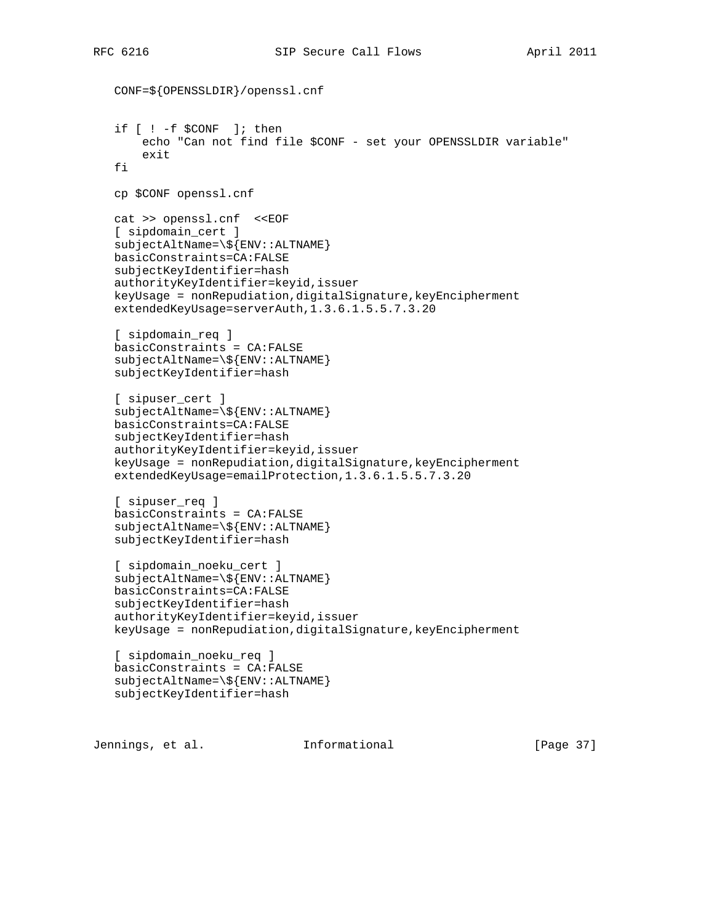```
 CONF=${OPENSSLDIR}/openssl.cnf
 if [ ! -f $CONF ]; then
     echo "Can not find file $CONF - set your OPENSSLDIR variable"
     exit
 fi
 cp $CONF openssl.cnf
 cat >> openssl.cnf <<EOF
 [ sipdomain_cert ]
 subjectAltName=\${ENV::ALTNAME}
 basicConstraints=CA:FALSE
 subjectKeyIdentifier=hash
 authorityKeyIdentifier=keyid,issuer
 keyUsage = nonRepudiation,digitalSignature,keyEncipherment
 extendedKeyUsage=serverAuth,1.3.6.1.5.5.7.3.20
 [ sipdomain_req ]
 basicConstraints = CA:FALSE
 subjectAltName=\${ENV::ALTNAME}
 subjectKeyIdentifier=hash
 [ sipuser_cert ]
 subjectAltName=\${ENV::ALTNAME}
 basicConstraints=CA:FALSE
 subjectKeyIdentifier=hash
 authorityKeyIdentifier=keyid,issuer
 keyUsage = nonRepudiation,digitalSignature,keyEncipherment
 extendedKeyUsage=emailProtection,1.3.6.1.5.5.7.3.20
 [ sipuser_req ]
 basicConstraints = CA:FALSE
 subjectAltName=\${ENV::ALTNAME}
 subjectKeyIdentifier=hash
 [ sipdomain_noeku_cert ]
 subjectAltName=\${ENV::ALTNAME}
 basicConstraints=CA:FALSE
 subjectKeyIdentifier=hash
 authorityKeyIdentifier=keyid,issuer
 keyUsage = nonRepudiation,digitalSignature,keyEncipherment
 [ sipdomain_noeku_req ]
 basicConstraints = CA:FALSE
 subjectAltName=\${ENV::ALTNAME}
 subjectKeyIdentifier=hash
```
Jennings, et al. 1nformational 1999 [Page 37]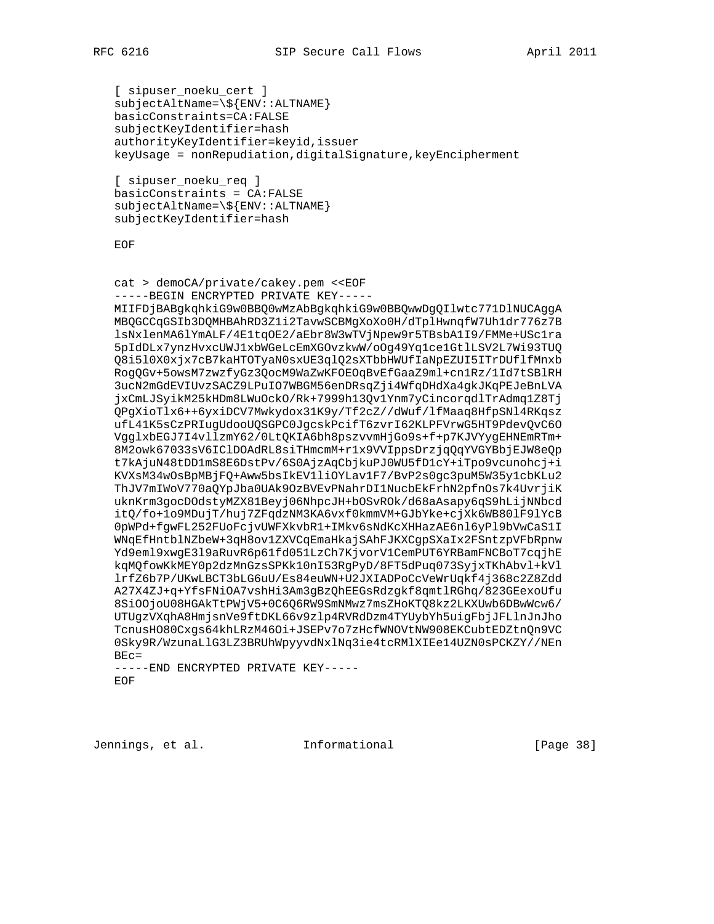April 2011

```
[ sipuser_noeku_cert ]
subjectALtName=\S{ENT:ALTNAME}basicConstraints=CA:FALSE
subjectKeyIdentifier=hash
authorityKeyIdentifier=keyid, issuer
keyUsage = nonRepudiation, digitalSignature, keyEncipherment
[ sipuser_noeku_req ]
basicConstructints = CA:FALSEsubjectAltName=\${ENV::ALTNAME}
subjectKeyIdentifier=hash
EOF
cat > demoCA/private/cakey.pem <<EOF
-----BEGIN ENCRYPTED PRIVATE KEY-----
MIIFDjBABgkqhkiG9w0BBQ0wMzAbBgkqhkiG9w0BBQwwDgQIlwtc771DlNUCAggA
MBQGCCqGSIb3DQMHBAhRD3Z1i2TavwSCBMgXoXo0H/dTplHwnqfW7Uhldr776z7B
lsNxlenMA6lYmALF/4E1tqOE2/aEbr8W3wTVjNpew9r5TBsbA1I9/FMMe+USc1ra
5pIdDLx7ynzHvxcUWJ1xbWGeLcEmXGOvzkwW/oOg49Yq1ce1GtlLSV2L7Wi93TUQ
Q8i510X0xjx7cB7kaHTOTyaN0sxUE3qlQ2sXTbbHWUfIaNpEZUI5ITrDUflfMnxb
RogQGv+5owsM7zwzfyGz3QocM9WaZwKFOEOqBvEfGaaZ9ml+cn1Rz/1Id7tSBlRH
3ucN2mGdEVIUvzSACZ9LPuIO7WBGM56enDRsqZji4WfqDHdXa4gkJKqPEJeBnLVA
jxCmLJSyikM25kHDm8LWuOckO/Rk+7999h13Qv1Ynm7yCincorqdlTrAdmq1Z8Tj
QPgXioTlx6++6yxiDCV7Mwkydox31K9y/Tf2cZ//dWuf/lfMaaq8HfpSNl4RKqsz
ufL41K5sCzPRIugUdooUQSGPC0JgcskPcifT6zvrI62KLPFVrwG5HT9PdevQvC6O
VgglxbEGJ7I4vllzmY62/0LtQKIA6bh8pszvvmHjGo9s+f+p7KJVYygEHNEmRTm+
8M2owk67033sV6IClDOAdRL8siTHmcmM+r1x9VVIppsDrzjqQqYVGYBbjEJW8eQp
t7kAjuN48tDD1mS8E6DstPv/6S0AjzAqCbjkuPJ0WU5fD1cY+iTpo9vcunohcj+i
KVXsM34wOsBpMBjFQ+Aww5bsIkEV1liOYLav1F7/BvP2s0gc3puM5W35y1cbKLu2
ThJV7mIWoV770aQYpJba0UAk9OzBVEvPNahrDI1NucbEkFrhN2pfnOs7k4UvrjiK
uknKrm3gocDOdstyMZX81Beyj06NhpcJH+bOSvROk/d68aAsapy6qS9hLijNNbcd
itQ/fo+1o9MDujT/huj7ZFqdzNM3KA6vxf0kmmVM+GJbYke+cjXk6WB801F91YcB
0pWPd+fgwFL252FUoFcjvUWFXkvbR1+IMkv6sNdKcXHHazAE6nl6yPl9bVwCaS1I
WNqEfHntblNZbeW+3qH8ov1ZXVCqEmaHkajSAhFJKXCgpSXaIx2FSntzpVFbRpnw
Yd9eml9xwgE3l9aRuvR6p61fd051LzCh7KjvorV1CemPUT6YRBamFNCBoT7cqjhE
kqMQfowKkMEY0p2dzMnGzsSPKk10nI53RgPyD/8FT5dPuq073SyjxTKhAbvl+kVl
lrfZ6b7P/UKwLBCT3bLG6uU/Es84euWN+U2JXIADPoCcVeWrUqkf4j368c2Z8Zdd
A27X4ZJ+q+YfsFNiOA7vshHi3Am3gBzQhEEGsRdzgkf8qmtlRGhq/823GEexoUfu
8SiOOjoU08HGAkTtPWjV5+0C6Q6RW9SmNMwz7msZHoKTQ8kz2LKXUwb6DBwWcw6/
UTUgzVXqhA8HmjsnVe9ftDKL66v9zlp4RVRdDzm4TYUybYh5uigFbjJFLlnJnJho
TcnusH080Cxgs64khLRzM46Oi+JSEPv7o7zHcfWNOVtNW908EKCubtEDZtnQn9VC
0Sky9R/WzunaLlG3LZ3BRUhWpyyvdNxlNq3ie4tcRMlXIEe14UZN0sPCKZY//NEn
BEC =
```
-----END ENCRYPTED PRIVATE KEY-----EOF

Jennings, et al. [Informational

[Page 38]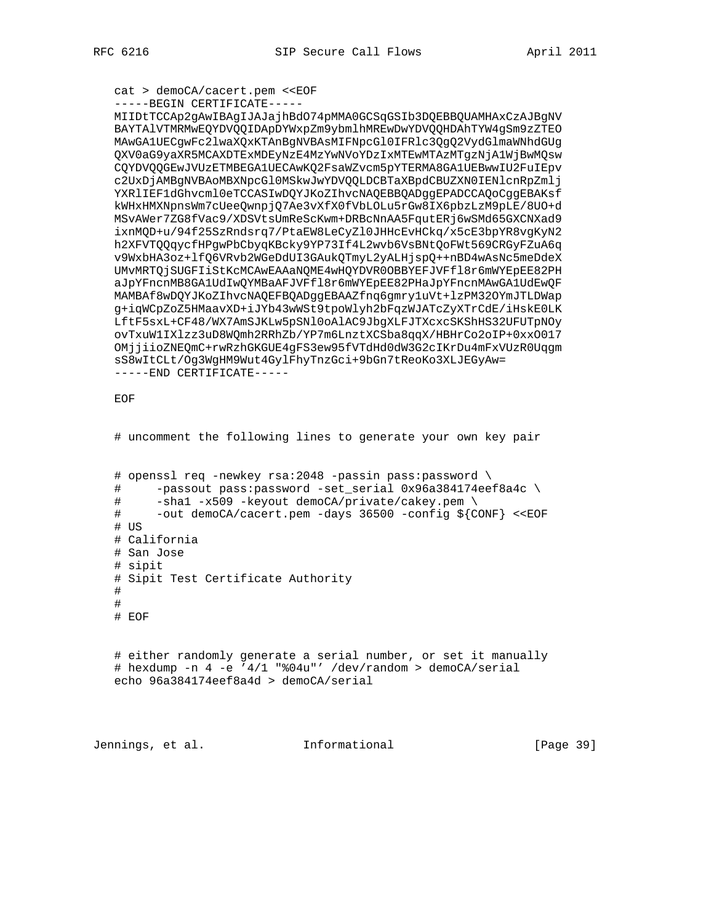```
cat > demoCA/cacert.pem <<EOF
```
-----BEGIN CERTIFICATE-----MIIDtTCCAp2gAwIBAgIJAJajhBdO74pMMA0GCSqGSIb3DQEBBQUAMHAxCzAJBgNV BAYTAlVTMRMwEQYDVQQIDApDYWxpZm9ybmlhMREwDwYDVQQHDAhTYW4qSm9zZTEO MAwGAlUECgwFc2lwaXQxKTAnBgNVBAsMIFNpcGl0IFRlc3QgQ2VydGlmaWNhdGUg QXV0aG9yaXR5MCAXDTExMDEyNzE4MzYwNVoYDzIxMTEwMTAzMTgzNjA1WjBwMQsw CQYDVQQGEwJVUzETMBEGA1UECAwKQ2FsaWZvcm5pYTERMA8GA1UEBwwIU2FuIEpv c2UxDjAMBgNVBAoMBXNpcGl0MSkwJwYDVQQLDCBTaXBpdCBUZXN0IENlcnRpZmlj YXRlIEF1dGhvcml0eTCCASIwDQYJKoZIhvcNAQEBBQADggEPADCCAQoCggEBAKsf kWHxHMXNpnsWm7cUeeQwnpjQ7Ae3vXfX0fVbLOLu5rGw8IX6pbzLzM9pLE/8U0+d MSvAWer7ZG8fVac9/XDSVtsUmReScKwm+DRBcNnAA5FqutERj6wSMd65GXCNXad9 ixnMQD+u/94f25SzRndsrq7/PtaEW8LeCyZ10JHHcEvHCkq/x5cE3bpYR8vgKyN2 h2XFVTQQqycfHPgwPbCbyqKBcky9YP73If4L2wvb6VsBNtQoFWt569CRGyFZuA6q v9WxbHA3oz+lfQ6VRvb2WGeDdUI3GAukQTmyL2yALHjspQ++nBD4wAsNc5meDdeX UMvMRTQjSUGFIiStKcMCAwEAAaNQME4wHQYDVR0OBBYEFJVFf18r6mWYEpEE82PH aJpYFncnMB8GA1UdIwQYMBaAFJVFf18r6mWYEpEE82PHaJpYFncnMAwGA1UdEwQF MAMBAf8wDQYJKoZIhvcNAQEFBQADggEBAAZfnq6gmry1uVt+1zPM32OYmJTLDWap g+iqWCpZoZ5HMaavXD+iJYb43wWSt9tpoWlyh2bFqzWJATcZyXTrCdE/iHskE0LK LftF5sxL+CF48/WX7AmSJKLw5pSNl0oAlAC9JbgXLFJTXcxcSKShHS32UFUTpNOy ovTxuW1IXlzz3uD8WQmh2RRhZb/YP7m6LnztXCSba8qqX/HBHrCo2oIP+0xx0017 OMjjiioZNEQmC+rwRzhGKGUE4gFS3ew95fVTdHd0dW3G2cIKrDu4mFxVUzR0Uqgm sS8wItCLt/Og3WgHM9Wut4GylFhyTnzGci+9bGn7tReoKo3XLJEGyAw= -----END CERTIFICATE-----

EOF

# uncomment the following lines to generate your own key pair

```
# openssl req -newkey rsa: 2048 -passin pass: password \
# -passout pass:password -set_serial 0x96a384174eef8a4c \
#-shal -x509 -keyout demoCA/private/cakey.pem \
     -out demoCA/cacert.pem -days 36500 -config ${CONF} <<EOF
## US
# California
# San Jose
# sipit
# Sipit Test Certificate Authority
### EOF
```
# either randomly generate a serial number, or set it manually # hexdump -n 4 -e '4/1 "%04u"' /dev/random > demoCA/serial echo 96a384174eef8a4d > demoCA/serial

Jennings, et al. [Informational [Page 39]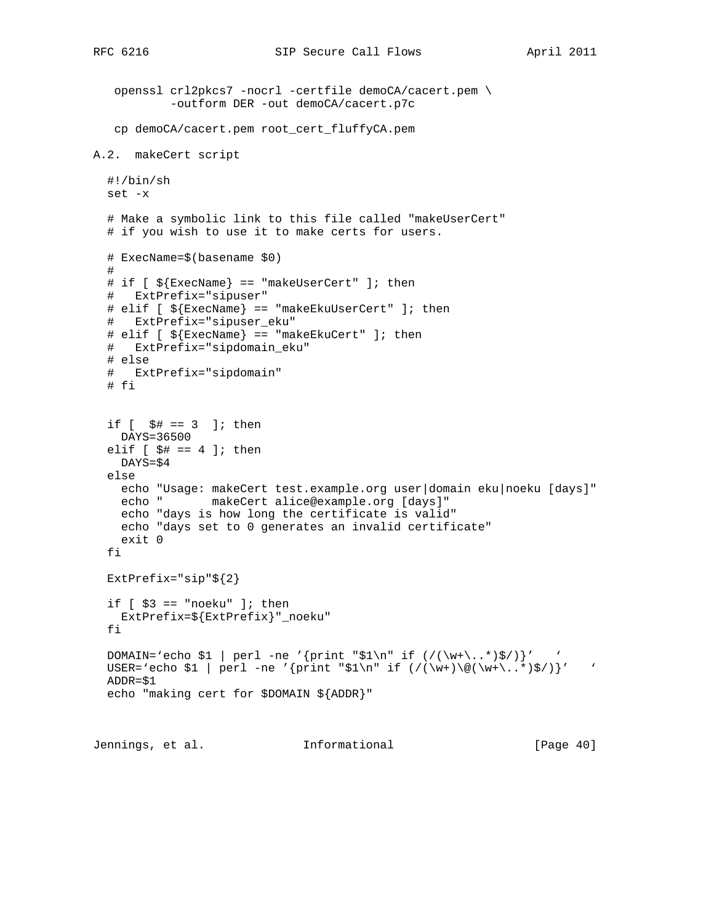```
 openssl crl2pkcs7 -nocrl -certfile demoCA/cacert.pem \
                -outform DER -out demoCA/cacert.p7c
    cp demoCA/cacert.pem root cert fluffyCA.pem
A.2. makeCert script
    #!/bin/sh
   set -x
    # Make a symbolic link to this file called "makeUserCert"
    # if you wish to use it to make certs for users.
    # ExecName=$(basename $0)
    #
   # if [ \frac{1}{2} \frac{1}{2} \frac{1}{2} \frac{1}{2} \frac{1}{2} \frac{1}{2} \frac{1}{2} \frac{1}{2} \frac{1}{2} \frac{1}{2} \frac{1}{2} \frac{1}{2} \frac{1}{2} \frac{1}{2} \frac{1}{2} \frac{1}{2} \frac{1}{2} \frac{1}{2} \frac{1}{2} \frac{1}{2} \frac{1}{2} \ # ExtPrefix="sipuser"
    # elif [ ${ExecName} == "makeEkuUserCert" ]; then
    # ExtPrefix="sipuser_eku"
   # elif [ \frac{1}{2} \frac{1}{2} \frac{1}{2} \frac{1}{2} \frac{1}{2} \frac{1}{2} \frac{1}{2} \frac{1}{2} \frac{1}{2} \frac{1}{2} \frac{1}{2} \frac{1}{2} \frac{1}{2} \frac{1}{2} \frac{1}{2} \frac{1}{2} \frac{1}{2} \frac{1}{2} \frac{1}{2} \frac{1}{2} \frac{1}{2} \ # ExtPrefix="sipdomain_eku"
    # else
    # ExtPrefix="sipdomain"
    # fi
   if [ $# == 3 ]; then
      DAYS=36500
  elif [ $# == 4 ]; then
     DXS=\$4 else
     echo "Usage: makeCert test.example.org user|domain eku|noeku [days]"
      echo " makeCert alice@example.org [days]"
      echo "days is how long the certificate is valid"
      echo "days set to 0 generates an invalid certificate"
      exit 0
    fi
   ExtPrefix="sip"${2}
    if [ $3 == "noeku" ]; then
      ExtPrefix=${ExtPrefix}"_noeku"
    fi
  DOMAIN='echo $1 | perl -ne '{print "$1\n" if \left( /(\forall x+\dots *)\)}' '
  USER='echo $1 | perl -ne '{print "$1\n" if \left(\frac{\w+}{\w+} \cdot \cdot \cdot \right)' '
   ADDR=$1
   echo "making cert for $DOMAIN ${ADDR}"
```
Jennings, et al. Informational [Page 40]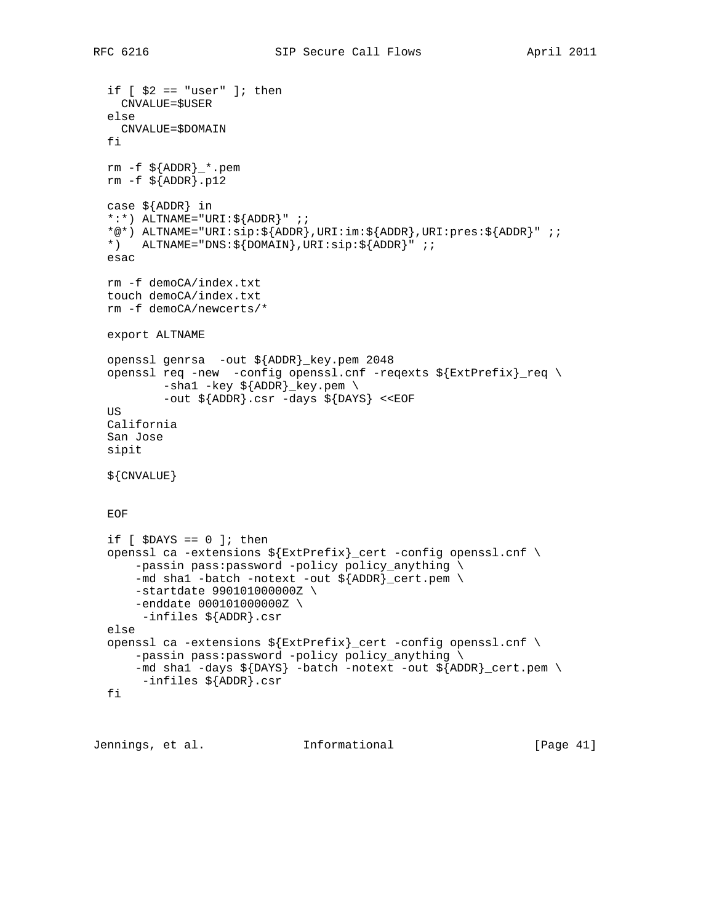```
RFC 6216
```

```
if [ $2 == "user" ]; then
 CNVALUE=$USER
else
  CNVALUE=$DOMAIN
fi
rm -f ${ADDR} *. pem
rm -f \sharp {ADDR } .p12
case ${ADDR} in
*:*) ALTNAME="URI:\frac{2}{3}{ADDR}";;
*@*) ALTNAME="URI:sip:${ADDR},URI:im:${ADDR},URI:pres:${ADDR}";;
*) ALTNAME="DNS:\frac{2}{3}[DOMAIN], URI:sip:\frac{2}{3}[ADDR]";
esac
rm -f demoCA/index.txt
touch demoCA/index.txt
rm -f demoCA/newcerts/*
export ALTNAME
openssl genrsa -out ${ADDR}_key.pem 2048
openssl req -new -config openssl.cnf -reqexts ${ExtPrefix}_req \
        -sha1 -key \frac{1}{2} ADDR \frac{1}{2} key.pem \
        -out ${ADDR}.csr -days ${DAYS} <<EOF
US
California
San Jose
sipit
${CNVALUE}
EOF
if [ $DAYS == 0 ]; then
openssl ca -extensions ${ExtPrefix}_cert -config openssl.cnf \
    -passin pass:password -policy policy_anything \
    -md shal -batch -notext -out ${ADDR} cert.pem \
    -startdate 9901010000002 \
    -enddate 0001010000002 \
     -infiles ${ADDR}.csr
else
openssl ca -extensions \S[ExtPrefix]_cert -config openssl.cnf \
    -passin pass:password -policy policy_anything \
    -md shal -days ${DAYS} -batch -notext -out ${ADDR}_cert.pem \
    -infiles ${ADDR}.csr
fi
```
Jennings, et al. Thermational [Page 41]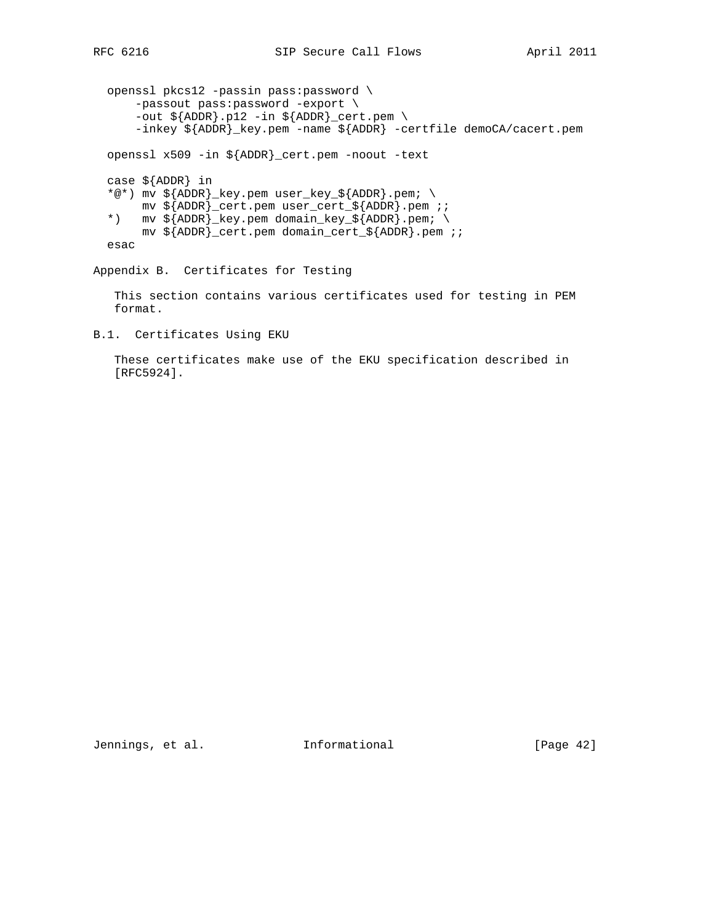openssl pkcs12 -passin pass:password \ -passout pass:password -export \ -out  $$$ {ADDR}.p12 -in  $$$ {ADDR}\_cert.pem \ -inkey \${ADDR}\_key.pem -name \${ADDR} -certfile demoCA/cacert.pem openssl x509 -in \${ADDR}\_cert.pem -noout -text case \${ADDR} in \*@\*) mv \${ADDR}\_key.pem user\_key\_\${ADDR}.pem; \ mv \${ADDR}\_cert.pem user\_cert\_\${ADDR}.pem ;; \*) mv \${ADDR}\_key.pem domain\_key\_\${ADDR}.pem; \ mv \${ADDR}\_cert.pem domain\_cert\_\${ADDR}.pem ;; esac Appendix B. Certificates for Testing

 This section contains various certificates used for testing in PEM format.

B.1. Certificates Using EKU

 These certificates make use of the EKU specification described in [RFC5924].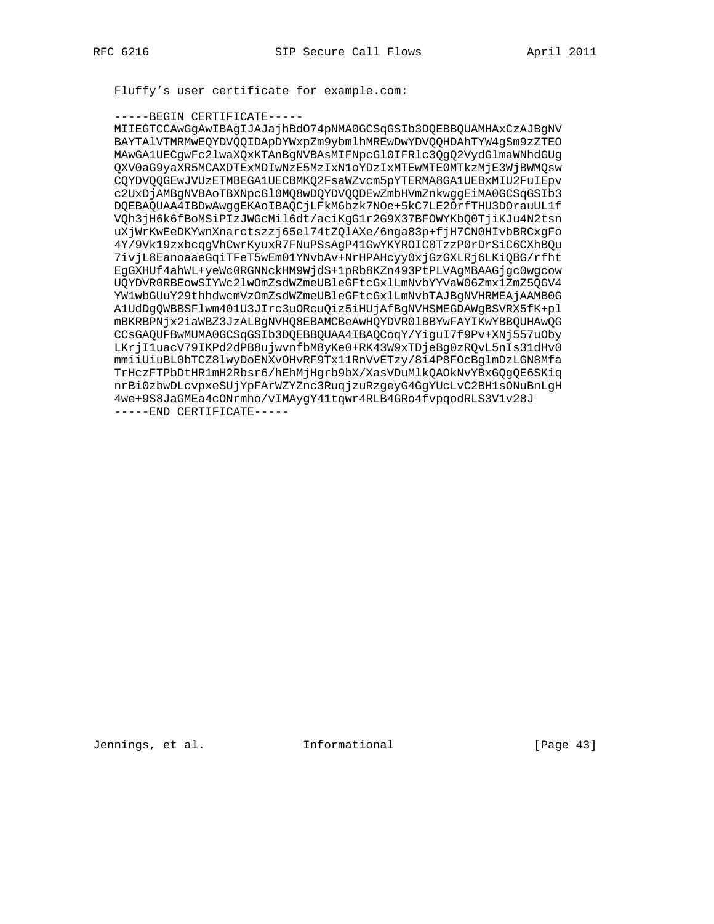Fluffy's user certificate for example.com:

#### -----BEGIN CERTIFICATE-----

MIIEGTCCAwGqAwIBAqIJAJajhBdO74pNMA0GCSqGSIb3DQEBBQUAMHAxCzAJBqNV BAYTAlVTMRMwEQYDVQQIDApDYWxpZm9ybmlhMREwDwYDVQQHDAhTYW4gSm9zZTEO MAwGA1UECgwFc21waXQxKTAnBgNVBAsMIFNpcG10IFR1c3QgQ2VydG1maWNhdGUg QXV0aG9yaXR5MCAXDTExMDIwNzE5MzIxN1oYDzIxMTEwMTE0MTkzMjE3WjBWMQsw CQYDVQQGEwJVUzETMBEGA1UECBMKQ2FsaWZvcm5pYTERMA8GA1UEBxMIU2FuIEpv c2UxDjAMBgNVBAoTBXNpcGl0MQ8wDQYDVQQDEwZmbHVmZnkwggEiMA0GCSqGSIb3 DQEBAQUAA4IBDwAwggEKAoIBAQCjLFkM6bzk7NOe+5kC7LE2OrfTHU3DOrauUL1f VQh3jH6k6fBoMSiPIzJWGcMil6dt/aciKgGlr2G9X37BFOWYKbQ0TjiKJu4N2tsn uXjWrKwEeDKYwnXnarctszzj65el74tZQlAXe/6nga83p+fjH7CN0HIvbBRCxgFo 4Y/9Vk19zxbcqgVhCwrKyuxR7FNuPSsAgP41GwYKYROIC0TzzP0rDrSiC6CXhBQu 7ivjL8EanoaaeGqiTFeT5wEm01YNvbAv+NrHPAHcyy0xjGzGXLRj6LKiQBG/rfht EgGXHUf4ahWL+yeWc0RGNNckHM9WjdS+1pRb8KZn493PtPLVAgMBAAGjgc0wgcow UQYDVR0RBEowSIYWc2lwOmZsdWZmeUBleGFtcGxlLmNvbYYVaW06Zmx1ZmZ5QGV4 YW1wbGUuY29thhdwcmVzOmZsdWZmeUBleGFtcGxlLmNvbTAJBgNVHRMEAjAAMB0G A1UdDgQWBBSFlwm401U3JIrc3uORcuQiz5iHUjAfBgNVHSMEGDAWgBSVRX5fK+pl mBKRBPNjx2iaWBZ3JzALBgNVHQ8EBAMCBeAwHQYDVR0lBBYwFAYIKwYBBQUHAwQG CCsGAQUFBwMUMA0GCSqGSIb3DQEBBQUAA4IBAQCoqY/YiguI7f9Pv+XNj557uOby LKrjIluacV79IKPd2dPB8ujwvnfbM8yKe0+RK43W9xTDjeBg0zRQvL5nIs31dHv0 mmiiUiuBL0bTCZ8lwyDoENXvOHvRF9Tx11RnVvETzy/8i4P8FOcBglmDzLGN8Mfa TrHczFTPbDtHR1mH2Rbsr6/hEhMjHgrb9bX/XasVDuMlkQAOkNvYBxGQgQE6SKiq nrBi0zbwDLcvpxeSUjYpFArWZYZnc3RuqjzuRzgeyG4GgYUcLvC2BH1sONuBnLgH 4we+9S8JaGMEa4cONrmho/vIMAygY41tqwr4RLB4GRo4fvpqodRLS3V1v28J -----END CERTIFICATE-----

 $[Page 43]$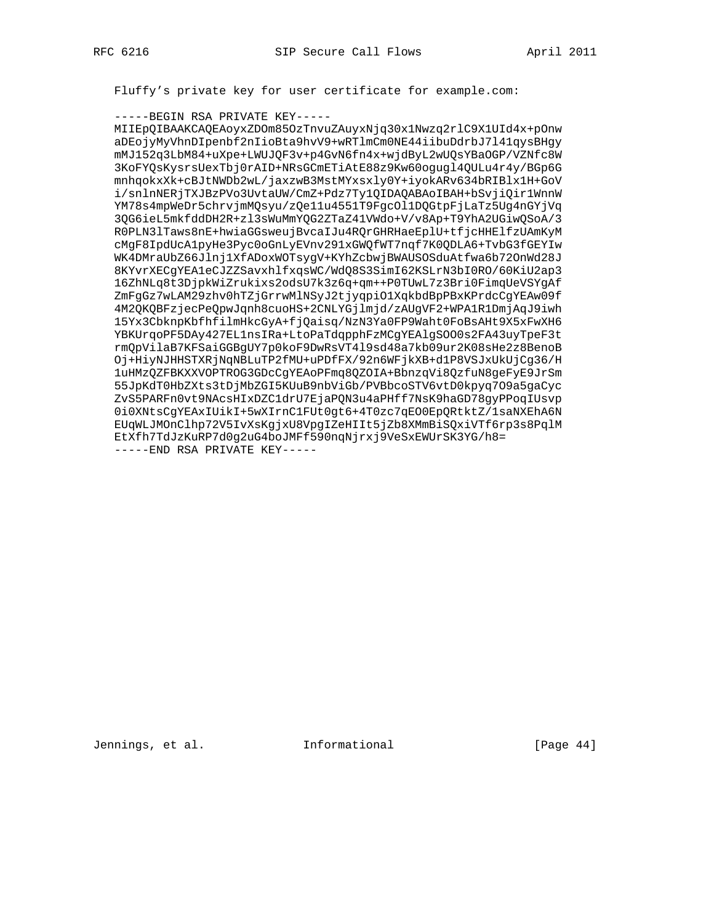Fluffy's private key for user certificate for example.com:

# -----BEGIN RSA PRIVATE KEY-----

MIIEpQIBAAKCAQEAoyxZDOm850zTnvuZAuyxNjq30x1Nwzq2rlC9X1UId4x+pOnw aDEojyMyVhnDIpenbf2nIioBta9hvV9+wRTlmCm0NE44iibuDdrbJ7l41qysBHgy mMJ152q3LbM84+uXpe+LWUJQF3v+p4GvN6fn4x+wjdByL2wUQsYBaOGP/VZNfc8W 3KoFYQsKysrsUexTbj0rAID+NRsGCmETiAtE88z9Kw60ogugl4QULu4r4y/BGp6G mnhqokxXk+cBJtNWDb2wL/jaxzwB3MstMYxsxly0Y+iyokARv634bRIBlx1H+GoV i/snlnNERjTXJBzPVo3UvtaUW/CmZ+Pdz7Ty1QIDAQABAoIBAH+bSvjiQir1WnnW YM78s4mpWeDr5chrvjmMQsyu/zQe11u4551T9FgcOl1DQGtpFjLaTz5Ug4nGYjVq 3QG6ieL5mkfddDH2R+zl3sWuMmYQG2ZTaZ41VWdo+V/v8Ap+T9YhA2UGiwQSoA/3 R0PLN31Taws8nE+hwiaGGsweujBvcaIJu4RQrGHRHaeEplU+tfjcHHElfzUAmKyM cMgF8IpdUcA1pyHe3Pyc0oGnLyEVnv291xGWQfWT7nqf7K0QDLA6+TvbG3fGEYIw WK4DMraUbZ66Jlnj1XfADoxWOTsygV+KYhZcbwjBWAUSOSduAtfwa6b72OnWd28J 8KYvrXECgYEA1eCJZZSavxhlfxqsWC/WdQ8S3SimI62KSLrN3bI0RO/60KiU2ap3 16ZhNLq8t3DjpkWiZrukixs2odsU7k3z6q+qm++P0TUwL7z3Bri0FimqUeVSYqAf ZmFgGz7wLAM29zhv0hTZjGrrwMlNSyJ2tjyqpi01XqkbdBpPBxKPrdcCgYEAw09f 4M2QKQBFzjecPeQpwJqnh8cuoHS+2CNLYGjlmjd/zAUgVF2+WPA1R1DmjAqJ9iwh 15Yx3CbknpKbfhfilmHkcGyA+fjQaisq/NzN3Ya0FP9Waht0FoBsAHt9X5xFwXH6 YBKUrqoPF5DAy427EL1nsIRa+LtoPaTdqpphFzMCgYEAlgS000s2FA43uyTpeF3t rmQpVilaB7KFSaiGGBgUY7p0koF9DwRsVT4l9sd48a7kb09ur2K08sHe2z8BenoB Oj+HiyNJHHSTXRjNqNBLuTP2fMU+uPDfFX/92n6WFjkXB+d1P8VSJxUkUjCg36/H 1uHMzQZFBKXXVOPTROG3GDcCgYEAoPFmq8QZOIA+BbnzqVi8QzfuN8geFyE9JrSm 55JpKdT0HbZXts3tDjMbZGI5KUuB9nbViGb/PVBbcoSTV6vtD0kpyq709a5gaCyc ZvS5PARFn0vt9NAcsHIxDZC1drU7EjaPQN3u4aPHff7NsK9haGD78gyPPoqIUsvp 0i0XNtsCgYEAxIUikI+5wXIrnClFUt0gt6+4T0zc7qEO0EpQRtktZ/1saNXEhA6N EUqWLJMOnClhp72V5IvXsKgjxU8VpgIZeHIIt5jZb8XMmBiSQxiVTf6rp3s8PqlM EtXfh7TdJzKuRP7d0g2uG4boJMFf590nqNjrxj9VeSxEWUrSK3YG/h8= -----END RSA PRIVATE KEY-----

[Page  $44$ ]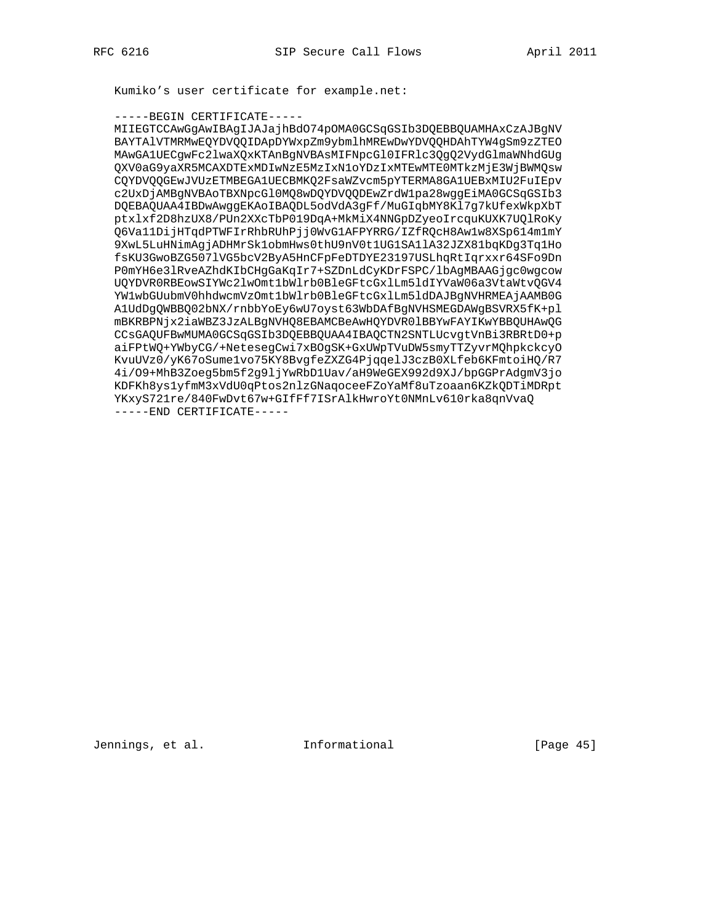Kumiko's user certificate for example.net:

#### -----BEGIN CERTIFICATE-----

MIIEGTCCAwGgAwIBAgIJAJajhBdO74pOMA0GCSqGSIb3DQEBBQUAMHAxCzAJBgNV BAYTAlVTMRMwEQYDVQQIDApDYWxpZm9ybmlhMREwDwYDVQQHDAhTYW4gSm9zZTEO MAwGA1UECgwFc21waXQxKTAnBgNVBAsMIFNpcG10IFR1c3QgQ2VydG1maWNhdGUg QXV0aG9yaXR5MCAXDTExMDIwNzE5MzIxN1oYDzIxMTEwMTE0MTkzMjE3WjBWMQsw CQYDVQQGEwJVUzETMBEGA1UECBMKQ2FsaWZvcm5pYTERMA8GA1UEBxMIU2FuIEpv c2UxDjAMBgNVBAoTBXNpcGl0MQ8wDQYDVQQDEwZrdWlpa28wggEiMA0GCSqGSIb3 DQEBAQUAA4IBDwAwggEKAoIBAQDL5odVdA3gFf/MuGIqbMY8Kl7g7kUfexWkpXbT ptxlxf2D8hzUX8/PUn2XXcTbP019DqA+MkMiX4NNGpDZyeoIrcquKUXK7UQlRoKy Q6Val1DijHTqdPTWFIrRhbRUhPjj0WvGlAFPYRRG/IZfRQcH8Aw1w8XSp614m1mY 9XwL5LuHNimAgjADHMrSk1obmHws0thU9nV0t1UG1SA1lA32JZX81bqKDg3Tq1Ho fsKU3GwoBZG5071VG5bcV2ByA5HnCFpFeDTDYE23197USLhqRtIqrxxr64SFo9Dn P0mYH6e3lRveAZhdKIbCHgGaKqIr7+SZDnLdCyKDrFSPC/lbAgMBAAGjgc0wgcow UQYDVR0RBEowSIYWc2lwOmt1bWlrb0BleGFtcGxlLm5ldIYVaW06a3VtaWtvQGV4 YW1wbGUubmV0hhdwcmVzOmt1bWlrb0BleGFtcGxlLm5ldDAJBgNVHRMEAjAAMB0G A1UdDgQWBBQ02bNX/rnbbYoEy6wU7oyst63WbDAfBgNVHSMEGDAWgBSVRX5fK+pl mBKRBPNjx2iaWBZ3JzALBgNVHQ8EBAMCBeAwHQYDVR0lBBYwFAYIKwYBBQUHAwQG CCsGAQUFBwMUMA0GCSqGSIb3DQEBBQUAA4IBAQCTN2SNTLUcvgtVnBi3RBRtD0+p aiFPtWQ+YWbyCG/+NetesegCwi7xBOgSK+GxUWpTVuDW5smyTTZyvrMQhpkckcyO KvuUVz0/yK67oSume1vo75KY8BvgfeZXZG4PjqqelJ3czB0XLfeb6KFmtoiHQ/R7 4i/09+MhB3Zoeg5bm5f2g9ljYwRbD1Uav/aH9WeGEX992d9XJ/bpGGPrAdgmV3jo KDFKh8ys1yfmM3xVdU0qPtos2nlzGNaqoceeFZoYaMf8uTzoaan6KZkQDTiMDRpt YKxyS721re/840FwDvt67w+GIfFf7ISrAlkHwroYt0NMnLv610rka8qnVvaQ  $---END$  CERTIFICATE-----

Jennings, et al. 1nformational

[Page  $45$ ]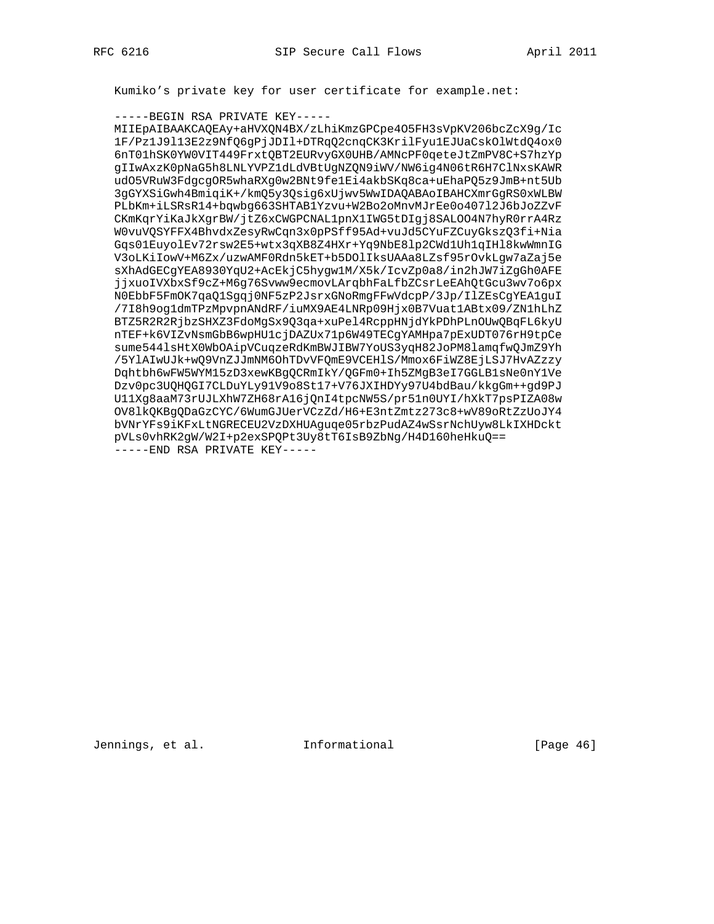Kumiko's private key for user certificate for example.net:

# -----BEGIN RSA PRIVATE KEY-----

MIIEpAIBAAKCAQEAy+aHVXQN4BX/zLhiKmzGPCpe4O5FH3sVpKV206bcZcX9q/Ic 1F/Pz1J9113E2z9NfQ6gPjJDI1+DTRqQ2cnqCK3KrilFyu1EJUaCskOlWtdQ4ox0 6nT01hSK0YW0VIT449FrxtQBT2EURvyGX0UHB/AMNcPF0qeteJtZmPV8C+S7hzYp gIIwAxzK0pNaG5h8LNLYVPZ1dLdVBtUgNZQN9iWV/NW6ig4N06tR6H7ClNxsKAWR ud05VRuW3FdgcgOR5whaRXg0w2BNt9fe1Ei4akbSKq8ca+uEhaPQ5z9JmB+nt5Ub 3gGYXSiGwh4BmiqiK+/kmQ5y3Qsig6xUjwv5WwIDAQABAoIBAHCXmrGgRS0xWLBW PLbKm+iLSRsR14+bqwbg663SHTAB1Yzvu+W2Bo2oMnvMJrEe0o40712J6bJoZZvF CKmKqrYiKaJkXgrBW/jtZ6xCWGPCNAL1pnX1IWG5tDIgj8SALOO4N7hyR0rrA4Rz W0vuVQSYFFX4BhvdxZesyRwCqn3x0pPSff95Ad+vuJd5CYuFZCuyGkszQ3fi+Nia Gqs01EuyolEv72rsw2E5+wtx3qXB8Z4HXr+Yq9NbE81p2CWd1Uh1qIH18kwWmnIG V3oLKiIowV+M6Zx/uzwAMF0Rdn5kET+b5DOlIksUAAa8LZsf95rOvkLgw7aZaj5e sXhAdGECgYEA8930YqU2+AcEkjC5hygw1M/X5k/IcvZp0a8/in2hJW7iZgGh0AFE jjxuoIVXbxSf9cZ+M6q76Svww9ecmovLArqbhFaLfbZCsrLeEAhQtGcu3wv7o6px N0EbbF5FmOK7qaQ1Sgqj0NF5zP2JsrxGNoRmgFFwVdcpP/3Jp/IlZEsCgYEA1guI /7I8h9og1dmTPzMpvpnANdRF/iuMX9AE4LNRp09Hjx0B7Vuat1ABtx09/ZN1hLhZ BTZ5R2R2RjbzSHXZ3FdoMgSx9Q3qa+xuPel4RcppHNjdYkPDhPLnOUwQBqFL6kyU nTEF+k6VIZvNsmGbB6wpHU1cjDAZUx71p6W49TECgYAMHpa7pExUDT076rH9tpCe sume5441sHtX0WbOAipVCuqzeRdKmBWJIBW7YoUS3yqH82JoPM81amqfwQJmZ9Yh /5YlAIwUJk+wQ9VnZJJmNM6OhTDvVFQmE9VCEHlS/Mmox6FiWZ8EjLSJ7HvAZzzy Dqhtbh6wFW5WYM15zD3xewKBgQCRmIkY/QGFm0+Ih5ZMgB3eI7GGLB1sNe0nY1Ve Dzv0pc3UQHQGI7CLDuYLy91V9o8St17+V76JXIHDYy97U4bdBau/kkgGm++gd9PJ UllXg8aaM73rUJLXhW7ZH68rA16jQnI4tpcNW5S/pr51n0UYI/hXkT7psPIZA08w OV8lkQKBgQDaGzCYC/6WumGJUerVCzZd/H6+E3ntZmtz273c8+wV89oRtZzUoJY4 bVNrYFs9iKFxLtNGRECEU2VzDXHUAguqe05rbzPudAZ4wSsrNchUyw8LkIXHDckt pVLs0vhRK2qW/W2I+p2exSPQPt3Uy8tT6IsB9ZbNq/H4D160heHkuQ== -----END RSA PRIVATE KEY-----

Jennings, et al. The Informational

[Page  $46$ ]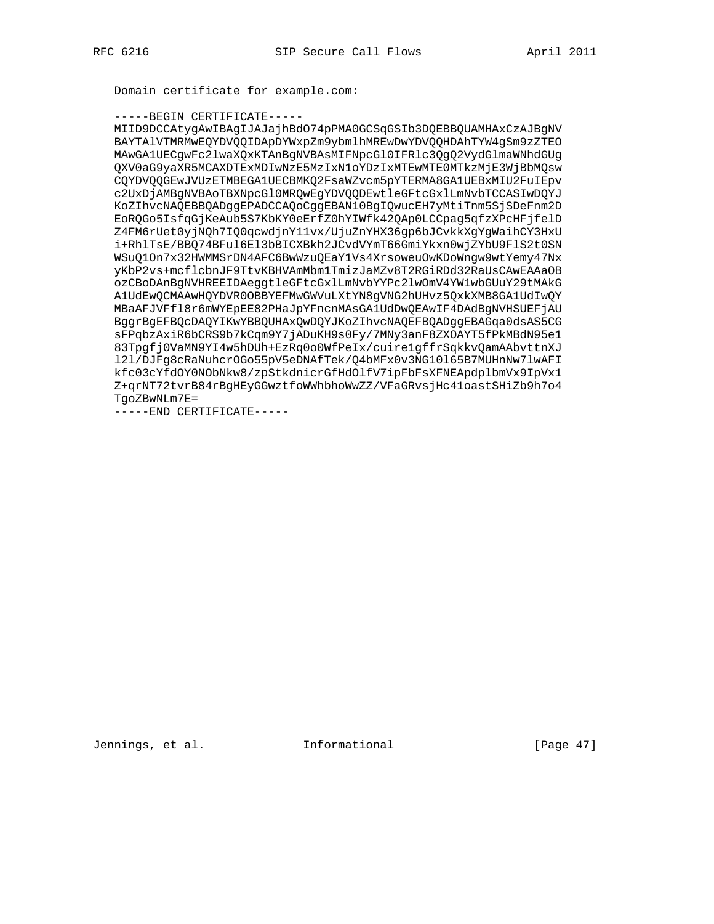Domain certificate for example.com:

### -----BEGIN CERTIFICATE-----

MIID9DCCAtygAwIBAgIJAJajhBdO74pPMA0GCSqGSIb3DQEBBQUAMHAxCzAJBgNV BAYTAlVTMRMwEQYDVQQIDApDYWxpZm9ybmlhMREwDwYDVQQHDAhTYW4gSm9zZTEO MAwGA1UECgwFc2lwaXQxKTAnBgNVBAsMIFNpcGl0IFRlc3QgQ2VydGlmaWNhdGUg QXV0aG9yaXR5MCAXDTExMDIwNzE5MzIxN1oYDzIxMTEwMTE0MTkzMjE3WjBbMQsw CQYDVQQGEwJVUzETMBEGA1UECBMKQ2FsaWZvcm5pYTERMA8GA1UEBxMIU2FuIEpv c2UxDjAMBgNVBAoTBXNpcGl0MRQwEgYDVQQDEwtleGFtcGxlLmNvbTCCASIwDQYJ KoZIhvcNAQEBBQADggEPADCCAQoCggEBAN10BgIQwucEH7yMtiTnm5SjSDeFnm2D EoRQGo5IsfqGjKeAub5S7KbKY0eErfZ0hYIWfk42QAp0LCCpag5qfzXPcHFjfelD Z4FM6rUet0yjNQh7IQ0qcwdjnY11vx/UjuZnYHX36gp6bJCvkkXgYgWaihCY3HxU i+RhlTsE/BBQ74BFul6El3bBICXBkh2JCvdVYmT66GmiYkxn0wjZYbU9FlS2t0SN WSuQ1On7x32HWMMSrDN4AFC6BwWzuQEaY1Vs4XrsoweuOwKDoWngw9wtYemy47Nx yKbP2vs+mcflcbnJF9TtvKBHVAmMbmlTmizJaMZv8T2RGiRDd32RaUsCAwEAAaOB ozCBoDAnBgNVHREEIDAeggtleGFtcGxlLmNvbYYPc2lwOmV4YW1wbGUuY29tMAkG A1UdEwQCMAAwHQYDVR0OBBYEFMwGWVuLXtYN8gVNG2hUHvz5QxkXMB8GA1UdIwQY MBaAFJVFf18r6mWYEpEE82PHaJpYFncnMAsGA1UdDwQEAwIF4DAdBgNVHSUEFjAU BggrBgEFBQcDAQYIKwYBBQUHAxQwDQYJKoZIhvcNAQEFBQADggEBAGqa0dsAS5CG sFPqbzAxiR6bCRS9b7kCqm9Y7jADuKH9s0Fy/7MNy3anF8ZXOAYT5fPkMBdN95e1 83Tpgfj0VaMN9YI4w5hDUh+EzRq0o0WfPeIx/cuirelgffrSqkkvQamAAbvttnXJ 121/DJFg8cRaNuhcrOGo55pV5eDNAfTek/Q4bMFx0v3NG10165B7MUHnNw71wAFI kfc03cYfdOY0NObNkw8/zpStkdnicrGfHdOlfV7ipFbFsXFNEApdplbmVx9IpVx1 Z+qrNT72tvrB84rBgHEyGGwztfoWWhbhoWwZZ/VFaGRvsjHc41oastSHiZb9h7o4 TgoZBwNLm7E=

 $---END$  CERTIFICATE-----

Jennings, et al. 1nformational

[Page  $47$ ]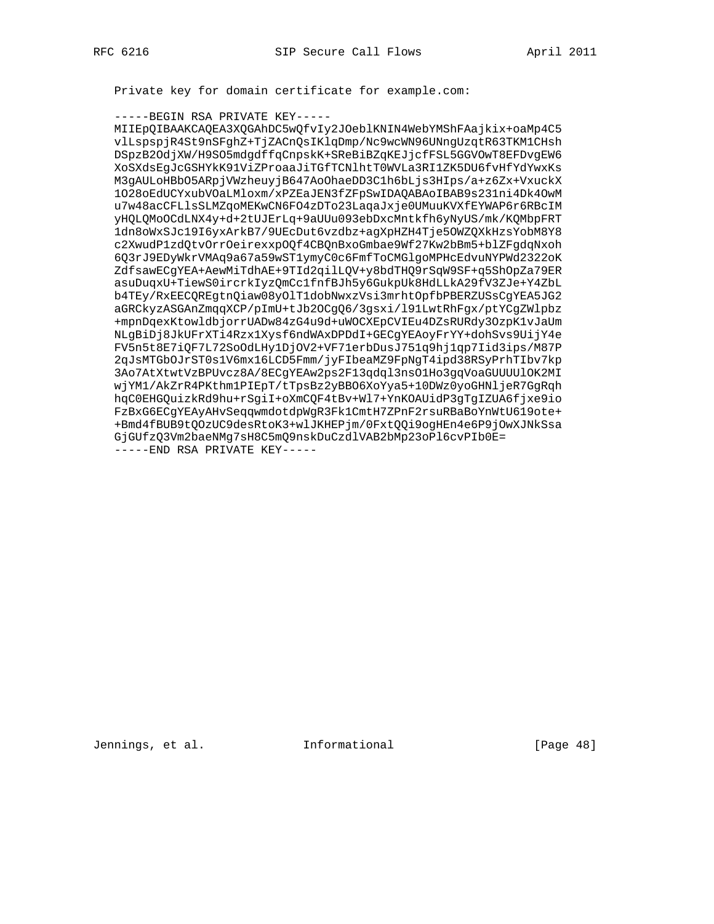Private key for domain certificate for example.com:

# -----BEGIN RSA PRIVATE KEY-----

MIIEpQIBAAKCAQEA3XQGAhDC5wQfvIy2JOeblKNIN4WebYMShFAajkix+oaMp4C5 vlLspspjR4St9nSFghZ+TjZACnQsIKlqDmp/Nc9wcWN96UNngUzqtR63TKM1CHsh DSpzB2OdjXW/H9SO5mdgdffqCnpskK+SReBiBZqKEJjcfFSL5GGVOwT8EFDvgEW6 XoSXdsEgJcGSHYkK91ViZProaaJiTGfTCNlhtT0WVLa3RI1ZK5DU6fvHfYdYwxKs M3gAULoHBb05ARpjVWzheuyjB647AoOhaeDD3C1h6bLjs3HIps/a+z6Zx+VxuckX 1028oEdUCYxubVOaLMloxm/xPZEaJEN3fZFpSwIDAQABAoIBAB9s231ni4Dk4OwM u7w48acCFLlsSLMZqoMEKwCN6FO4zDTo23LaqaJxje0UMuuKVXfEYWAP6r6RBcIM yHQLQMoOCdLNX4y+d+2tUJErLq+9aUUu093ebDxcMntkfh6yNyUS/mk/KQMbpFRT 1dn8oWxSJc19I6yxArkB7/9UEcDut6vzdbz+agXpHZH4Tje5OWZQXkHzsYobM8Y8 c2XwudP1zdQtvOrrOeirexxpOQf4CBQnBxoGmbae9Wf27Kw2bBm5+blZFgdqNxoh 6Q3rJ9EDyWkrVMAq9a67a59wST1ymyC0c6FmfToCMGlgoMPHcEdvuNYPWd2322oK ZdfsawECgYEA+AewMiTdhAE+9TId2qilLQV+y8bdTHQ9rSqW9SF+q5ShOpZa79ER asuDuqxU+TiewS0ircrkIyzQmCc1fnfBJh5y6GukpUk8HdLLkA29fV3ZJe+Y4ZbL b4TEy/RxEECQREgtnQiaw08yOlTldobNwxzVsi3mrhtOpfbPBERZUSsCgYEA5JG2 aGRCkyzASGAnZmqqXCP/pImU+tJb2OCgQ6/3gsxi/191LwtRhFgx/ptYCgZWlpbz +mpnDqexKtowldbjorrUADw84zG4u9d+uWOCXEpCVIEu4DZsRURdy3OzpK1vJaUm NLgBiDj8JkUFrXTi4Rzx1Xysf6ndWAxDPDdI+GECgYEAoyFrYY+dohSvs9UijY4e FV5n5t8E7iQF7L72SoOdLHy1DjOV2+VF71erbDusJ751q9hj1qp7Iid3ips/M87P 2qJsMTGbOJrST0s1V6mx16LCD5Fmm/jyFIbeaMZ9FpNgT4ipd38RSyPrhTIbv7kp 3Ao7AtXtwtVzBPUvcz8A/8ECgYEAw2ps2F13qdql3nsO1Ho3gqVoaGUUUU1OK2MI wjYM1/AkZrR4PKthm1PIEpT/tTpsBz2yBBO6XoYya5+10DWz0yoGHNljeR7GgRqh hqC0EHGQuizkRd9hu+rSgiI+oXmCQF4tBv+Wl7+YnKOAUidP3gTgIZUA6fjxe9io FzBxG6ECgYEAyAHvSeqqwmdotdpWgR3Fk1CmtH7ZPnF2rsuRBaBoYnWtU619ote+ +Bmd4fBUB9tQOzUC9desRtoK3+wlJKHEPjm/0FxtQQi9ogHEn4e6P9jOwXJNkSsa GjGUfzQ3Vm2baeNMq7sH8C5mQ9nskDuCzdlVAB2bMp23oP16cvPIb0E= -----END RSA PRIVATE KEY-----

[Page  $48$ ]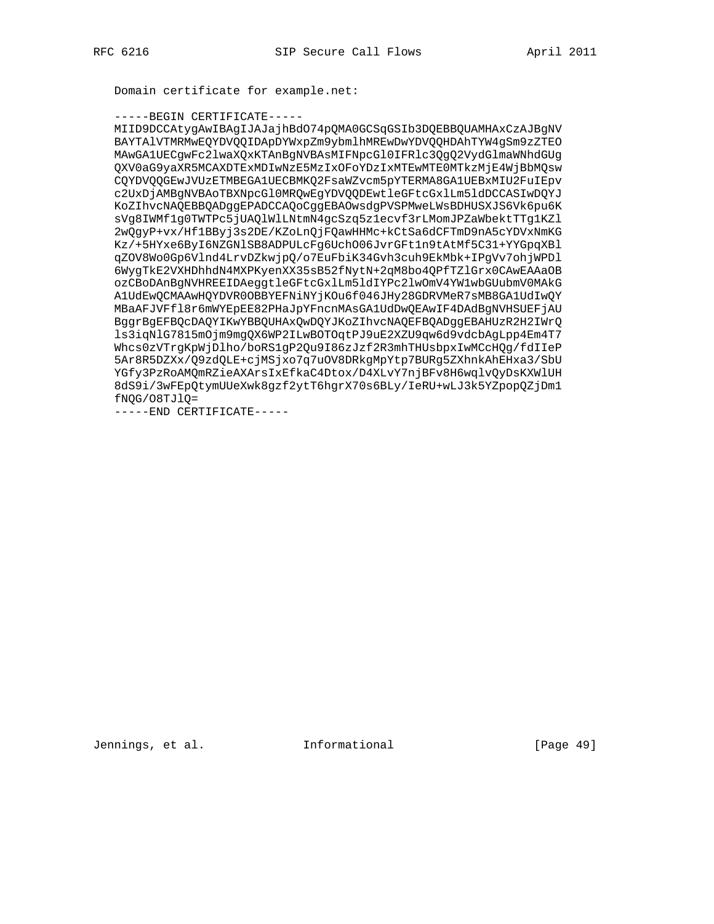Domain certificate for example.net:

#### -----BEGIN CERTIFICATE-----

MIID9DCCAtygAwIBAgIJAJajhBdO74pQMA0GCSqGSIb3DQEBBQUAMHAxCzAJBgNV BAYTAlVTMRMwEQYDVQQIDApDYWxpZm9ybmlhMREwDwYDVQQHDAhTYW4gSm9zZTEO MAwGA1UECgwFc2lwaXQxKTAnBgNVBAsMIFNpcGl0IFRlc3QgQ2VydGlmaWNhdGUg QXV0aG9yaXR5MCAXDTExMDIwNzE5MzIxOFoYDzIxMTEwMTE0MTkzMjE4WjBbMQsw CQYDVQQGEwJVUzETMBEGA1UECBMKQ2FsaWZvcm5pYTERMA8GA1UEBxMIU2FuIEpv c2UxDjAMBgNVBAoTBXNpcGl0MRQwEgYDVQQDEwtleGFtcGxlLm5ldDCCASIwDQYJ KoZIhvcNAQEBBQADggEPADCCAQoCggEBAOwsdgPVSPMweLWsBDHUSXJS6Vk6pu6K sVg8IWMf1g0TWTPc5jUAQ1WlLNtmN4gcSzq5z1ecvf3rLMomJPZaWbektTTg1KZ1 2wQgyP+vx/Hf1BByj3s2DE/KZoLnQjFQawHHMc+kCtSa6dCFTmD9nA5cYDVxNmKG Kz/+5HYxe6ByI6NZGNlSB8ADPULcFg6UchO06JvrGFt1n9tAtMf5C31+YYGpqXBl qZOV8Wo0Gp6Vlnd4LrvDZkwjpQ/o7EuFbiK34Gvh3cuh9EkMbk+IPgVv7ohjWPDl 6WygTkE2VXHDhhdN4MXPKyenXX35sB52fNytN+2qM8bo4QPfTZlGrx0CAwEAAaOB ozCBoDAnBqNVHREEIDAeqqtleGFtcGxlLm5ldIYPc2lwOmV4YW1wbGUubmV0MAkG A1UdEwQCMAAwHQYDVR0OBBYEFNiNYjKOu6f046JHy28GDRVMeR7sMB8GA1UdIwQY MBaAFJVFf18r6mWYEpEE82PHaJpYFncnMAsGA1UdDwQEAwIF4DAdBgNVHSUEFjAU BggrBgEFBQcDAQYIKwYBBQUHAxQwDQYJKoZIhvcNAQEFBQADggEBAHUzR2H2IWrQ ls3iqNlG7815mOjm9mgQX6WP2ILwBOTOqtPJ9uE2XZU9qw6d9vdcbAgLpp4Em4T7 Whcs0zVTrgKpWjDlho/boRS1gP2Qu9I86zJzf2R3mhTHUsbpxIwMCcHQg/fdIIeP 5Ar8R5DZXx/Q9zdQLE+cjMSjxo7q7uOV8DRkgMpYtp7BURg5ZXhnkAhEHxa3/SbU YGfy3PzRoAMQmRZieAXArsIxEfkaC4Dtox/D4XLvY7njBFv8H6wqlvQyDsKXWlUH 8dS9i/3wFEpQtymUUeXwk8gzf2ytT6hgrX70s6BLy/IeRU+wLJ3k5YZpopQZjDml  $ENQG/O8TJ1Q=$ 

 $---END$  CERTIFICATE-----

Jennings, et al. The Informational

 $[Page 49]$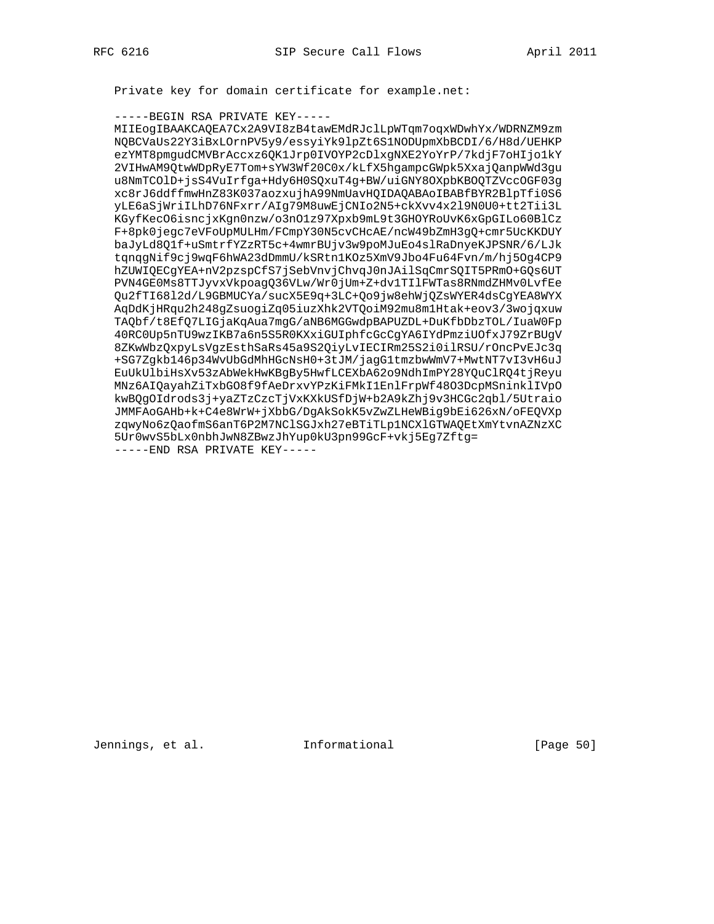Private key for domain certificate for example.net:

#### -----BEGIN RSA PRIVATE KEY-----

MIIEoqIBAAKCAQEA7Cx2A9VI8zB4tawEMdRJclLpWTqm7oqxWDwhYx/WDRNZM9zm NQBCVaUs22Y3iBxLOrnPV5y9/essyiYk9lpZt6S1NODUpmXbBCDI/6/H8d/UEHKP ezYMT8pmgudCMVBrAccxz6QK1Jrp0IVOYP2cDlxgNXE2YoYrP/7kdjF7oHIjo1kY 2VIHwAM9QtwWDpRyE7Tom+sYW3Wf20C0x/kLfX5hgampcGWpk5XxajQanpWWd3gu u8NmTCOlD+jsS4VuIrfga+Hdy6H0SQxuT4g+BW/uiGNY8OXpbKBOQTZVccOGF03g xc8rJ6ddffmwHnZ83K037aozxujhA99NmUavHQIDAQABAoIBABfBYR2BlpTfi0S6 yLE6aSjWriILhD76NFxrr/AIg79M8uwEjCNIo2N5+ckXvv4x219N0U0+tt2Tii3L KGyfKecO6isncjxKgn0nzw/o3nO1z97Xpxb9mL9t3GHOYRoUvK6xGpGILo60BlCz F+8pk0jegc7eVFoUpMULHm/FCmpY30N5cvCHcAE/ncW49bZmH3gQ+cmr5UcKKDUY baJyLd8Q1f+uSmtrfYZzRT5c+4wmrBUjv3w9poMJuEo4slRaDnyeKJPSNR/6/LJk tqnqqNif9cj9wqF6hWA23dDmmU/kSRtn1KOz5XmV9Jbo4Fu64Fvn/m/hj5Og4CP9 hZUWIQECgYEA+nV2pzspCfS7jSebVnvjChvqJ0nJAilSqCmrSQIT5PRmO+GQs6UT PVN4GE0Ms8TTJyvxVkpoagQ36VLw/Wr0jUm+Z+dv1TIlFWTas8RNmdZHMv0LvfEe Qu2fTI68l2d/L9GBMUCYa/sucX5E9q+3LC+Qo9jw8ehWjQZsWYER4dsCgYEA8WYX AqDdKjHRqu2h248gZsuogiZq05iuzXhk2VTQoiM92mu8m1Htak+eov3/3wojqxuw TAQbf/t8EfQ7LIGjaKqAua7mgG/aNB6MGGwdpBAPUZDL+DuKfbDbzTOL/IuaW0Fp 40RC0Up5nTU9wzIKB7a6n5S5R0KXxiGUIphfcGcCgYA6IYdPmziUOfxJ79ZrBUgV 8ZKwWbzQxpyLsVgzEsthSaRs45a9S2QiyLvIECIRm25S2i0ilRSU/rOncPvEJc3q +SG7Zgkb146p34WvUbGdMhHGcNsH0+3tJM/jagG1tmzbwWmV7+MwtNT7vI3vH6uJ EuUkUlbiHsXv53zAbWekHwKBgBy5HwfLCEXbA62o9NdhImPY28YQuClRQ4tjReyu MNz6AIQayahZiTxbGO8f9fAeDrxvYPzKiFMkI1EnlFrpWf48O3DcpMSninklIVpO kwBQgOIdrods3j+yaZTzCzcTjVxKXkUSfDjW+b2A9kZhj9v3HCGc2qbl/5Utraio JMMFAoGAHb+k+C4e8WrW+jXbbG/DgAkSokK5vZwZLHeWBig9bEi626xN/oFEQVXp zqwyNo6zQaofmS6anT6P2M7NClSGJxh27eBTiTLp1NCXlGTWAQEtXmYtvnAZNzXC 5Ur0wvS5bLx0nbhJwN8ZBwzJhYup0kU3pn99GcF+vkj5Eg7Zftg= -----END RSA PRIVATE KEY-----

[Page 50]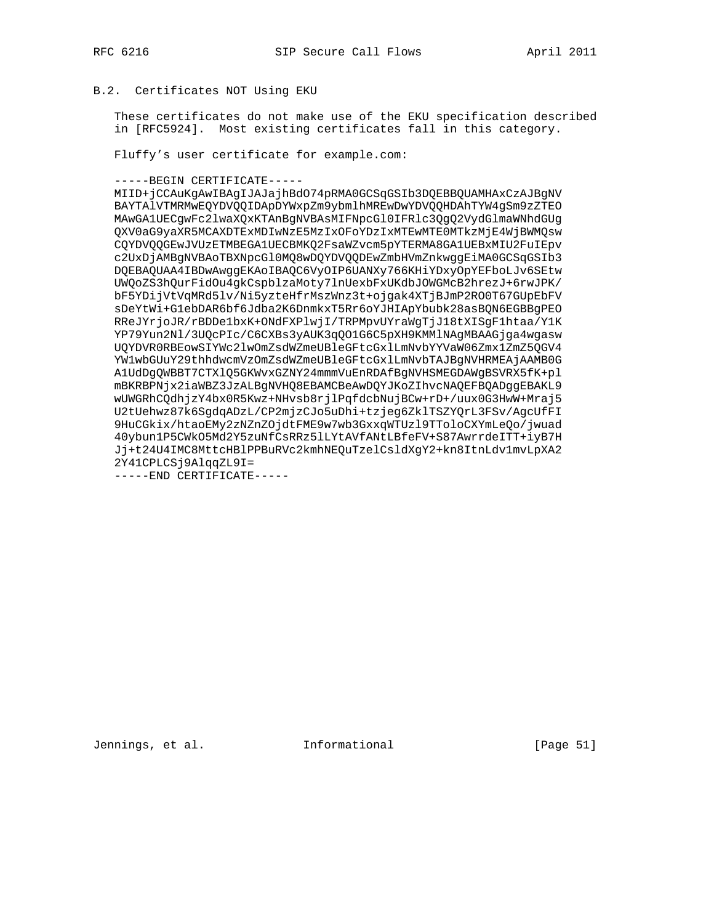# B.2. Certificates NOT Using EKU

These certificates do not make use of the EKU specification described in [RFC5924]. Most existing certificates fall in this category.

Fluffy's user certificate for example.com:

-----BEGIN CERTIFICATE-----

MIID+jCCAuKgAwIBAgIJAJajhBdO74pRMA0GCSqGSIb3DQEBBQUAMHAxCzAJBgNV BAYTAlVTMRMwEQYDVQQIDApDYWxpZm9ybmlhMREwDwYDVQQHDAhTYW4gSm9zZTEO MAwGA1UECgwFc2lwaXQxKTAnBgNVBAsMIFNpcGl0IFRlc3QgQ2VydGlmaWNhdGUg QXV0aG9yaXR5MCAXDTExMDIwNzE5MzIxOFoYDzIxMTEwMTE0MTkzMjE4WjBWMQsw COYDVOOGEwJVUzETMBEGA1UECBMKO2FsaWZvcm5pYTERMA8GA1UEBxMIU2FuIEpv c2UxDjAMBgNVBAoTBXNpcGl0MQ8wDQYDVQQDEwZmbHVmZnkwggEiMA0GCSqGSIb3 DQEBAQUAA4IBDwAwggEKAoIBAQC6VyOIP6UANXy766KHiYDxyOpYEFboLJv6SEtw UWQoZS3hQurFidOu4gkCspblzaMoty7lnUexbFxUKdbJOWGMcB2hrezJ+6rwJPK/ bF5YDijVtVqMRd5lv/Ni5yzteHfrMszWnz3t+ojgak4XTjBJmP2RO0T67GUpEbFV sDeYtWi+GlebDAR6bf6Jdba2K6DnmkxT5Rr6oYJHIApYbubk28asBQN6EGBBgPEO RReJYrjoJR/rBDDe1bxK+ONdFXPlwjI/TRPMpvUYraWgTjJ18tXISgF1htaa/Y1K YP79Yun2Nl/3UQcPIc/C6CXBs3yAUK3qQO1G6C5pXH9KMMlNAgMBAAGjga4wgasw UQYDVR0RBEowSIYWc2lwOmZsdWZmeUBleGFtcGxlLmNvbYYVaW06Zmx1ZmZ5QGV4 YW1wbGUuY29thhdwcmVzOmZsdWZmeUBleGFtcGxlLmNvbTAJBqNVHRMEAjAAMB0G A1UdDgQWBBT7CTX1Q5GKWvxGZNY24mmmVuEnRDAfBgNVHSMEGDAWgBSVRX5fK+pl mBKRBPNjx2iaWBZ3JzALBgNVHQ8EBAMCBeAwDQYJKoZIhvcNAQEFBQADggEBAKL9 wUWGRhCQdhjzY4bx0R5Kwz+NHvsb8rjlPqfdcbNujBCw+rD+/uux0G3HwW+Mraj5 U2tUehwz87k6SgdqADzL/CP2mjzCJo5uDhi+tzjeg6ZklTSZYQrL3FSv/AgcUfFI 9HuCGkix/htaoEMy2zNZnZOjdtFME9w7wb3GxxqWTUzl9TToloCXYmLeQo/jwuad 40ybun1P5CWkO5Md2Y5zuNfCsRRz5lLYtAVfANtLBfeFV+S87AwrrdeITT+iyB7H Jj+t24U4IMC8MttcHBlPPBuRVc2kmhNEQuTzelCsldXgY2+kn8ItnLdv1mvLpXA2 2Y41CPLCSj9AlqqZL9I=

-----END CERTIFICATE-----

Jennings, et al. 1nformational

 $[Page 51]$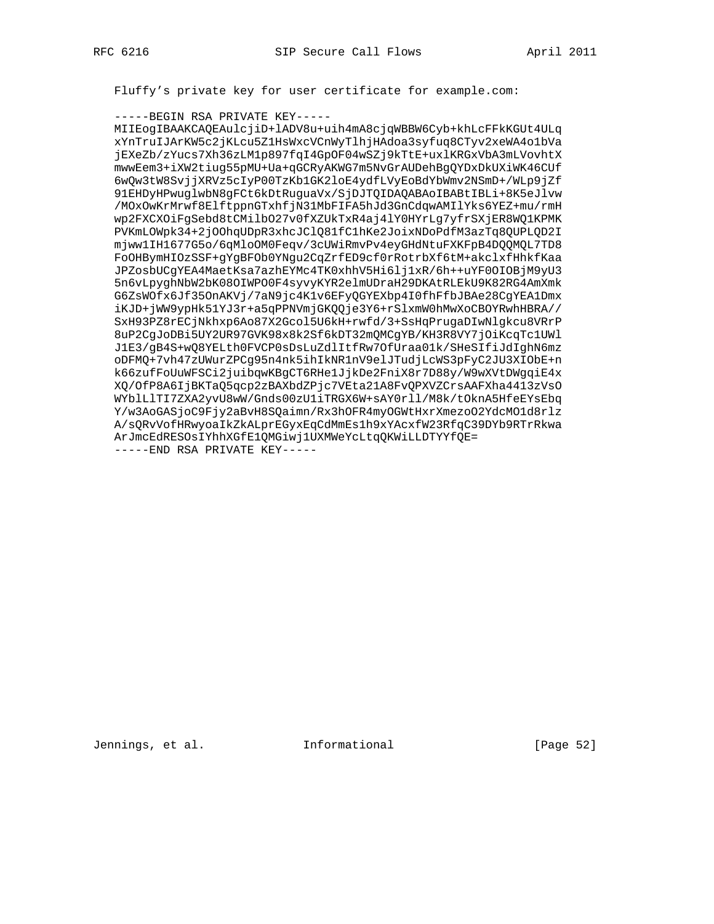Fluffy's private key for user certificate for example.com:

# -----BEGIN RSA PRIVATE KEY-----

MIIEoqIBAAKCAQEAulcjiD+lADV8u+uih4mA8cjqWBBW6Cyb+khLcFFkKGUt4ULq xYnTruIJArKW5c2jKLcu5Z1HsWxcVCnWyTlhjHAdoa3syfuq8CTyv2xeWA4o1bVa jEXeZb/zYucs7Xh36zLM1p897fqI4GpOF04wSZj9kTtE+uxlKRGxVbA3mLVovhtX mwwEem3+iXW2tiug55pMU+Ua+qGCRyAKWG7m5NvGrAUDehBgQYDxDkUXiWK46CUf 6wQw3tW8SvjjXRVz5cIyP00TzKb1GK2loE4ydfLVyEoBdYbWmv2NSmD+/WLp9jZf 91EHDyHPwuglwbN8gFCt6kDtRuguaVx/SjDJTQIDAQABAoIBABtIBLi+8K5eJlvw /MOxOwKrMrwf8ElftppnGTxhfjN31MbFIFA5hJd3GnCdqwAMIlYks6YEZ+mu/rmH wp2FXCXOiFgSebd8tCMilbO27v0fXZUkTxR4aj4lY0HYrLg7yfrSXjER8WQ1KPMK PVKmLOWpk34+2j0OhqUDpR3xhcJClQ81fC1hKe2JoixNDoPdfM3azTq8QUPLQD2I mjww1IH1677G5o/6qMloOM0Feqv/3cUWiRmvPv4eyGHdNtuFXKFpB4DQQMQL7TD8 FOOHBymHIOzSSF+gYgBFOb0YNgu2CqZrfED9cf0rRotrbXf6tM+akclxfHhkfKaa JPZosbUCgYEA4MaetKsa7azhEYMc4TK0xhhV5Hi6lj1xR/6h++uYF0OIOBjM9yU3 5n6vLpyghNbW2bK08OIWPO0F4syvyKYR2elmUDraH29DKAtRLEkU9K82RG4AmXmk G6ZsWOfx6Jf35OnAKVj/7aN9jc4K1v6EFyQGYEXbp4I0fhFfbJBAe28CgYEA1Dmx iKJD+jWW9ypHk51YJ3r+a5qPPNVmjGKQQje3Y6+rSlxmW0hMwXoCBOYRwhHBRA// SxH93PZ8rECjNkhxp6Ao87X2Gcol5U6kH+rwfd/3+SsHqPrugaDIwNlgkcu8VRrP 8uP2CgJoDBi5UY2UR97GVK98x8k2Sf6kDT32mQMCgYB/KH3R8VY7jOiKcqTc1UWl J1E3/gB4S+wQ8YELth0FVCP0sDsLuZdlItfRw7OfUraa01k/SHeSIfiJdIghN6mz oDFMQ+7vh47zUWurZPCg95n4nk5ihIkNR1nV9elJTudjLcWS3pFyC2JU3XIObE+n k66zufFoUuWFSCi2juibqwKBgCT6RHe1JjkDe2FniX8r7D88y/W9wXVtDWgqiE4x XQ/OfP8A6IjBKTaQ5qcp2zBAXbdZPjc7VEta21A8FvQPXVZCrsAAFXha4413zVsO WYblLlTI7ZXA2yvU8wW/Gnds00zU1iTRGX6W+sAY0rll/M8k/tOknA5HfeEYsEbq Y/w3AoGASjoC9Fjy2aBvH8SQaimn/Rx3hOFR4myOGWtHxrXmezoO2YdcMO1d8rlz A/sQRvVofHRwyoaIkZkALprEGyxEqCdMmEs1h9xYAcxfW23RfqC39DYb9RTrRkwa ArJmcEdRESOsIYhhXGfE1QMGiwj1UXMWeYcLtqQKWiLLDTYYfQE= -----END RSA PRIVATE KEY-----

[Page 52]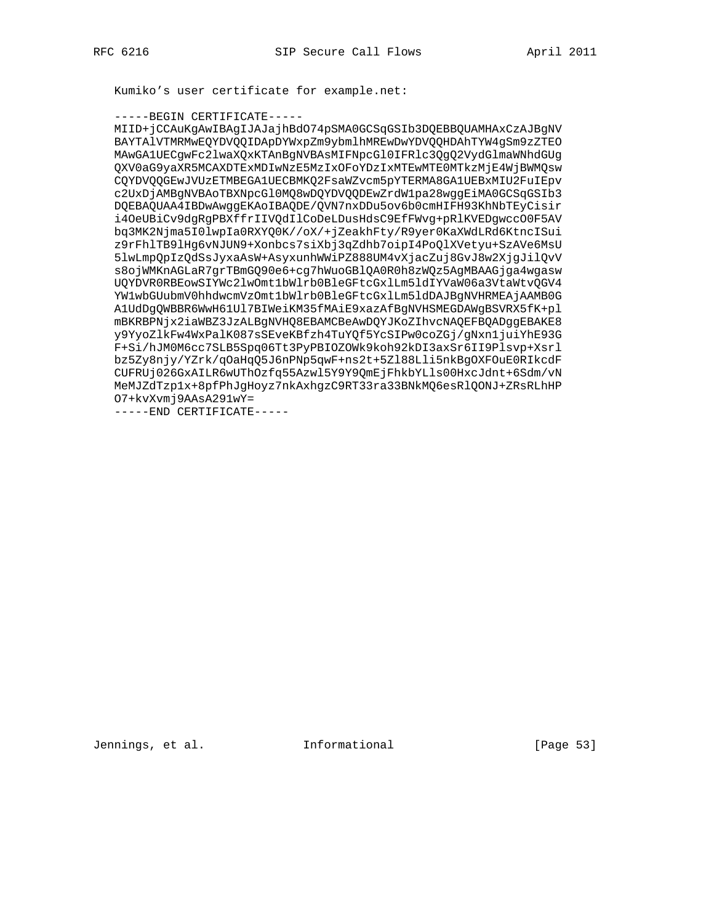Kumiko's user certificate for example.net:

#### -----BEGIN CERTIFICATE-----

MIID+jCCAuKgAwIBAgIJAJajhBdO74pSMA0GCSqGSIb3DQEBBQUAMHAxCzAJBgNV BAYTAlVTMRMwEQYDVQQIDApDYWxpZm9ybmlhMREwDwYDVQQHDAhTYW4gSm9zZTEO MAwGA1UECgwFc2lwaXQxKTAnBgNVBAsMIFNpcGl0IFRlc3QgQ2VydGlmaWNhdGUg QXV0aG9yaXR5MCAXDTExMDIwNzE5MzIxOFoYDzIxMTEwMTE0MTkzMjE4WjBWMQsw CQYDVQQGEwJVUzETMBEGA1UECBMKQ2FsaWZvcm5pYTERMA8GA1UEBxMIU2FuIEpv c2UxDjAMBgNVBAoTBXNpcGl0MQ8wDQYDVQQDEwZrdWlpa28wggEiMA0GCSqGSIb3 DQEBAQUAA4IBDwAwggEKAoIBAQDE/QVN7nxDDu5ov6b0cmHIFH93KhNbTEyCisir i4OeUBiCv9dgRgPBXffrIIVQdIlCoDeLDusHdsC9EfFWvg+pRlKVEDgwccO0F5AV bq3MK2Njma5I0lwpIa0RXYQ0K//oX/+jZeakhFty/R9yer0KaXWdLRd6KtncISui z9rFhlTB9lHg6vNJUN9+Xonbcs7siXbj3qZdhb7oipI4PoQlXVetyu+SzAVe6MsU 51wLmpQpIzQdSsJyxaAsW+AsyxunhWWiPZ888UM4vXjacZuj8GvJ8w2XjgJilQvV s8ojWMKnAGLaR7grTBmGQ90e6+cg7hWuoGBlQA0R0h8zWQz5AgMBAAGjga4wgasw UQYDVR0RBEowSIYWc2lwOmt1bWlrb0BleGFtcGxlLm5ldIYVaW06a3VtaWtvQGV4 YW1wbGUubmV0hhdwcmVzOmt1bWlrb0BleGFtcGxlLm5ldDAJBgNVHRMEAjAAMB0G A1UdDgQWBBR6WwH61U17BIWeiKM35fMAiE9xazAfBgNVHSMEGDAWgBSVRX5fK+pl mBKRBPNjx2iaWBZ3JzALBgNVHQ8EBAMCBeAwDQYJKoZIhvcNAQEFBQADggEBAKE8 y9YyoZlkFw4WxPalK087sSEveKBfzh4TuYQf5YcSIPw0coZGj/gNxn1juiYhE93G F+Si/hJM0M6cc7SLB5Spq06Tt3PyPBIOZOWk9koh92kDI3axSr6II9Plsvp+Xsrl bz5Zy8njy/YZrk/qOaHqQ5J6nPNp5qwF+ns2t+5Z188Lli5nkBgOXFOuE0RIkcdF CUFRUj026GxAILR6wUThOzfq55Azwl5Y9Y9QmEjFhkbYLls00HxcJdnt+6Sdm/vN MeMJZdTzp1x+8pfPhJgHoyz7nkAxhgzC9RT33ra33BNkMQ6esRlQONJ+ZRsRLhHP 07+kvXvmj9AAsA291wY=

 $---END$  CERTIFICATE-----

[Page 53]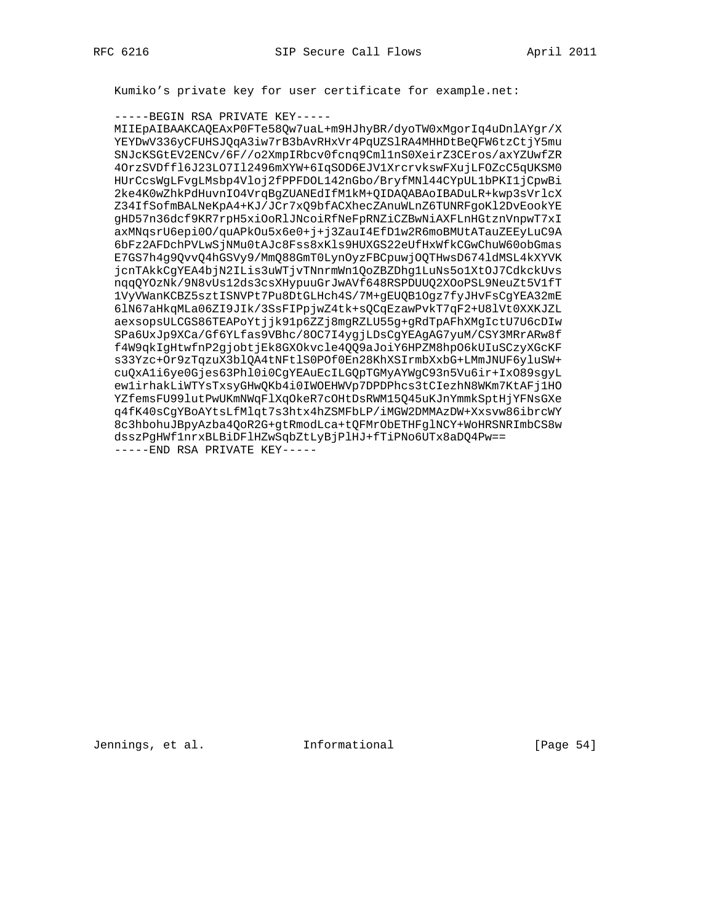Kumiko's private key for user certificate for example.net:

## -----BEGIN RSA PRIVATE KEY-----

MIIEpAIBAAKCAQEAxP0FTe58Qw7uaL+m9HJhyBR/dyoTW0xMqorIq4uDnlAYqr/X YEYDwV336yCFUHSJQqA3iw7rB3bAvRHxVr4PqUZSlRA4MHHDtBeQFW6tzCtjY5mu SNJcKSGtEV2ENCv/6F//o2XmpIRbcv0fcnq9Cml1nS0XeirZ3CEros/axYZUwfZR 40rzSVDff16J23L07I12496mXYW+6IqSOD6EJV1XrcrvkswFXujLFOZcC5qUKSM0 HUrCcsWgLFvgLMsbp4Vloj2fPPFDOL142nGbo/BryfMNl44CYpUL1bPKI1jCpwBi 2ke4K0wZhkPdHuvnIO4VrqBgZUANEdIfM1kM+QIDAQABAoIBADuLR+kwp3sVrlcX Z34IfSofmBALNeKpA4+KJ/JCr7xQ9bfACXhecZAnuWLnZ6TUNRFqoKl2DvEookYE gHD57n36dcf9KR7rpH5xiOoRlJNcoiRfNeFpRNZiCZBwNiAXFLnHGtznVnpwT7xI axMNqsrU6epi00/quAPkOu5x6e0+j+j3ZauI4EfD1w2R6moBMUtATauZEEyLuC9A 6bFz2AFDchPVLwSjNMu0tAJc8Fss8xKls9HUXGS22eUfHxWfkCGwChuW60obGmas E7GS7h4g9QvvQ4hGSVy9/MmQ88GmT0LynOyzFBCpuwjOQTHwsD6741dMSL4kXYVK jcnTAkkCgYEA4bjN2ILis3uWTjvTNnrmWnlQoZBZDhg1LuNs5o1XtOJ7CdkckUvs nqqQYOzNk/9N8vUs12ds3csXHypuuGrJwAVf648RSPDUUQ2XOoPSL9NeuZt5V1fT 1VyVWanKCBZ5sztISNVPt7Pu8DtGLHch4S/7M+gEUQB1Ogz7fyJHvFsCgYEA32mE 61N67aHkqMLa06ZI9JIk/3SsFIPpjwZ4tk+sQCqEzawPvkT7qF2+U81Vt0XXKJZL aexsopsULCGS86TEAPoYtjjk91p6ZZj8mgRZLU55g+gRdTpAFhXMgIctU7U6cDIw SPa6UxJp9XCa/Gf6YLfas9VBhc/8OC7I4ygjLDsCgYEAgAG7yuM/CSY3MRrARw8f f4W9qkIgHtwfnP2gjobtjEk8GXOkvcle4QQ9aJoiY6HPZM8hpO6kUIuSCzyXGcKF s33Yzc+Or9zTqzuX3blQA4tNFtlS0POf0En28KhXSIrmbXxbG+LMmJNUF6yluSW+ cuQxAli6ye0Gjes63Phl0i0CgYEAuEcILGQpTGMyAYWgC93n5Vu6ir+IxO89sgyL ewlirhakLiWTYsTxsyGHwQKb4i0IWOEHWVp7DPDPhcs3tCIezhN8WKm7KtAFj1HO YZfemsFU99lutPwUKmNWqFlXqOkeR7cOHtDsRWM15Q45uKJnYmmkSptHjYFNsGXe q4fK40sCgYBoAYtsLfMlqt7s3htx4hZSMFbLP/iMGW2DMMAzDW+Xxsvw86ibrcWY 8c3hbohuJBpyAzba4QoR2G+gtRmodLca+tQFMrObETHFg1NCY+WoHRSNRImbCS8w dsszPqHWf1nrxBLBiDF1HZwSqbZtLyBjP1HJ+fTiPNo6UTx8aDQ4Pw== -----END RSA PRIVATE KEY-----

Jennings, et al. The Informational

[Page  $54$ ]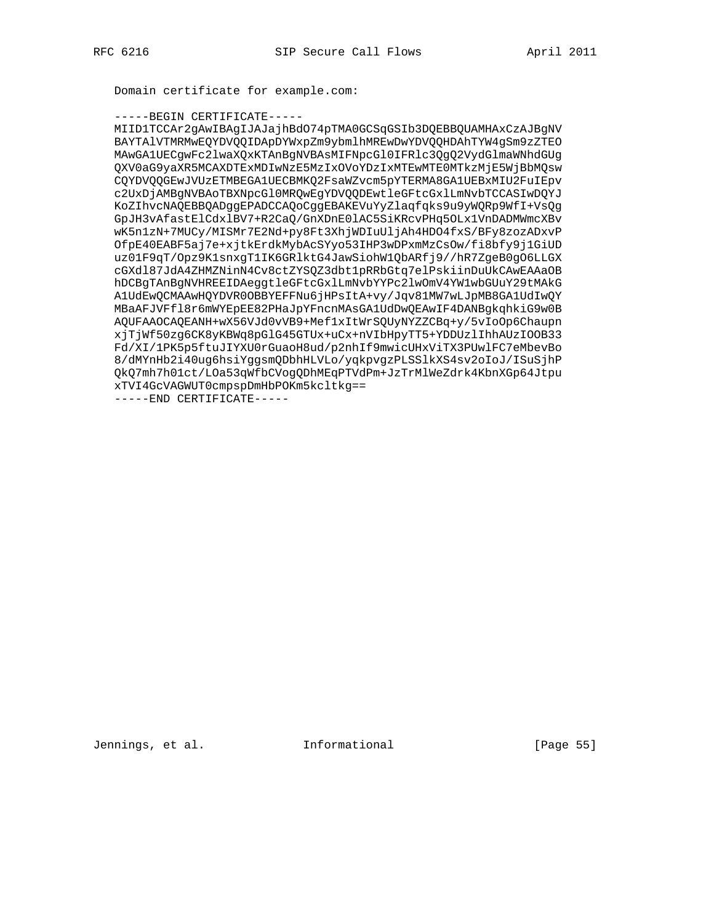Domain certificate for example.com:

#### -----BEGIN CERTIFICATE-----

MIID1TCCAr2gAwIBAgIJAJajhBdO74pTMA0GCSqGSIb3DQEBBQUAMHAxCzAJBgNV BAYTAlVTMRMwEQYDVQQIDApDYWxpZm9ybmlhMREwDwYDVQQHDAhTYW4gSm9zZTEO MAwGA1UECgwFc2lwaXQxKTAnBgNVBAsMIFNpcGl0IFRlc3QgQ2VydGlmaWNhdGUg QXV0aG9yaXR5MCAXDTExMDIwNzE5MzIxOVoYDzIxMTEwMTE0MTkzMjE5WjBbMQsw CQYDVQQGEwJVUzETMBEGA1UECBMKQ2FsaWZvcm5pYTERMA8GA1UEBxMIU2FuIEpv c2UxDjAMBgNVBAoTBXNpcGl0MRQwEgYDVQQDEwtleGFtcGxlLmNvbTCCASIwDQYJ KoZIhvcNAQEBBQADggEPADCCAQoCggEBAKEVuYyZlaqfqks9u9yWQRp9WfI+VsQg GpJH3vAfastElCdxlBV7+R2CaQ/GnXDnE0lAC5SiKRcvPHq5OLx1VnDADMWmcXBv wK5n1zN+7MUCy/MISMr7E2Nd+py8Ft3XhjWDIuUljAh4HDO4fxS/BFy8zozADxvP OfpE40EABF5aj7e+xjtkErdkMybAcSYyo53IHP3wDPxmMzCsOw/fi8bfy9j1GiUD uz01F9qT/Opz9K1snxgT1IK6GRlktG4JawSiohW1QbARfj9//hR7ZgeB0gO6LLGX cGXd187JdA4ZHMZNinN4Cv8ctZYSQZ3dbt1pRRbGtq7elPskiinDuUkCAwEAAaOB hDCBgTAnBgNVHREEIDAeggtleGFtcGxlLmNvbYYPc2lwOmV4YW1wbGUuY29tMAkG A1UdEwQCMAAwHQYDVR0OBBYEFFNu6jHPsItA+vy/Jqv81MW7wLJpMB8GA1UdIwQY MBaAFJVFf18r6mWYEpEE82PHaJpYFncnMAsGA1UdDwQEAwIF4DANBgkqhkiG9w0B AQUFAAOCAQEANH+wX56VJd0vVB9+Mef1xItWrSQUyNYZZCBq+y/5vIoOp6Chaupn xjTjWf50zg6CK8yKBWq8pGlG45GTUx+uCx+nVIbHpyTT5+YDDUzlIhhAUzIOOB33 Fd/XI/1PK5p5ftuJIYXU0rGuaoH8ud/p2nhIf9mwicUHxViTX3PUwlFC7eMbevBo 8/dMYnHb2i40ug6hsiYggsmQDbhHLVLo/yqkpvgzPLSSlkXS4sv2oIoJ/ISuSjhP QkQ7mh7h01ct/LOa53qWfbCVogQDhMEqPTVdPm+JzTrMlWeZdrk4KbnXGp64Jtpu xTVI4GcVAGWUT0cmpspDmHbPOKm5kcltkg ==

-----END CERTIFICATE-----

Jennings, et al. The Informational

[Page 55]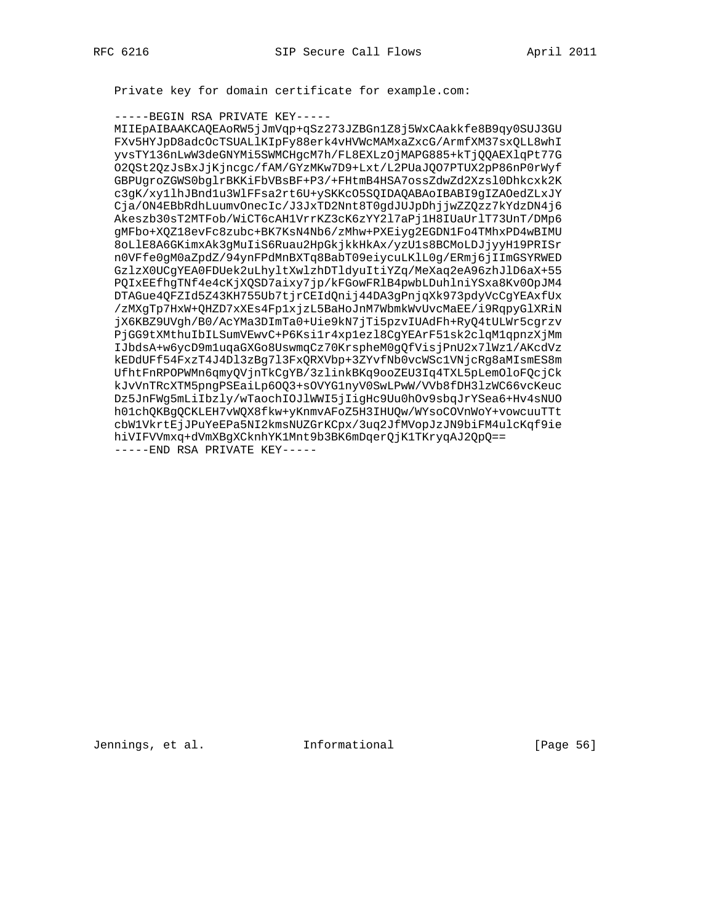Private key for domain certificate for example.com:

#### -----BEGIN RSA PRIVATE KEY-----

MIIEpAIBAAKCAQEAoRW5jJmVqp+qSz273JZBGn1Z8j5WxCAakkfe8B9qy0SUJ3GU FXv5HYJpD8adcOcTSUALlKIpFy88erk4vHVWcMAMxaZxcG/ArmfXM37sxQLL8whI yvsTY136nLwW3deGNYMi5SWMCHgcM7h/FL8EXLzOjMAPG885+kTjQQAEXlqPt77G O2QSt2QzJsBxJjKjncgc/fAM/GYzMKw7D9+Lxt/L2PUaJQO7PTUX2pP86nP0rWyf GBPUgroZGWS0bglrBKKiFbVBsBF+P3/+FHtmB4HSA7ossZdwZd2Xzs10Dhkcxk2K c3gK/xy1lhJBnd1u3WlFFsa2rt6U+ySKKcO5SQIDAQABAoIBABI9gIZAOedZLxJY Cja/ON4EBbRdhLuumvOnecIc/J3JxTD2Nnt8T0gdJUJpDhjjwZZQzz7kYdzDN4j6 Akeszb30sT2MTFob/WiCT6cAH1VrrKZ3cK6zYY217aPj1H8IUaUrlT73UnT/DMp6 gMFbo+XQZ18evFc8zubc+BK7KsN4Nb6/zMhw+PXEiyg2EGDN1Fo4TMhxPD4wBIMU 8oLlE8A6GKimxAk3qMuIiS6Ruau2HpGkjkkHkAx/yzU1s8BCMoLDJjyyH19PRISr n0VFfe0gM0aZpdZ/94ynFPdMnBXTq8BabT09eiycuLKlL0g/ERmj6jIImGSYRWED GzlzX0UCgYEA0FDUek2uLhyltXwlzhDTldyuItiYZq/MeXaq2eA96zhJlD6aX+55 PQIxEEfhgTNf4e4cKjXQSD7aixy7jp/kFGowFRlB4pwbLDuhlniYSxa8Kv0OpJM4 DTAGue4QFZId5Z43KH755Ub7tjrCEIdQnij44DA3gPnjqXk973pdyVcCgYEAxfUx /zMXgTp7HxW+QHZD7xXEs4Fp1xjzL5BaHoJnM7WbmkWvUvcMaEE/i9RqpyGlXRiN jX6KBZ9UVgh/B0/AcYMa3DImTa0+Uie9kN7jTi5pzvIUAdFh+RyQ4tULWr5cgrzv PjGG9tXMthuIbILSumVEwvC+P6Ksilr4xplezl8CgYEArF51sk2clqM1qpnzXjMm IJbdsA+w6ycD9mluqaGXGo8UswmqCz70KrspheM0gQfVisjPnU2x71Wz1/AKcdVz kEDdUFf54FxzT4J4Dl3zBg7l3FxQRXVbp+3ZYvfNb0vcWSclVNjcRg8aMIsmES8m UfhtFnRPOPWMn6qmyQVjnTkCgYB/3zlinkBKq9ooZEU3Iq4TXL5pLemOloFQcjCk kJvVnTRcXTM5pngPSEaiLp6OQ3+sOVYG1nyV0SwLPwW/VVb8fDH3lzWC66vcKeuc Dz5JnFWg5mLiIbzly/wTaochIOJ1WWI5jIigHc9Uu0hOv9sbqJrYSea6+Hv4sNUO h01chQKBgQCKLEH7vWQX8fkw+yKnmvAFoZ5H3IHUQw/WYsoCOVnWoY+vowcuuTTt cbW1VkrtEjJPuYeEPa5NI2kmsNUZGrKCpx/3uq2JfMVopJzJN9biFM4ulcKqf9ie hiVIFVVmxq+dVmXBgXCknhYK1Mnt9b3BK6mDqerQjK1TKryqAJ2QpQ == -----END RSA PRIVATE KEY-----

[Page 56]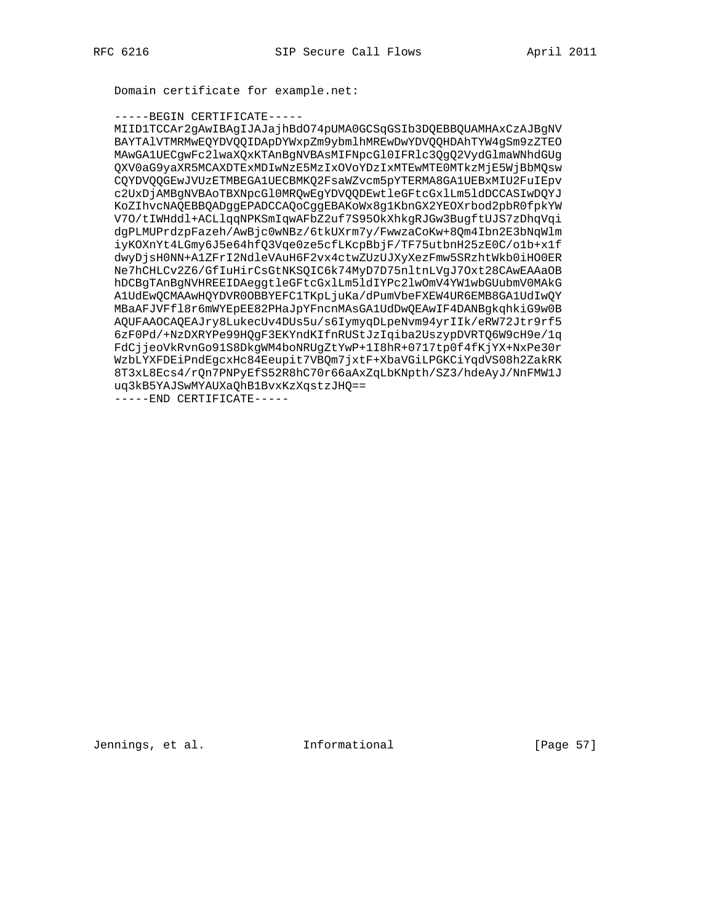Domain certificate for example.net:

#### -----BEGIN CERTIFICATE-----

MIID1TCCAr2gAwIBAgIJAJajhBdO74pUMA0GCSqGSIb3DQEBBQUAMHAxCzAJBgNV BAYTAlVTMRMwEQYDVQQIDApDYWxpZm9ybmlhMREwDwYDVQQHDAhTYW4gSm9zZTEO MAwGA1UECgwFc2lwaXQxKTAnBgNVBAsMIFNpcGl0IFRlc3QgQ2VydGlmaWNhdGUg QXV0aG9yaXR5MCAXDTExMDIwNzE5MzIxOVoYDzIxMTEwMTE0MTkzMjE5WjBbMQsw CQYDVQQGEwJVUzETMBEGA1UECBMKQ2FsaWZvcm5pYTERMA8GA1UEBxMIU2FuIEpv c2UxDjAMBgNVBAoTBXNpcGl0MRQwEgYDVQQDEwtleGFtcGxlLm5ldDCCASIwDQYJ KoZIhvcNAQEBBQADggEPADCCAQoCggEBAKoWx8g1KbnGX2YEOXrbod2pbR0fpkYW V70/tIWHddl+ACLlqqNPKSmIqwAFbZ2uf7S950kXhkgRJGw3BugftUJS7zDhqVqi dgPLMUPrdzpFazeh/AwBjc0wNBz/6tkUXrm7y/FwwzaCoKw+8Qm4Ibn2E3bNqWlm iyKOXnYt4LGmy6J5e64hfQ3Vqe0ze5cfLKcpBbjF/TF75utbnH25zE0C/olb+xlf dwyDjsH0NN+A1ZFrI2NdleVAuH6F2vx4ctwZUzUJXyXezFmw5SRzhtWkb0iHO0ER Ne7hCHLCv2Z6/GfIuHirCsGtNKSQIC6k74MyD7D75nltnLVgJ70xt28CAwEAAaOB hDCBqTAnBqNVHREEIDAeqqtleGFtcGxlLm5ldIYPc2lwOmV4YW1wbGUubmV0MAkG A1UdEwQCMAAwHQYDVR0OBBYEFC1TKpLjuKa/dPumVbeFXEW4UR6EMB8GA1UdIwQY MBaAFJVFf18r6mWYEpEE82PHaJpYFncnMAsGA1UdDwQEAwIF4DANBgkqhkiG9w0B AQUFAAOCAQEAJry8LukecUv4DUs5u/s6IymyqDLpeNvm94yrIIk/eRW72Jtr9rf5 6zF0Pd/+NzDXRYPe99HQgF3EKYndKIfnRUStJzIqiba2UszypDVRTQ6W9cH9e/1q FdCjjeoVkRvnGo91S8DkgWM4boNRUgZtYwP+1I8hR+0717tp0f4fKjYX+NxPe30r WzbLYXFDEiPndEgcxHc84Eeupit7VBQm7jxtF+XbaVGiLPGKCiYqdVS08h2ZakRK 8T3xL8Ecs4/rQn7PNPyEfS52R8hC70r66aAxZqLbKNpth/SZ3/hdeAyJ/NnFMW1J uq3kB5YAJSwMYAUXaQhB1BvxKzXqstzJHQ ==

-----END CERTIFICATE-----

Jennings, et al. The Informational

[Page 57]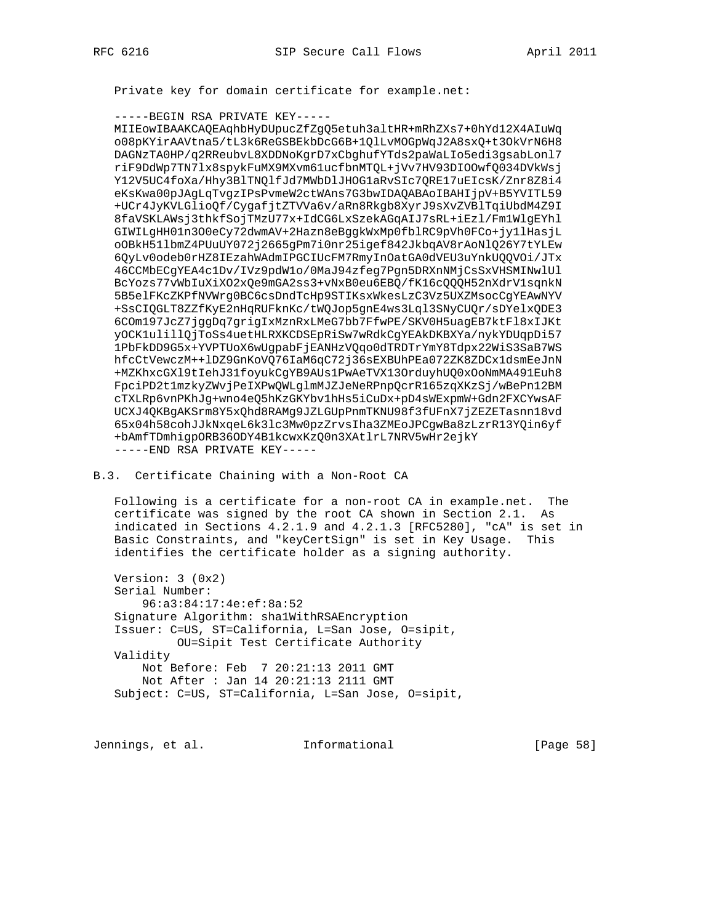Private key for domain certificate for example.net:

-----BEGIN RSA PRIVATE KEY-----

MIIEowIBAAKCAQEAqhbHyDUpucZfZgQ5etuh3altHR+mRhZXs7+0hYd12X4AIuWq o08pKYirAAVtna5/tL3k6ReGSBEkbDcG6B+1QlLvMOGpWqJ2A8sxQ+t3OkVrN6H8 DAGNzTA0HP/q2RReubvL8XDDNoKgrD7xCbghufYTds2paWaLIo5edi3gsabLonl7 riF9DdWp7TN71x8spykFuMX9MXvm61ucfbnMTQL+jVv7HV93DIOOwfQ034DVkWsj Y12V5UC4foXa/Hhy3BlTNQlfJd7MWbDlJHOGlaRvSIc7QRE17uEIcsK/Znr8Z8i4 eKsKwa00pJAgLqTvgzIPsPvmeW2ctWAns7G3bwIDAQABAoIBAHIjpV+B5YVITL59 +UCr4JyKVLGlioQf/CygafjtZTVVa6v/aRn8Rkgb8XyrJ9sXvZVBlTqiUbdM4Z9I 8faVSKLAWsj3thkfSojTMzU77x+IdCG6LxSzekAGqAIJ7sRL+iEzl/Fm1WlgEYhl GIWILgHH01n3O0eCy72dwmAV+2Hazn8eBggkWxMp0fblRC9pVh0FCo+jy1lHasjL oOBkH511bmZ4PUuUY072j2665gPm7i0nr25igef842JkbqAV8rAoNlQ26Y7tYLEw 6QyLv0odeb0rHZ8IEzahWAdmIPGCIUcFM7RmyInOatGA0dVEU3uYnkUQQVOi/JTx 46CCMbECgYEA4c1Dv/IVz9pdW1o/0MaJ94zfeg7Pgn5DRXnNMjCsSxVHSMINwlUl BcYozs77vWbIuXiXO2xQe9mGA2ss3+vNxB0eu6EBQ/fK16cQQQH52nXdrVlsqnkN 5B5elFKcZKPfNVWrg0BC6csDndTcHp9STIKsxWkesLzC3Vz5UXZMsocCgYEAwNYV +SsCIQGLT8ZZfKyE2nHqRUFknKc/tWQJop5gnE4ws3Lql3SNyCUQr/sDYelxQDE3 6COm197JcZ7jggDq7grigIxMznRxLMeG7bb7FfwPE/SKV0H5uagEB7ktFl8xIJKt yOCK1ulillQjToSs4uetHLRXKCDSEpRiSw7wRdkCgYEAkDKBXYa/nykYDUqpDi57 1PbFkDD9G5x+YVPTUoX6wUgpabFjEANHzVQqo0dTRDTrYmY8Tdpx22WiS3SaB7WS hfcCtVewczM++1DZ9GnKoVQ76IaM6qC72j36sEXBUhPEa072ZK8ZDCx1dsmEeJnN +MZKhxcGXl9tIehJ3lfoyukCgYB9AUs1PwAeTVX13OrduyhUQ0xOoNmMA491Euh8 FpciPD2t1mzkyZWvjPeIXPwQWLg1mMJZJeNeRPnpQcrR165zqXKzSj/wBePn12BM cTXLRp6vnPKhJg+wno4eQ5hKzGKYbv1hHs5iCuDx+pD4sWExpmW+Gdn2FXCYwsAF UCXJ4QKBgAKSrm8Y5xQhd8RAMg9JZLGUpPnmTKNU98f3fUFnX7jZEZETasnn18vd 65x04h58cohJJkNxqeL6k3lc3Mw0pzZrvsIha3ZMEoJPCgwBa8zLzrR13YQin6yf +bAmfTDmhiqpORB36ODY4B1kcwxKzQ0n3XAt1rL7NRV5wHr2ejkY -----END RSA PRIVATE KEY-----

# B.3. Certificate Chaining with a Non-Root CA

Following is a certificate for a non-root CA in example.net. The certificate was signed by the root CA shown in Section 2.1. As indicated in Sections 4.2.1.9 and 4.2.1.3 [RFC5280], "cA" is set in Basic Constraints, and "keyCertSign" is set in Key Usage. This identifies the certificate holder as a signing authority.

Version:  $3(0x2)$ Serial Number: 96:a3:84:17:4e:ef:8a:52 Signature Algorithm: shalWithRSAEncryption Issuer: C=US, ST=California, L=San Jose, O=sipit, OU=Sipit Test Certificate Authority Validity Not Before: Feb 7 20:21:13 2011 GMT Not After : Jan 14 20:21:13 2111 GMT Subject: C=US, ST=California, L=San Jose, O=sipit,

Jennings, et al. Thermational [Page 58]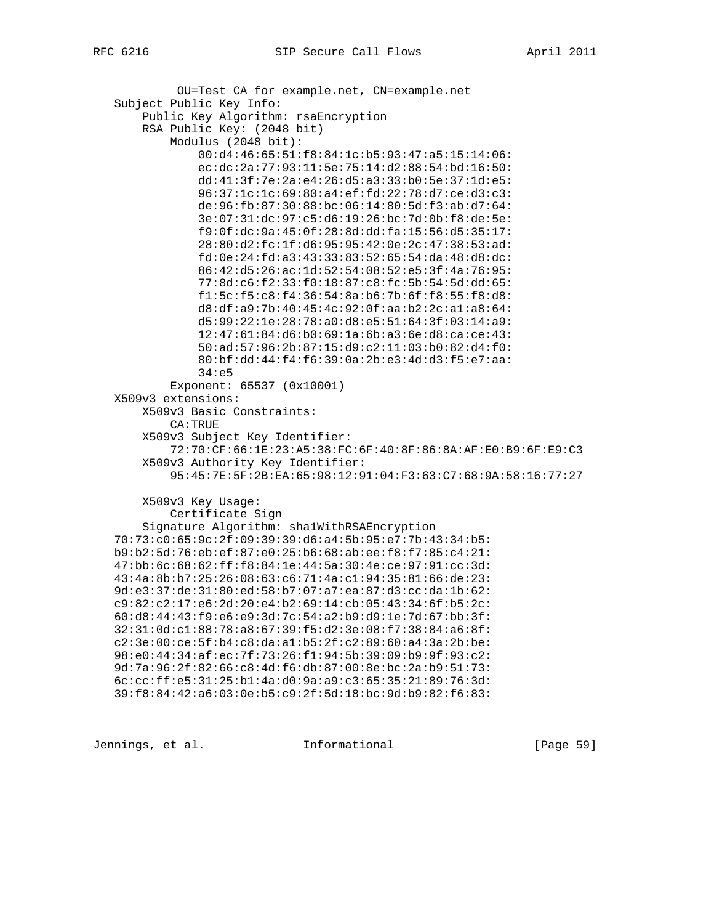OU=Test CA for example.net, CN=example.net Subject Public Key Info: Public Key Algorithm: rsaEncryption RSA Public Key: (2048 bit) Modulus (2048 bit): 00:d4:46:65:51:f8:84:1c:b5:93:47:a5:15:14:06: ec:dc:2a:77:93:11:5e:75:14:d2:88:54:bd:16:50: dd:41:3f:7e:2a:e4:26:d5:a3:33:b0:5e:37:1d:e5: 96:37:1c:1c:69:80:a4:ef:fd:22:78:d7:ce:d3:c3: de:96:fb:87:30:88:bc:06:14:80:5d:f3:ab:d7:64: 3e:07:31:dc:97:c5:d6:19:26:bc:7d:0b:f8:de:5e: f9:0f:dc:9a:45:0f:28:8d:dd:fa:15:56:d5:35:17: 28:80:d2:fc:1f:d6:95:95:42:0e:2c:47:38:53:ad: fd:0e:24:fd:a3:43:33:83:52:65:54:da:48:d8:dc: 86:42:d5:26:ac:1d:52:54:08:52:e5:3f:4a:76:95: 77:8d:c6:f2:33:f0:18:87:c8:fc:5b:54:5d:dd:65: f1:5c:f5:c8:f4:36:54:8a:b6:7b:6f:f8:55:f8:d8: d8:df:a9:7b:40:45:4c:92:0f:aa:b2:2c:a1:a8:64: d5:99:22:1e:28:78:a0:d8:e5:51:64:3f:03:14:a9: 12:47:61:84:d6:b0:69:1a:6b:a3:6e:d8:ca:ce:43: 50:ad:57:96:2b:87:15:d9:c2:11:03:b0:82:d4:f0: 80:bf:dd:44:f4:f6:39:0a:2b:e3:4d:d3:f5:e7:aa: 34:e5 Exponent: 65537 (0x10001) X509v3 extensions: X509v3 Basic Constraints: CA:TRUE X509v3 Subject Key Identifier: 72:70:CF:66:1E:23:A5:38:FC:6F:40:8F:86:8A:AF:E0:B9:6F:E9:C3 X509v3 Authority Key Identifier: 95:45:7E:5F:2B:EA:65:98:12:91:04:F3:63:C7:68:9A:58:16:77:27 X509v3 Key Usage: Certificate Sign Signature Algorithm: sha1WithRSAEncryption 70:73:c0:65:9c:2f:09:39:39:d6:a4:5b:95:e7:7b:43:34:b5: b9:b2:5d:76:eb:ef:87:e0:25:b6:68:ab:ee:f8:f7:85:c4:21: 47:bb:6c:68:62:ff:f8:84:1e:44:5a:30:4e:ce:97:91:cc:3d: 43:4a:8b:b7:25:26:08:63:c6:71:4a:c1:94:35:81:66:de:23: 9d:e3:37:de:31:80:ed:58:b7:07:a7:ea:87:d3:cc:da:1b:62: c9:82:c2:17:e6:2d:20:e4:b2:69:14:cb:05:43:34:6f:b5:2c: 60:d8:44:43:f9:e6:e9:3d:7c:54:a2:b9:d9:1e:7d:67:bb:3f: 32:31:0d:c1:88:78:a8:67:39:f5:d2:3e:08:f7:38:84:a6:8f: c2:3e:00:ce:5f:b4:c8:da:a1:b5:2f:c2:89:60:a4:3a:2b:be: 98:e0:44:34:af:ec:7f:73:26:f1:94:5b:39:09:b9:9f:93:c2: 9d:7a:96:2f:82:66:c8:4d:f6:db:87:00:8e:bc:2a:b9:51:73: 6c:cc:ff:e5:31:25:b1:4a:d0:9a:a9:c3:65:35:21:89:76:3d: 39:f8:84:42:a6:03:0e:b5:c9:2f:5d:18:bc:9d:b9:82:f6:83:

Jennings, et al. 1nformational 1999 [Page 59]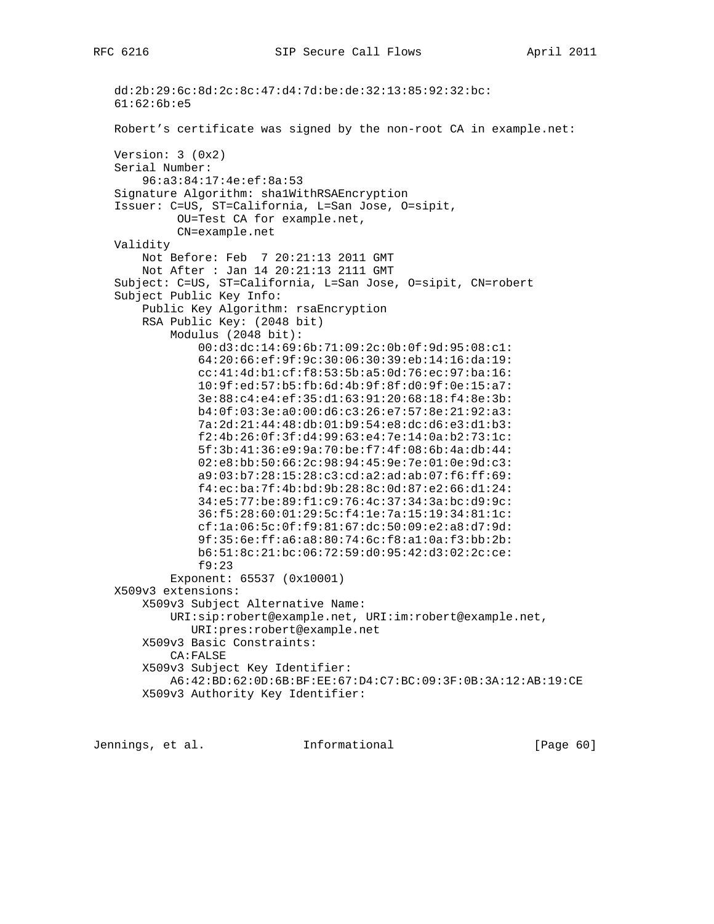```
 dd:2b:29:6c:8d:2c:8c:47:d4:7d:be:de:32:13:85:92:32:bc:
 61:62:6b:e5
 Robert's certificate was signed by the non-root CA in example.net:
 Version: 3 (0x2)
 Serial Number:
     96:a3:84:17:4e:ef:8a:53
 Signature Algorithm: sha1WithRSAEncryption
 Issuer: C=US, ST=California, L=San Jose, O=sipit,
          OU=Test CA for example.net,
          CN=example.net
 Validity
     Not Before: Feb 7 20:21:13 2011 GMT
     Not After : Jan 14 20:21:13 2111 GMT
 Subject: C=US, ST=California, L=San Jose, O=sipit, CN=robert
 Subject Public Key Info:
     Public Key Algorithm: rsaEncryption
     RSA Public Key: (2048 bit)
         Modulus (2048 bit):
             00:d3:dc:14:69:6b:71:09:2c:0b:0f:9d:95:08:c1:
             64:20:66:ef:9f:9c:30:06:30:39:eb:14:16:da:19:
             cc:41:4d:b1:cf:f8:53:5b:a5:0d:76:ec:97:ba:16:
             10:9f:ed:57:b5:fb:6d:4b:9f:8f:d0:9f:0e:15:a7:
             3e:88:c4:e4:ef:35:d1:63:91:20:68:18:f4:8e:3b:
             b4:0f:03:3e:a0:00:d6:c3:26:e7:57:8e:21:92:a3:
             7a:2d:21:44:48:db:01:b9:54:e8:dc:d6:e3:d1:b3:
             f2:4b:26:0f:3f:d4:99:63:e4:7e:14:0a:b2:73:1c:
             5f:3b:41:36:e9:9a:70:be:f7:4f:08:6b:4a:db:44:
             02:e8:bb:50:66:2c:98:94:45:9e:7e:01:0e:9d:c3:
             a9:03:b7:28:15:28:c3:cd:a2:ad:ab:07:f6:ff:69:
             f4:ec:ba:7f:4b:bd:9b:28:8c:0d:87:e2:66:d1:24:
             34:e5:77:be:89:f1:c9:76:4c:37:34:3a:bc:d9:9c:
             36:f5:28:60:01:29:5c:f4:1e:7a:15:19:34:81:1c:
             cf:1a:06:5c:0f:f9:81:67:dc:50:09:e2:a8:d7:9d:
             9f:35:6e:ff:a6:a8:80:74:6c:f8:a1:0a:f3:bb:2b:
             b6:51:8c:21:bc:06:72:59:d0:95:42:d3:02:2c:ce:
             f9:23
         Exponent: 65537 (0x10001)
 X509v3 extensions:
     X509v3 Subject Alternative Name:
         URI:sip:robert@example.net, URI:im:robert@example.net,
            URI:pres:robert@example.net
     X509v3 Basic Constraints:
         CA:FALSE
     X509v3 Subject Key Identifier:
         A6:42:BD:62:0D:6B:BF:EE:67:D4:C7:BC:09:3F:0B:3A:12:AB:19:CE
     X509v3 Authority Key Identifier:
```
Jennings, et al. Informational [Page 60]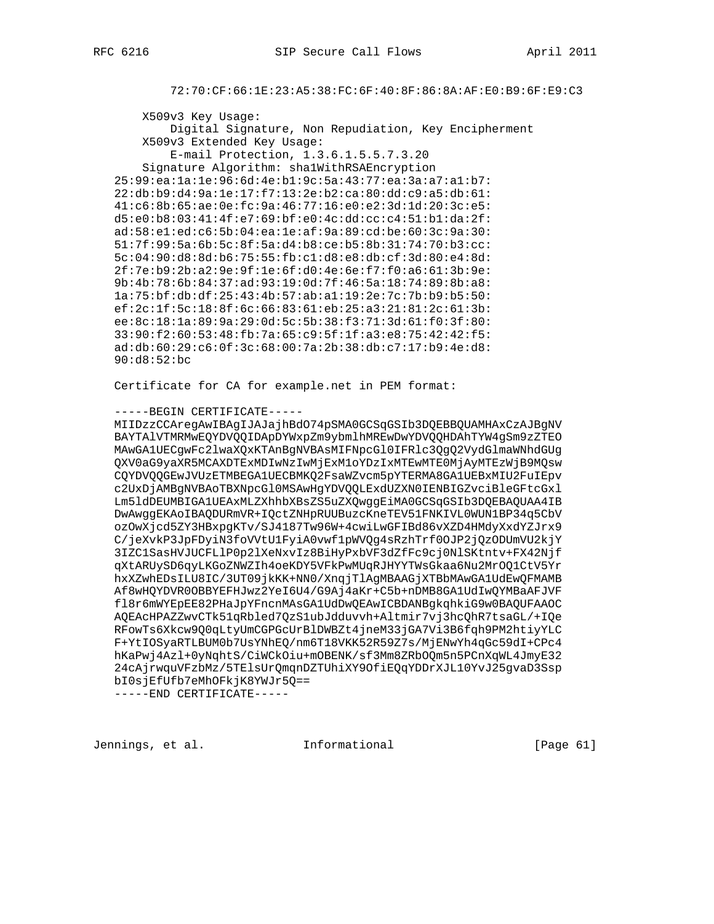72:70:CF:66:1E:23:A5:38:FC:6F:40:8F:86:8A:AF:E0:B9:6F:E9:C3

 X509v3 Key Usage: Digital Signature, Non Repudiation, Key Encipherment X509v3 Extended Key Usage: E-mail Protection, 1.3.6.1.5.5.7.3.20 Signature Algorithm: sha1WithRSAEncryption 25:99:ea:1a:1e:96:6d:4e:b1:9c:5a:43:77:ea:3a:a7:a1:b7: 22:db:b9:d4:9a:1e:17:f7:13:2e:b2:ca:80:dd:c9:a5:db:61: 41:c6:8b:65:ae:0e:fc:9a:46:77:16:e0:e2:3d:1d:20:3c:e5: d5:e0:b8:03:41:4f:e7:69:bf:e0:4c:dd:cc:c4:51:b1:da:2f: ad:58:e1:ed:c6:5b:04:ea:1e:af:9a:89:cd:be:60:3c:9a:30: 51:7f:99:5a:6b:5c:8f:5a:d4:b8:ce:b5:8b:31:74:70:b3:cc: 5c:04:90:d8:8d:b6:75:55:fb:c1:d8:e8:db:cf:3d:80:e4:8d: 2f:7e:b9:2b:a2:9e:9f:1e:6f:d0:4e:6e:f7:f0:a6:61:3b:9e: 9b:4b:78:6b:84:37:ad:93:19:0d:7f:46:5a:18:74:89:8b:a8: 1a:75:bf:db:df:25:43:4b:57:ab:a1:19:2e:7c:7b:b9:b5:50: ef:2c:1f:5c:18:8f:6c:66:83:61:eb:25:a3:21:81:2c:61:3b: ee:8c:18:1a:89:9a:29:0d:5c:5b:38:f3:71:3d:61:f0:3f:80: 33:90:f2:60:53:48:fb:7a:65:c9:5f:1f:a3:e8:75:42:42:f5: ad:db:60:29:c6:0f:3c:68:00:7a:2b:38:db:c7:17:b9:4e:d8: 90:d8:52:bc

Certificate for CA for example.net in PEM format:

#### -----BEGIN CERTIFICATE-----

 MIIDzzCCAregAwIBAgIJAJajhBdO74pSMA0GCSqGSIb3DQEBBQUAMHAxCzAJBgNV BAYTAlVTMRMwEQYDVQQIDApDYWxpZm9ybmlhMREwDwYDVQQHDAhTYW4gSm9zZTEO MAwGA1UECgwFc2lwaXQxKTAnBgNVBAsMIFNpcGl0IFRlc3QgQ2VydGlmaWNhdGUg QXV0aG9yaXR5MCAXDTExMDIwNzIwMjExM1oYDzIxMTEwMTE0MjAyMTEzWjB9MQsw CQYDVQQGEwJVUzETMBEGA1UECBMKQ2FsaWZvcm5pYTERMA8GA1UEBxMIU2FuIEpv c2UxDjAMBgNVBAoTBXNpcGl0MSAwHgYDVQQLExdUZXN0IENBIGZvciBleGFtcGxl Lm5ldDEUMBIGA1UEAxMLZXhhbXBsZS5uZXQwggEiMA0GCSqGSIb3DQEBAQUAA4IB DwAwggEKAoIBAQDURmVR+IQctZNHpRUUBuzcKneTEV51FNKIVL0WUN1BP34q5CbV ozOwXjcd5ZY3HBxpgKTv/SJ4187Tw96W+4cwiLwGFIBd86vXZD4HMdyXxdYZJrx9 C/jeXvkP3JpFDyiN3foVVtU1FyiA0vwf1pWVQg4sRzhTrf0OJP2jQzODUmVU2kjY 3IZC1SasHVJUCFLlP0p2lXeNxvIz8BiHyPxbVF3dZfFc9cj0NlSKtntv+FX42Njf qXtARUySD6qyLKGoZNWZIh4oeKDY5VFkPwMUqRJHYYTWsGkaa6Nu2MrOQ1CtV5Yr hxXZwhEDsILU8IC/3UT09jkKK+NN0/XnqjTlAgMBAAGjXTBbMAwGA1UdEwQFMAMB Af8wHQYDVR0OBBYEFHJwz2YeI6U4/G9Aj4aKr+C5b+nDMB8GA1UdIwQYMBaAFJVF fl8r6mWYEpEE82PHaJpYFncnMAsGA1UdDwQEAwICBDANBgkqhkiG9w0BAQUFAAOC AQEAcHPAZZwvCTk51qRbled7QzS1ubJdduvvh+Altmir7vj3hcQhR7tsaGL/+IQe RFowTs6Xkcw9Q0qLtyUmCGPGcUrBlDWBZt4jneM33jGA7Vi3B6fqh9PM2htiyYLC F+YtIOSyaRTLBUM0b7UsYNhEQ/nm6T18VKK52R59Z7s/MjENwYh4qGc59dI+CPc4 hKaPwj4Azl+0yNqhtS/CiWCkOiu+mOBENK/sf3Mm8ZRbOQm5n5PCnXqWL4JmyE32 24cAjrwquVFzbMz/5TElsUrQmqnDZTUhiXY9OfiEQqYDDrXJL10YvJ25gvaD3Ssp bI0sjEfUfb7eMhOFkjK8YWJr5Q==

-----END CERTIFICATE-----

Jennings, et al. 1nformational 1999 [Page 61]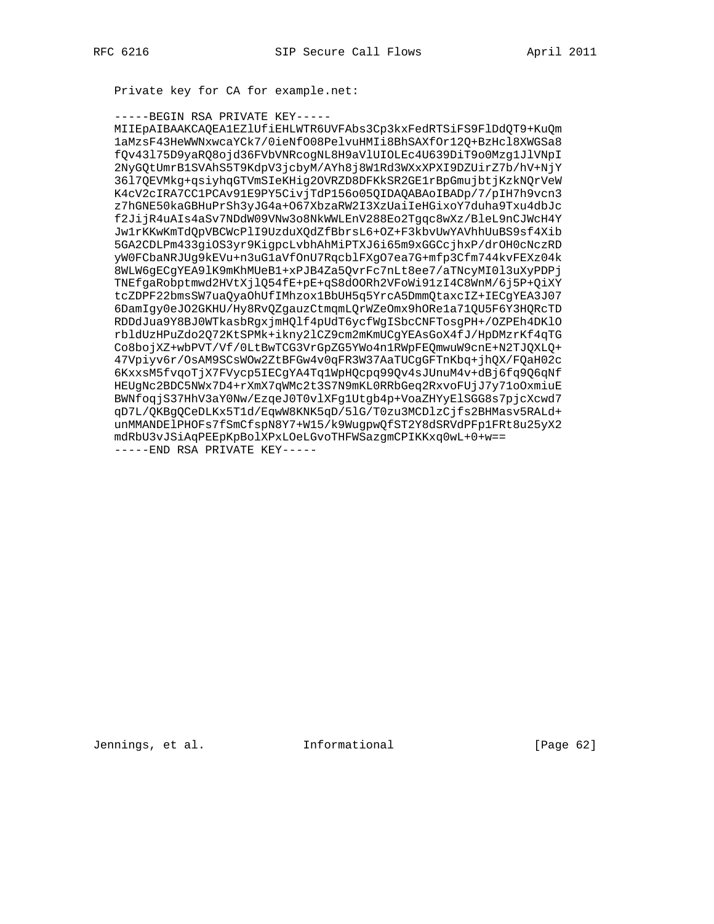Private key for CA for example.net:

# -----BEGIN RSA PRIVATE KEY-----

MIIEpAIBAAKCAQEA1EZ1UfiEHLWTR6UVFAbs3Cp3kxFedRTSiFS9FlDdQT9+KuQm 1aMzsF43HeWWNxwcaYCk7/0ieNf008PelvuHMIi8BhSAXfOr12Q+BzHcl8XWGSa8 fQv43175D9yaRQ8ojd36FVbVNRcogNL8H9aVlUIOLEc4U639DiT9o0Mzg1JlVNpI 2NyGQtUmrB1SVAhS5T9KdpV3jcbyM/AYh8j8W1Rd3WXxXPXI9DZUirZ7b/hV+NjY 3617QEVMkg+qsiyhqGTVmSIeKHig2OVRZD8DFKkSR2GE1rBpGmujbtjKzkNQrVeW K4cV2cIRA7CC1PCAv91E9PY5CivjTdP156o05QIDAQABAoIBADp/7/pIH7h9vcn3 z7hGNE50kaGBHuPrSh3yJG4a+067XbzaRW2I3XzUaiIeHGixoY7duha9Txu4dbJc f2JijR4uAIs4aSv7NDdW09VNw3o8NkWWLEnV288Eo2Tgqc8wXz/BleL9nCJWcH4Y JwlrKKwKmTdQpVBCWcPlI9UzduXQdZfBbrsL6+OZ+F3kbvUwYAVhhUuBS9sf4Xib 5GA2CDLPm433giOS3yr9KigpcLvbhAhMiPTXJ6i65m9xGGCcjhxP/drOH0cNczRD yW0FCbaNRJUg9kEVu+n3uGlaVfOnU7RqcblFXgO7ea7G+mfp3Cfm744kvFEXz04k 8WLW6gECgYEA91K9mKhMUeB1+xPJB4Za5QvrFc7nLt8ee7/aTNcyMI013uXyPDPj TNEfgaRobptmwd2HVtXjlQ54fE+pE+qS8dOORh2VFoWi91zI4C8WnM/6j5P+QiXY tcZDPF22bmsSW7uaQyaOhUfIMhzox1BbUH5q5YrcA5DmmQtaxcIZ+IECgYEA3J07 6DamIgy0eJO2GKHU/Hy8RvQZgauzCtmgmLQrWZeOmx9hORe1a71QU5F6Y3HQRcTD RDDdJua9Y8BJ0WTkasbRgxjmHQlf4pUdT6ycfWgISbcCNFTosgPH+/OZPEh4DKlO rbldUzHPuZdo2Q72KtSPMk+ikny21CZ9cm2mKmUCgYEAsGoX4fJ/HpDMzrKf4qTG Co8bojXZ+wbPVT/Vf/0LtBwTCG3VrGpZG5YWo4n1RWpFEQmwuW9cnE+N2TJQXLQ+ 47Vpiyv6r/OsAM9SCsWOw2ZtBFGw4v0qFR3W37AaTUCgGFTnKbq+jhQX/FQaH02c 6KxxsM5fvqoTjX7FVycp5IECgYA4Tq1WpHQcpq99Qv4sJUnuM4v+dBj6fq9Q6qNf HEUgNc2BDC5NWx7D4+rXmX7qWMc2t3S7N9mKL0RRbGeq2RxvoFUjJ7y71o0xmiuE BWNfoqjS37HhV3aY0Nw/EzqeJ0T0vlXFg1Utgb4p+VoaZHYyElSGG8s7pjcXcwd7 qD7L/QKBgQCeDLKx5T1d/EqwW8KNK5qD/51G/T0zu3MCDlzCjfs2BHMasv5RALd+ unMMANDElPHOFs7fSmCfspN8Y7+W15/k9WugpwQfST2Y8dSRVdPFp1FRt8u25yX2 mdRbU3vJSiAqPEEpKpBolXPxLOeLGvoTHFWSazgmCPIKKxq0wL+0+w== -----END RSA PRIVATE KEY-----

 $[Page 62]$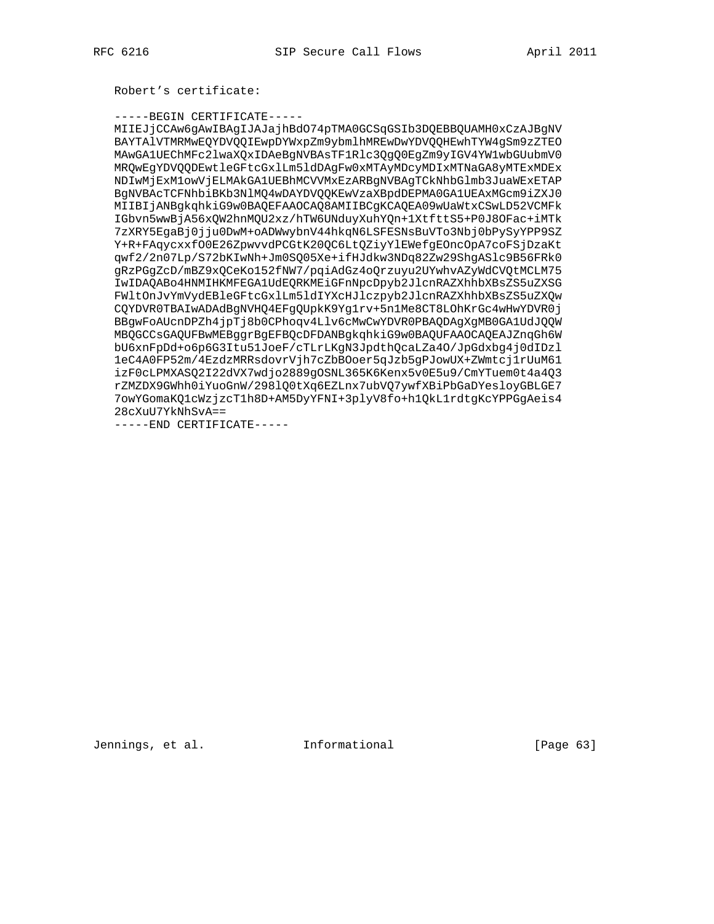Robert's certificate:

### -----BEGIN CERTIFICATE-----

MIIEJjCCAw6gAwIBAgIJAJajhBdO74pTMA0GCSqGSIb3DQEBBQUAMH0xCzAJBgNV BAYTAlVTMRMwEQYDVQQIEwpDYWxpZm9ybmlhMREwDwYDVQQHEwhTYW4gSm9zZTEO MAwGA1UEChMFc2lwaXQxIDAeBgNVBAsTF1Rlc3QgQ0EgZm9yIGV4YW1wbGUubmV0 MRQwEgYDVQQDEwtleGFtcGxlLm5ldDAgFw0xMTAyMDcyMDIxMTNaGA8yMTExMDEx NDIwMjExMlowVjELMAkGA1UEBhMCVVMxEzARBgNVBAgTCkNhbGlmb3JuaWExETAP BgNVBAcTCFNhbiBKb3NlMQ4wDAYDVQQKEwVzaXBpdDEPMA0GAlUEAxMGcm9iZXJ0 MIIBIjANBgkqhkiG9w0BAQEFAAOCAQ8AMIIBCgKCAQEA09wUaWtxCSwLD52VCMFk IGbvn5wwBjA56xQW2hnMQU2xz/hTW6UNduyXuhYQn+1XtfttS5+P0J8OFac+iMTk 7zXRY5EgaBj0jju0DwM+oADWwybnV44hkqN6LSFESNsBuVTo3Nbj0bPySyYPP9SZ Y+R+FAqycxxf00E26ZpwvvdPCGtK20QC6LtQZiyYlEWefgEOncOpA7coFSjDzaKt qwf2/2n07Lp/S72bKIwNh+Jm0SQ05Xe+ifHJdkw3NDq82Zw29ShgASlc9B56FRk0 gRzPGgZcD/mBZ9xQCeKo152fNW7/pqiAdGz4oQrzuyu2UYwhvAZyWdCVQtMCLM75 IwIDAQABo4HNMIHKMFEGA1UdEQRKMEiGFnNpcDpyb2JlcnRAZXhhbXBsZS5uZXSG FWltOnJvYmVydEBleGFtcGxlLm5ldIYXcHJlczpyb2JlcnRAZXhhbXBsZS5uZXQw CQYDVR0TBAIwADAdBgNVHQ4EFgQUpkK9Yg1rv+5n1Me8CT8LOhKrGc4wHwYDVR0j BBgwFoAUcnDPZh4jpTj8b0CPhoqv4Llv6cMwCwYDVR0PBAQDAgXgMB0GA1UdJQQW MBQGCCsGAQUFBwMEBggrBgEFBQcDFDANBgkqhkiG9w0BAQUFAAOCAQEAJZnqGh6W bU6xnFpDd+o6p6G3Itu51JoeF/cTLrLKgN3JpdthQcaLZa4O/JpGdxbg4j0dIDzl 1eC4A0FP52m/4EzdzMRRsdovrVjh7cZbBOoer5qJzb5gPJowUX+ZWmtcj1rUuM61 izF0cLPMXASQ2I22dVX7wdjo2889gOSNL365K6Kenx5v0E5u9/CmYTuem0t4a4Q3 rZMZDX9GWhh0iYuoGnW/298lQ0tXq6EZLnx7ubVQ7ywfXBiPbGaDYesloyGBLGE7 7owYGomaKQ1cWzjzcTlh8D+AM5DyYFNI+3plyV8fo+h1QkL1rdtgKcYPPGgAeis4 28cXuU7YkNhSvA==

-----END CERTIFICATE-----

Jennings, et al. The Informational

[Page  $63$ ]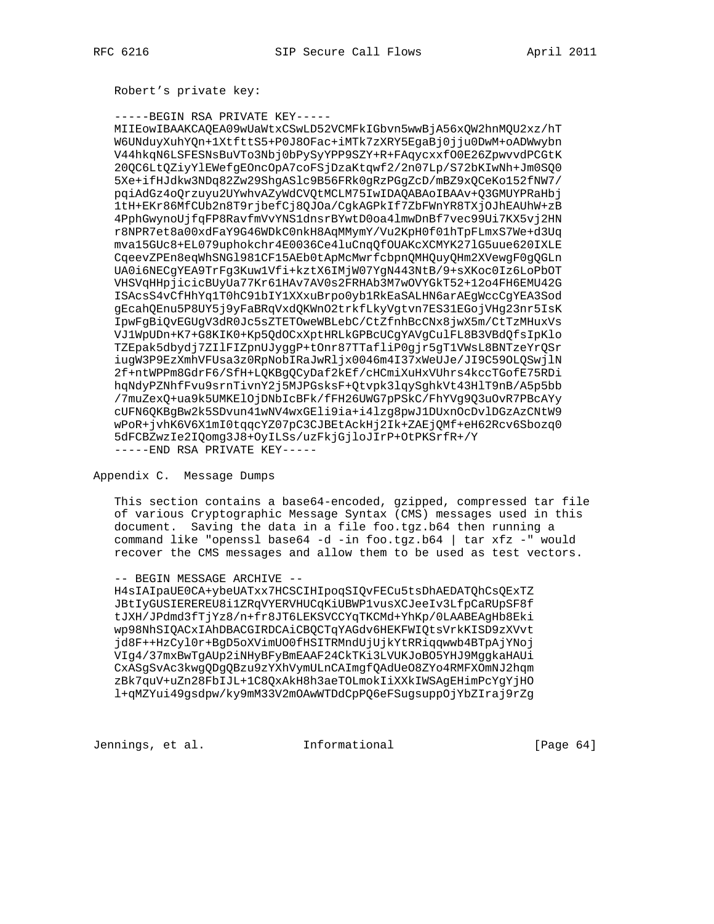Robert's private key:

-----BEGIN RSA PRIVATE KEY-----MIIEowIBAAKCAQEA09wUaWtxCSwLD52VCMFkIGbvn5wwBjA56xQW2hnMQU2xz/hT W6UNduyXuhYQn+1XtfttS5+P0J8OFac+iMTk7zXRY5EgaBj0jju0DwM+oADWwybn V44hkqN6LSFESNsBuVTo3Nbj0bPySyYPP9SZY+R+FAqycxxfO0E26ZpwvvdPCGtK 20QC6LtQZiyYlEWefgEOncOpA7coFSjDzaKtqwf2/2n07Lp/S72bKIwNh+Jm0SQ0 5Xe+ifHJdkw3NDq82Zw29ShgASlc9B56FRk0gRzPGgZcD/mBZ9xQCeKo152fNW7/ pqiAdGz4oQrzuyu2UYwhvAZyWdCVQtMCLM75IwIDAQABAoIBAAv+Q3GMUYPRaHbj 1tH+EKr86MfCUb2n8T9rjbefCj8QJOa/CgkAGPkIf7ZbFWnYR8TXjOJhEAUhW+zB 4PphGwynoUjfqFP8RavfmVvYNS1dnsrBYwtD0oa41mwDnBf7vec99Ui7KX5vj2HN r8NPR7et8a00xdFaY9G46WDkC0nkH8AqMMymY/Vu2KpH0f01hTpFLmxS7We+d3Uq mva15GUc8+EL079uphokchr4E0036Ce4luCnqQfOUAKcXCMYK271G5uue620IXLE CqeevZPEn8eqWhSNG1981CF15AEb0tApMcMwrfcbpnQMHQuyQHm2XVewgF0gQGLn UA0i6NECgYEA9TrFg3Kuw1Vfi+kztX6IMjW07YgN443NtB/9+sXKoc0Iz6LoPbOT VHSVqHHpjicicBUyUa77Kr61HAv7AV0s2FRHAb3M7wOVYGkT52+12o4FH6EMU42G ISAcsS4vCfHhYq1T0hC91bIY1XXxuBrpo0yb1RkEaSALHN6arAEgWccCgYEA3Sod gEcahQEnu5P8UY5j9yFaBRqVxdQKWnO2trkfLkyVgtvn7ES31EGojVHg23nr5IsK IpwFgBiQvEGUgV3dR0Jc5sZTETOweWBLebC/CtZfnhBcCNx8jwX5m/CtTzMHuxVs VJ1WpUDn+K7+G8KIK0+Kp5QdOCxXptHRLkGPBcUCgYAVgCulFL8B3VBdQfsIpKlo TZEpak5dbydj7ZIlFIZpnUJyggP+tOnr87TTafliP0gjr5gT1VWsL8BNTzeYrQSr iugW3P9EzXmhVFUsa3z0RpNobIRaJwRljx0046m4I37xWeUJe/JI9C59OLQSwjlN 2f+ntWPPm8GdrF6/SfH+LQKBgQCyDaf2kEf/cHCmiXuHxVUhrs4kccTGofE75RDi hqNdyPZNhfFvu9srnTivnY2j5MJPGsksF+Qtvpk3lqySghkVt43HlT9nB/A5p5bb /7muZexQ+ua9k5UMKElOjDNbIcBFk/fFH26UWG7pPSkC/FhYVg9Q3uOvR7PBcAYy cUFN6QKBgBw2k5SDvun41wNV4wxGEli9ia+i4lzg8pwJ1DUxnOcDvlDGzAzCNtW9 wPoR+jvhK6V6X1mI0tqqcYZ07pC3CJBEtAckHj2Ik+ZAEjQMf+eH62Rcv6Sbozq0 5dFCBZwzIe2IQomq3J8+OyILSs/uzFkjGjloJIrP+OtPKSrfR+/Y -----END RSA PRIVATE KEY-----

# Appendix C. Message Dumps

This section contains a base64-encoded, gzipped, compressed tar file of various Cryptographic Message Syntax (CMS) messages used in this document. Saving the data in a file foo.tgz.b64 then running a command like "openssl base64 -d -in foo.tgz.b64 | tar xfz -" would recover the CMS messages and allow them to be used as test vectors.

### -- BEGIN MESSAGE ARCHIVE --

H4sIAIpaUE0CA+ybeUATxx7HCSCIHIpoqSIQvFECu5tsDhAEDATQhCsQExTZ JBtIyGUSIEREREU8i1ZRqVYERVHUCqKiUBWP1vusXCJeeIv3LfpCaRUpSF8f tJXH/JPdmd3fTjYz8/n+fr8JT6LEKSVCCYqTKCMd+YhKp/0LAABEAgHb8Eki wp98NhSIQACxIAhDBACGIRDCAiCBQCTqYAGdv6HEKFWIQtsVrkKISD9zXVvt jd8F++HzCyl0r+BgD5oXVimUO0fHSITRMndUjUjkYtRRiqqwwb4BTpAjYNoj VIg4/37mxBwTgAUp2iNHyBFyBmEAAF24CkTKi3LVUKJoBO5YHJ9MggkaHAUi CxASgSvAc3kwgQDgQBzu9zYXhVymULnCAImgfQAdUeO8ZYo4RMFXOmNJ2hqm zBk7quV+uZn28FbIJL+1C8QxAkH8h3aeTOLmokIiXXkIWSAgEHimPcYgYjHO l+qMZYui49gsdpw/ky9mM33V2mOAwWTDdCpPQ6eFSugsuppOjYbZIraj9rZg

Jennings, et al. Thermational

 $[Page 64]$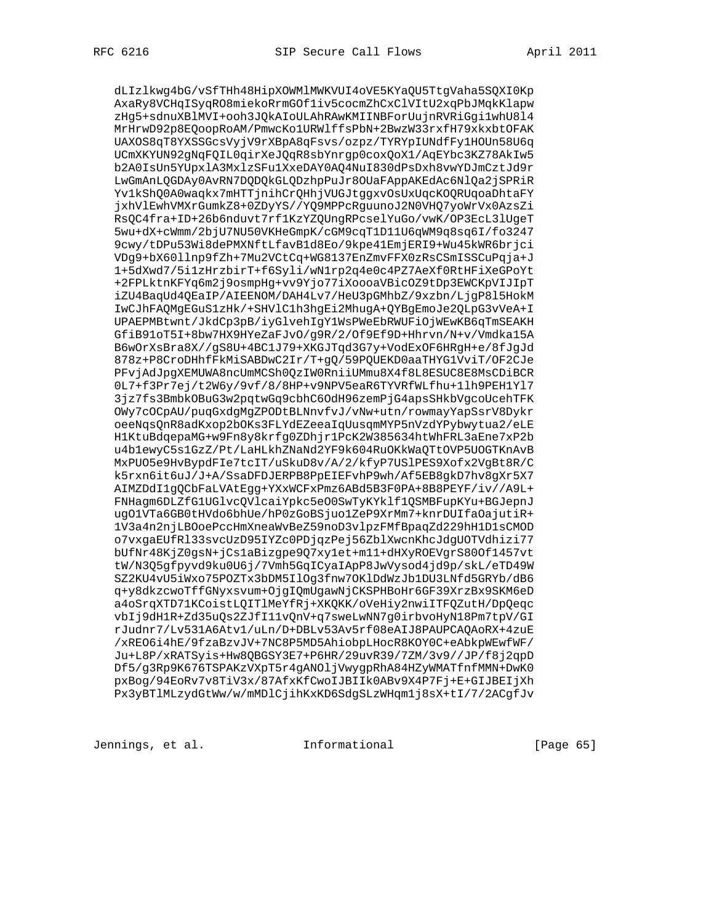dLIzlkwg4bG/vSfTHh48HipXOWMlMWKVUI4oVE5KYaQU5TtgVaha5SQXI0Kp AxaRy8VCHqISyqRO8miekoRrmGOf1iv5cocmZhCxClVItU2xqPbJMqkKlapw zHg5+sdnuXBlMVI+ooh3JQkAIoULAhRAwKMIINBForUujnRVRiGgilwhU8l4 MrHrwD92p8EQoopRoAM/PmwcKo1URWlffsPbN+2BwzW33rxfH79xkxbtOFAK UAXOS8qT8YXSSGcsVyjV9rXBpA8qFsvs/ozpz/TYRYpIUNdfFy1HOUn58U6q UCmXKYUN92gNqFQIL0qirXeJQqR8sbYnrgp0coxQoX1/AqEYbc3KZ78AkIw5 b2A0IsUn5YUpxlA3MxlzSFu1XxeDAY0AQ4NuI830dPsDxh8vwYDJmCztJd9r LwGmAnLQGDAy0AvRN7DQDQkGLQDzhpPuJr8OUaFAppAKEdAc6NlQa2jSPRiR Yv1kShQ0A0waqkx7mHTTjnihCrQHhjVUGJtggxvOsUxUqcKOQRUqoaDhtaFY jxhVlEwhVMXrGumkZ8+0ZDyYS//YQ9MPPcRguunoJ2N0VHQ7yoWrVx0AzsZi RsQC4fra+ID+26b6nduvt7rf1KzYZQUngRPcselYuGo/vwK/OP3EcL3lUgeT 5wu+dX+cWmm/2bjU7NU50VKHeGmpK/cGM9cqT1D11U6qWM9q8sq6I/fo3247 9cwy/tDPu53Wi8dePMXNftLfavBld8Eo/9kpe41EmjERI9+Wu45kWR6brjci VDg9+bX60llnp9fZh+7Mu2VCtCq+WG8137EnZmvFFX0zRsCSmISSCuPqja+J 1+5dXwd7/5i1zHrzbirT+f6Syli/wN1rp2q4e0c4PZ7AeXf0RtHFiXeGPoYt +2FPLktnKFYq6m2j9osmpHg+vv9Yjo77iXoooaVBicOZ9tDp3EWCKpVIJIpT iZU4BaqUd4QEaIP/AIEENOM/DAH4Lv7/HeU3pGMhbZ/9xzbn/LjgP815HokM IwCJhFAQMgEGuS1zHk/+SHVlClh3hgEi2MhugA+QYBgEmoJe2QLpG3vVeA+I UPAEPMBtwnt/JkdCp3pB/iyGlvehIgY1WsPWeEbRWUFiOjWEwKB6qTmSEAKH GfiB91oT5I+8bw7HX9HYeZaFJvO/g9R/2/Of9Ef9D+Hhrvn/N+v/Vmdka15A B6wOrXsBra8X//gS8U+4BC1J79+XKGJTqd3G7y+VodExOF6HRgH+e/8fJgJd 878z+P8CroDHhfFkMiSABDwC2Ir/T+gQ/59PQUEKD0aaTHYG1VviT/OF2CJe PFvjAdJpgXEMUWA8ncUmMCSh0QzIW0RniiUMmu8X4f8L8ESUC8E8MsCDiBCR 0L7+f3Pr7ej/t2W6y/9vf/8/8HP+v9NPV5eaR6TYVRfWLfhu+1lh9PEH1Yl7 3jz7fs3BmbkOBuG3w2pqtwGq9cbhC6OdH96zemPjG4apsSHkbVgcoUcehTFK OWy7cOCpAU/puqGxdgMgZPODtBLNnvfvJ/vNw+utn/rowmayYapSsrV8Dykr oeeNqsQnR8adKxop2b0Ks3FLYdEZeeaIqUusqmMYP5nVzdYPybwytua2/eLE H1KtuBdqepaMG+w9Fn8y8krfg0ZDhjr1PcK2W385634htWhFRL3aEne7xP2b u4blewyC5s1GzZ/Pt/LaHLkhZNaNd2YF9k604RuOKkWaQTtOVP5UOGTKnAvB MxPUO5e9HvBypdFIe7tcIT/uSkuD8v/A/2/kfyP7USlPES9Xofx2VgBt8R/C k5rxn6it6uJ/J+A/SsaDFDJERPB8PpEIEFvhP9wh/Af5EB8gkD7hv8gXr5X7 AIMZDdI1gQCbFaLVAtEgg+YXxWCFxPmz6ABd5B3F0PA+8B8PEYF/iv//A9L+ FNHagm6DLZfG1UGlvcQVlcaiYpkc5e00SwTyKYklf1QSMBFupKYu+BGJepnJ ugO1VTa6GB0tHVdo6bhUe/hP0zGoBSjuo1ZeP9XrMm7+knrDUIfaOajutiR+ 1V3a4n2njLBOoePccHmXneaWvBeZ59noD3vlpzFMfBpaqZd229hH1D1sCMOD o7vxgaEUfRl33svcUzD95IYZc0PDjqzPej56ZblXwcnKhcJdgUOTVdhizi77 bUfNr48KjZ0gsN+jCslaBizgpe9Q7xylet+m11+dHXyROEVgrS80Of1457vt tW/N3Q5gfpyvd9ku0U6j/7Vmh5GqICyaIApP8JwVysod4jd9p/skL/eTD49W SZ2KU4vU5iWxo75POZTx3bDM51lOg3fnw7OKlDdWzJb1DU3LNfd5GRYb/dB6 q+y8dkzcwoTffGNyxsvum+OjgIQmUgawNjCKSPHBoHr6GF39XrzBx9SKM6eD a4oSrqXTD71KCoistLQITlMeYfRj+XKQKK/oVeHiy2nwiITFQZutH/DpQeqc vbIj9dH1R+Zd35uQs2ZJfI11vQnV+q7sweLwNN7g0irbvoHyN18Pm7tpV/GI rJudnr7/Lv531A6Atv1/uLn/D+DBLv53Av5rf08eAIJ8PAUPCAQAoRX+4zuE /xREO6i4hE/9fzaBzvJV+7NC8P5MD5AhiobpLHocR8KOY0C+eAbkpWEwfWF/ Ju+L8P/xRATSyis+Hw8QBGSY3E7+P6HR/29uvR39/7ZM/3v9//JP/f8j2qpD Df5/g3Rp9K676TSPAKzVXpT5r4gANOljVwygpRhA84HZyWMATfnfMMN+DwK0 pxBog/94EoRv7v8TiV3x/87AfxKfCwoIJBIIk0ABv9X4P7Fj+E+GIJBEIjXh

Jennings, et al. [Informational

Px3yBTlMLzydGtWw/w/mMDlCjihKxKD6SdgSLzWHqmlj8sX+tI/7/2ACgfJv

[Page 65]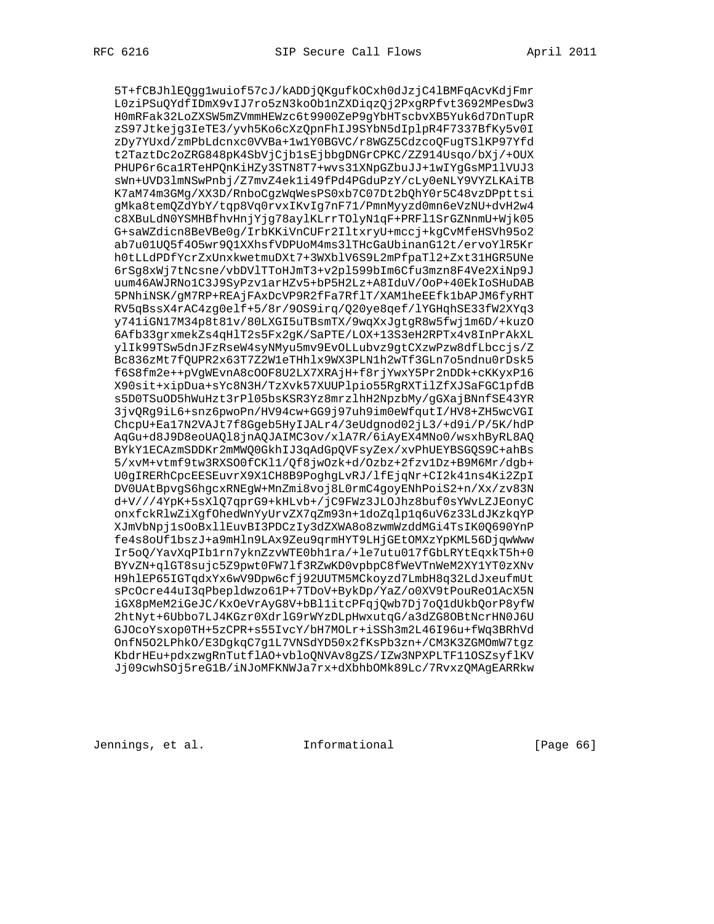5T+fCBJhlEQgg1wuiof57cJ/kADDjQKgufkOCxh0dJzjC41BMFqAcvKdjFmr L0ziPSuQYdfIDmX9vIJ7ro5zN3koOblnZXDiqzQj2PxgRPfvt3692MPesDw3 H0mRFak32LoZXSW5mZVmmHEWzc6t9900ZeP9gYbHTscbvXB5Yuk6d7DnTupR zS97Jtkejg3IeTE3/yvh5Ko6cXzQpnFhIJ9SYbN5dIplpR4F7337BfKy5v0I zDy7YUxd/zmPbLdcnxc0VVBa+1w1Y0BGVC/r8WGZ5CdzcoQFugTSlKP97Yfd t2TaztDc2oZRG848pK4SbVjCjblsEjbbgDNGrCPKC/ZZ914Usqo/bXj/+OUX PHUP6r6ca1RTeHPQnKiHZy3STN8T7+wvs31XNpGZbuJJ+1wIYgGsMP11VUJ3 sWn+UVD31mNSwPnbj/Z7mvZ4ek1i49fPd4PGduPzY/cLy0eNLY9VYZLKAiTB K7aM74m3GMg/XX3D/RnboCgzWqWesPS0xb7C07Dt2bQhY0r5C48vzDPpttsi qMka8temQZdYbY/tqp8Vq0rvxIKvIq7nF71/PmnMyyzd0mn6eVzNU+dvH2w4 c8XBuLdN0YSMHBfhvHnjYjg78aylKLrrTOlyN1qF+PRFl1SrGZNnmU+Wjk05 G+saWZdicn8BeVBe0g/IrbKKiVnCUFr2IltxryU+mccj+kgCvMfeHSVh95o2 ab7u01UQ5f4O5wr9Q1XXhsfVDPUoM4ms31THcGaUbinanG12t/ervoY1R5Kr h0tLLdPDfYcrZxUnxkwetmuDXt7+3WXblV6S9L2mPfpaTl2+Zxt31HGR5UNe 6rSg8xWj7tNcsne/vbDVlTToHJmT3+v2p1599bIm6Cfu3mzn8F4Ve2XiNp9J uum46AWJRNo1C3J9SyPzv1arHZv5+bP5H2Lz+A8IduV/OoP+40EkIoSHuDAB 5PNhiNSK/gM7RP+REAjFAxDcVP9R2fFa7RflT/XAM1heEEfk1bAPJM6fyRHT RV5qBssX4rAC4zg0elf+5/8r/90S9irq/Q20ye8qef/lYGHqhSE33fW2XYq3 y741iGN17M34p8t81v/80LXGI5uTBsmTX/9wqXxJgtgR8w5fwj1m6D/+kuzO 6Afb33grxmekZs4qHlT2s5Fx2gK/SaPTE/LOX+13S3eH2RPTx4v8InPrAkXL ylIk99TSw5dnJFzRseW4syNMyu5mv9EvOLLubvz9gtCXzwPzw8dfLbccjs/Z Bc836zMt7fQUPR2x63T7Z2W1eTHhlx9WX3PLN1h2wTf3GLn7o5ndnu0rDsk5 f6S8fm2e++pVgWEvnA8cOOF8U2LX7XRAjH+f8rjYwxY5Pr2nDDk+cKKyxP16 X90sit+xipDua+sYc8N3H/TzXvk57XUUPlpio55RgRXTilZfXJSaFGC1pfdB s5D0TSuOD5hWuHzt3rPl05bsKSR3Yz8mrzlhH2NpzbMy/gGXajBNnfSE43YR 3jvQRg9iL6+snz6pwoPn/HV94cw+GG9j97uh9im0eWfqutI/HV8+ZH5wcVGI ChcpU+Eal7N2VAJt7f8Ggeb5HyIJALr4/3eUdgnod02jL3/+d9i/P/5K/hdP AqGu+d8J9D8eoUAQ18jnAQJAIMC3ov/xlA7R/6iAyEX4MNo0/wsxhByRL8AQ BYkY1ECAzmSDDKr2mMWQ0GkhIJ3qAdGpQVFsyZex/xvPhUEYBSGQS9C+ahBs 5/xvM+vtmf9tw3RXSO0fCKl1/Qf8jwOzk+d/Ozbz+2fzv1Dz+B9M6Mr/dgb+ U0qIRERhCpcEESEuvrX9X1CH8B9PoqhqLvRJ/lfEjqNr+CI2k41ns4Ki2ZpI DV0UAtBpvgS6hgcxRNEgW+MnZmi8voj8L0rmC4goyENhPoiS2+n/Xx/zv83N d+V///4YpK+5sXlQ7qprG9+kHLvb+/jC9FWz3JLOJhz8buf0sYWvLZJEonyC onxfckRlwZiXgfOhedWnYyUrvZX7qZm93n+1doZqlp1q6uV6z33LdJKzkqYP XJmVbNpj1sOoBxllEuvBI3PDCzIy3dZXWA8o8zwmWzddMGi4TsIK0Q690YnP fe4s8oUf1bszJ+a9mHln9LAx9Zeu9qrmHYT9LHjGEtOMXzYpKML56DjqwWww Ir5oQ/YavXqPIblrn7yknZzvWTE0bhlra/+le7utu017fGbLRYtEqxkT5h+0 BYvZN+qlGT8sujc5Z9pwt0FW7lf3RZwKD0vpbpC8fWeVTnWeM2XY1YT0zXNv H9hlEP65IGTqdxYx6wV9Dpw6cfj92UUTM5MCkoyzd7LmbH8q32LdJxeufmUt sPcOcre44uI3qPbepldwzo61P+7TDoV+BykDp/YaZ/o0XV9tPouReO1AcX5N iGX8pMeM2iGeJC/KxOeVrAyG8V+bBllitcPFqjQwb7Dj7oQ1dUkbQorP8yfW 2htNyt+6Ubbo7LJ4KGzr0Xdr1G9rWYzDLpHwxutqG/a3dZG8OBtNcrHN0J6U GJOcoYsxop0TH+5zCPR+s55IvcY/bH7MOLr+iSSh3m2L46I96u+fWq3BRhVd OnfN5O2LPhkO/E3DgkqC7g1L7VNSdYD50x2fKsPb3zn+/CM3K3ZGMOmW7tgz KbdrHEu+pdxzwgRnTutflAO+vbloQNVAv8gZS/IZw3NPXPLTF11OSZsyflKV Jj09cwhSOj5reG1B/iNJoMFKNWJa7rx+dXbhbOMk89Lc/7RvxzQMAgEARRkw

[Page 66]